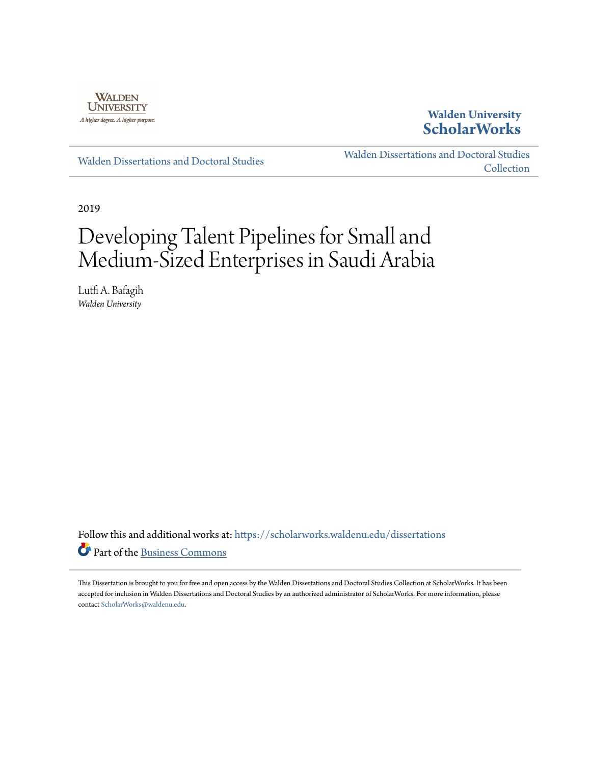

**Walden University [ScholarWorks](https://scholarworks.waldenu.edu?utm_source=scholarworks.waldenu.edu%2Fdissertations%2F6518&utm_medium=PDF&utm_campaign=PDFCoverPages)**

[Walden Dissertations and Doctoral Studies](https://scholarworks.waldenu.edu/dissertations?utm_source=scholarworks.waldenu.edu%2Fdissertations%2F6518&utm_medium=PDF&utm_campaign=PDFCoverPages)

[Walden Dissertations and Doctoral Studies](https://scholarworks.waldenu.edu/dissanddoc?utm_source=scholarworks.waldenu.edu%2Fdissertations%2F6518&utm_medium=PDF&utm_campaign=PDFCoverPages) [Collection](https://scholarworks.waldenu.edu/dissanddoc?utm_source=scholarworks.waldenu.edu%2Fdissertations%2F6518&utm_medium=PDF&utm_campaign=PDFCoverPages)

2019

# Developing Talent Pipelines for Small and Medium-Sized Enterprises in Saudi Arabia

Lutfi A. Bafagih *Walden University*

Follow this and additional works at: [https://scholarworks.waldenu.edu/dissertations](https://scholarworks.waldenu.edu/dissertations?utm_source=scholarworks.waldenu.edu%2Fdissertations%2F6518&utm_medium=PDF&utm_campaign=PDFCoverPages) Part of the [Business Commons](http://network.bepress.com/hgg/discipline/622?utm_source=scholarworks.waldenu.edu%2Fdissertations%2F6518&utm_medium=PDF&utm_campaign=PDFCoverPages)

This Dissertation is brought to you for free and open access by the Walden Dissertations and Doctoral Studies Collection at ScholarWorks. It has been accepted for inclusion in Walden Dissertations and Doctoral Studies by an authorized administrator of ScholarWorks. For more information, please contact [ScholarWorks@waldenu.edu](mailto:ScholarWorks@waldenu.edu).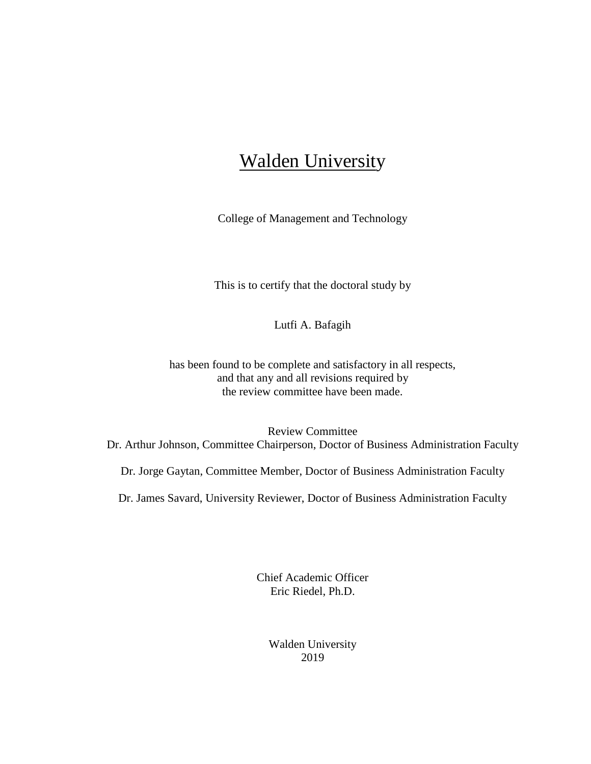# **Walden University**

College of Management and Technology

This is to certify that the doctoral study by

Lutfi A. Bafagih

has been found to be complete and satisfactory in all respects, and that any and all revisions required by the review committee have been made.

Review Committee Dr. Arthur Johnson, Committee Chairperson, Doctor of Business Administration Faculty

Dr. Jorge Gaytan, Committee Member, Doctor of Business Administration Faculty

Dr. James Savard, University Reviewer, Doctor of Business Administration Faculty

Chief Academic Officer Eric Riedel, Ph.D.

> Walden University 2019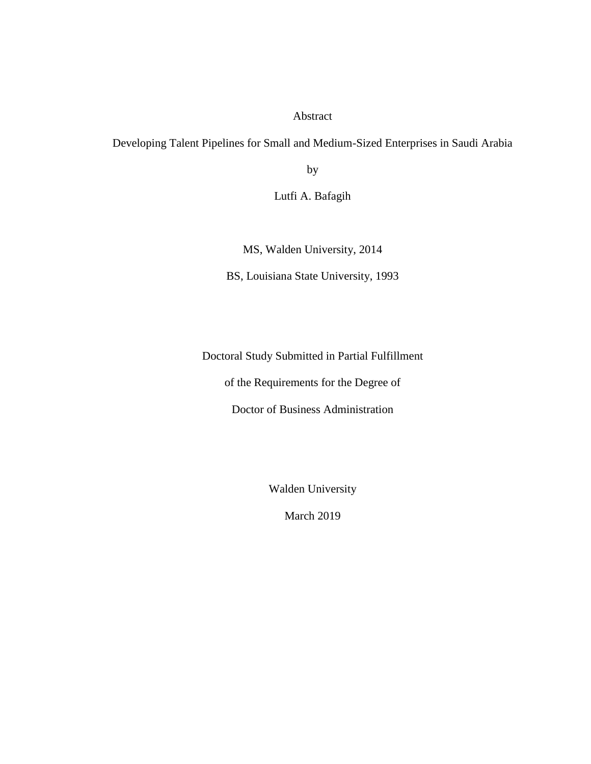#### Abstract

Developing Talent Pipelines for Small and Medium-Sized Enterprises in Saudi Arabia

by

Lutfi A. Bafagih

MS, Walden University, 2014

BS, Louisiana State University, 1993

Doctoral Study Submitted in Partial Fulfillment

of the Requirements for the Degree of

Doctor of Business Administration

Walden University

March 2019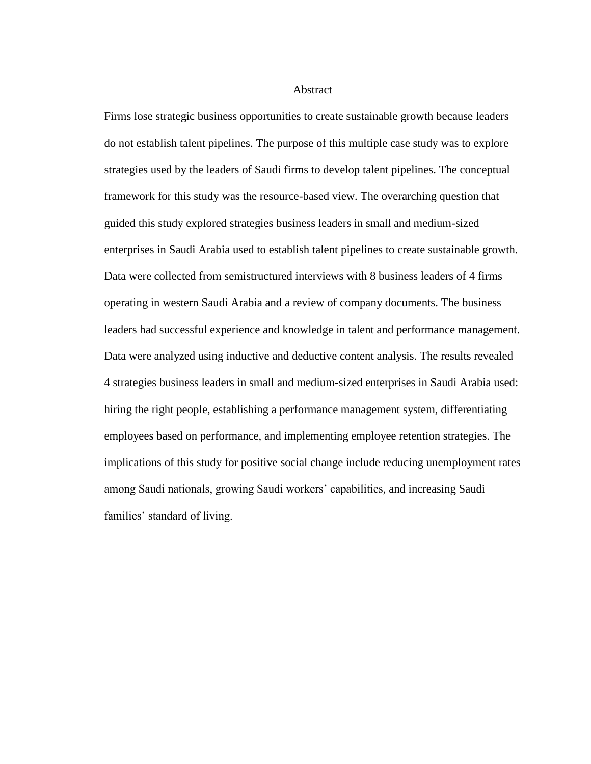Abstract

Firms lose strategic business opportunities to create sustainable growth because leaders do not establish talent pipelines. The purpose of this multiple case study was to explore strategies used by the leaders of Saudi firms to develop talent pipelines. The conceptual framework for this study was the resource-based view. The overarching question that guided this study explored strategies business leaders in small and medium-sized enterprises in Saudi Arabia used to establish talent pipelines to create sustainable growth. Data were collected from semistructured interviews with 8 business leaders of 4 firms operating in western Saudi Arabia and a review of company documents. The business leaders had successful experience and knowledge in talent and performance management. Data were analyzed using inductive and deductive content analysis. The results revealed 4 strategies business leaders in small and medium-sized enterprises in Saudi Arabia used: hiring the right people, establishing a performance management system, differentiating employees based on performance, and implementing employee retention strategies. The implications of this study for positive social change include reducing unemployment rates among Saudi nationals, growing Saudi workers' capabilities, and increasing Saudi families' standard of living.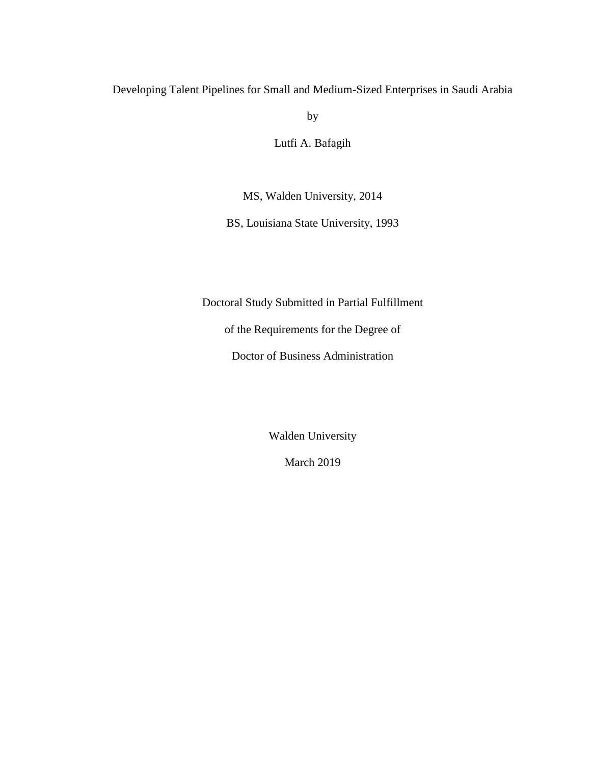### Developing Talent Pipelines for Small and Medium-Sized Enterprises in Saudi Arabia

by

Lutfi A. Bafagih

MS, Walden University, 2014

BS, Louisiana State University, 1993

Doctoral Study Submitted in Partial Fulfillment

of the Requirements for the Degree of

Doctor of Business Administration

Walden University

March 2019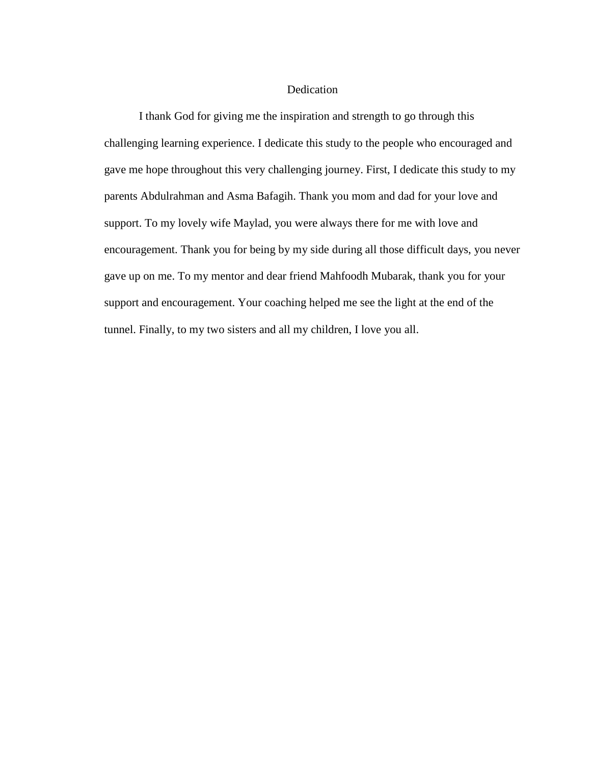#### **Dedication**

I thank God for giving me the inspiration and strength to go through this challenging learning experience. I dedicate this study to the people who encouraged and gave me hope throughout this very challenging journey. First, I dedicate this study to my parents Abdulrahman and Asma Bafagih. Thank you mom and dad for your love and support. To my lovely wife Maylad, you were always there for me with love and encouragement. Thank you for being by my side during all those difficult days, you never gave up on me. To my mentor and dear friend Mahfoodh Mubarak, thank you for your support and encouragement. Your coaching helped me see the light at the end of the tunnel. Finally, to my two sisters and all my children, I love you all.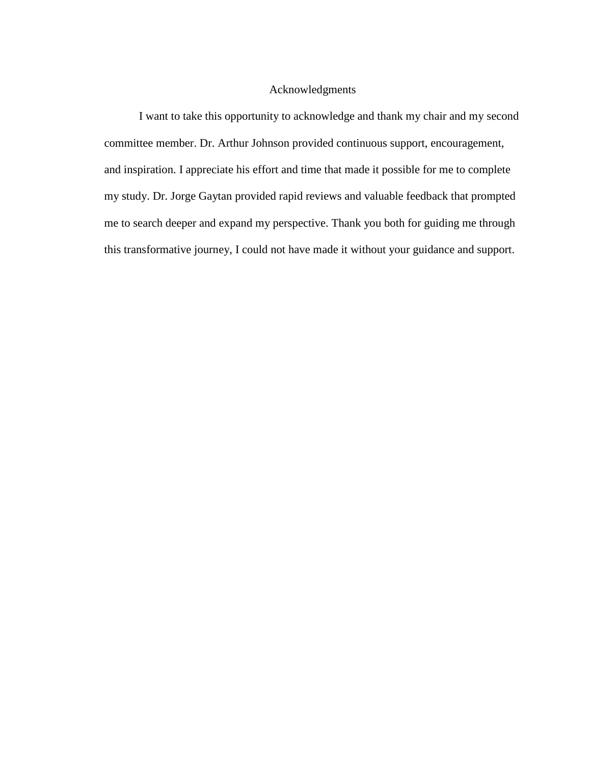#### Acknowledgments

I want to take this opportunity to acknowledge and thank my chair and my second committee member. Dr. Arthur Johnson provided continuous support, encouragement, and inspiration. I appreciate his effort and time that made it possible for me to complete my study. Dr. Jorge Gaytan provided rapid reviews and valuable feedback that prompted me to search deeper and expand my perspective. Thank you both for guiding me through this transformative journey, I could not have made it without your guidance and support.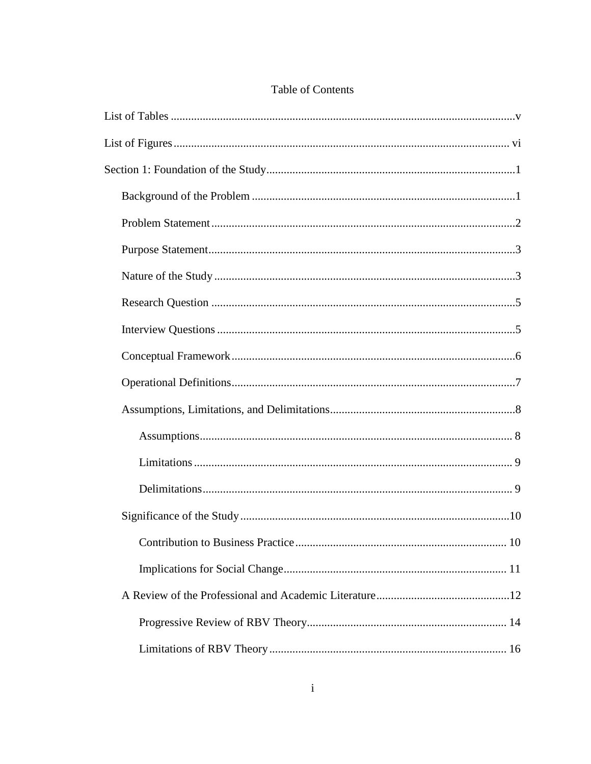# Table of Contents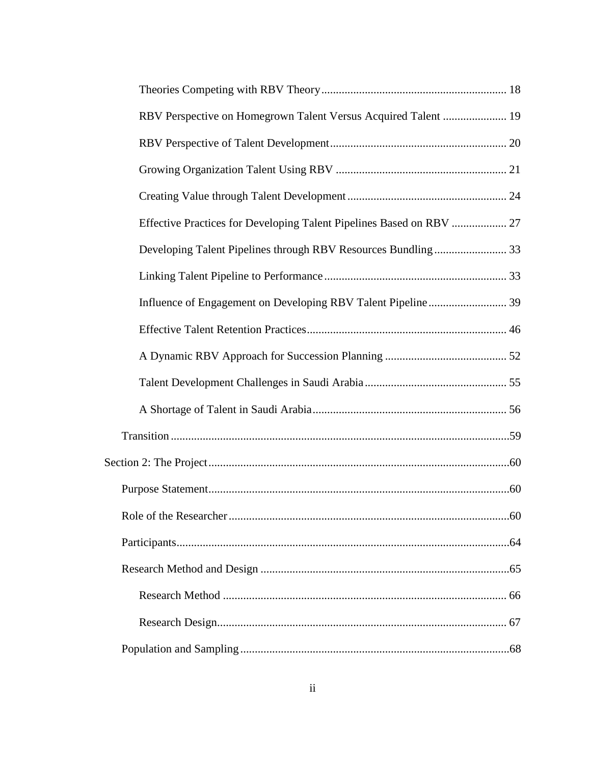| RBV Perspective on Homegrown Talent Versus Acquired Talent  19       |  |
|----------------------------------------------------------------------|--|
|                                                                      |  |
|                                                                      |  |
|                                                                      |  |
| Effective Practices for Developing Talent Pipelines Based on RBV  27 |  |
|                                                                      |  |
|                                                                      |  |
|                                                                      |  |
|                                                                      |  |
|                                                                      |  |
|                                                                      |  |
|                                                                      |  |
|                                                                      |  |
|                                                                      |  |
|                                                                      |  |
|                                                                      |  |
|                                                                      |  |
|                                                                      |  |
|                                                                      |  |
|                                                                      |  |
|                                                                      |  |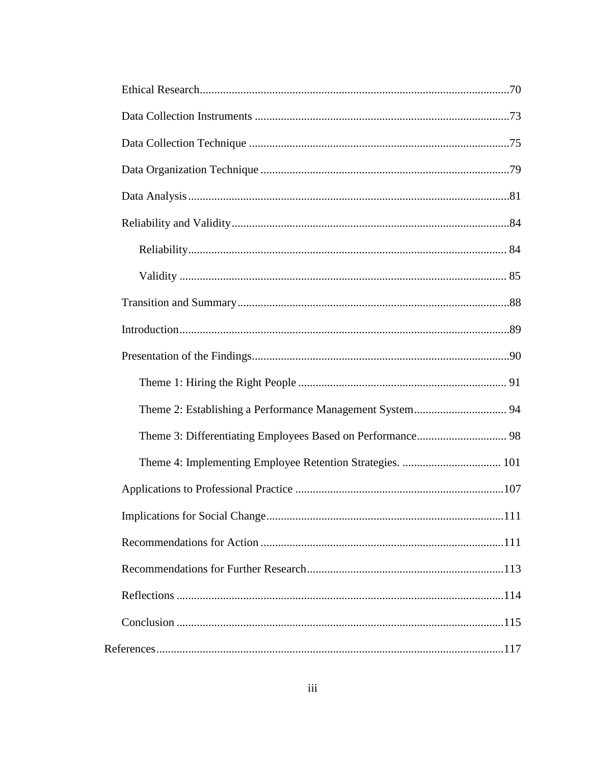| Theme 4: Implementing Employee Retention Strategies.  101 |  |
|-----------------------------------------------------------|--|
|                                                           |  |
|                                                           |  |
|                                                           |  |
|                                                           |  |
|                                                           |  |
|                                                           |  |
|                                                           |  |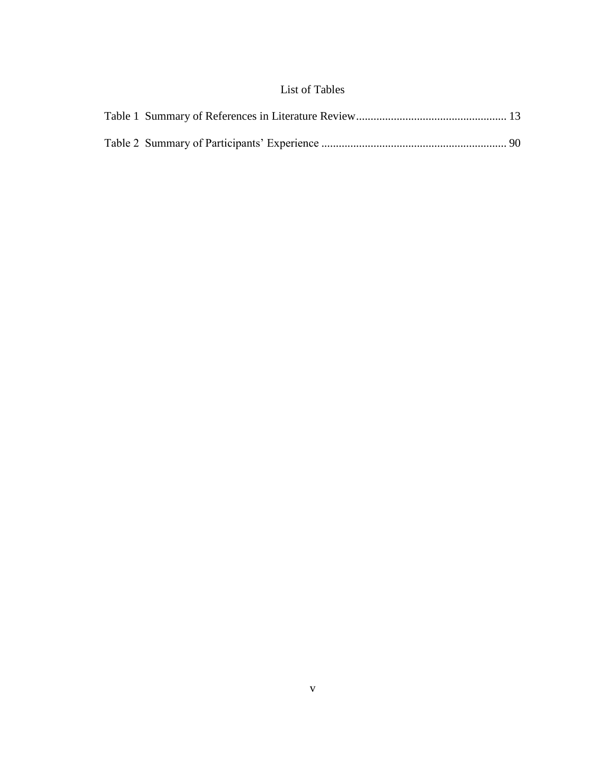## List of Tables

<span id="page-11-0"></span>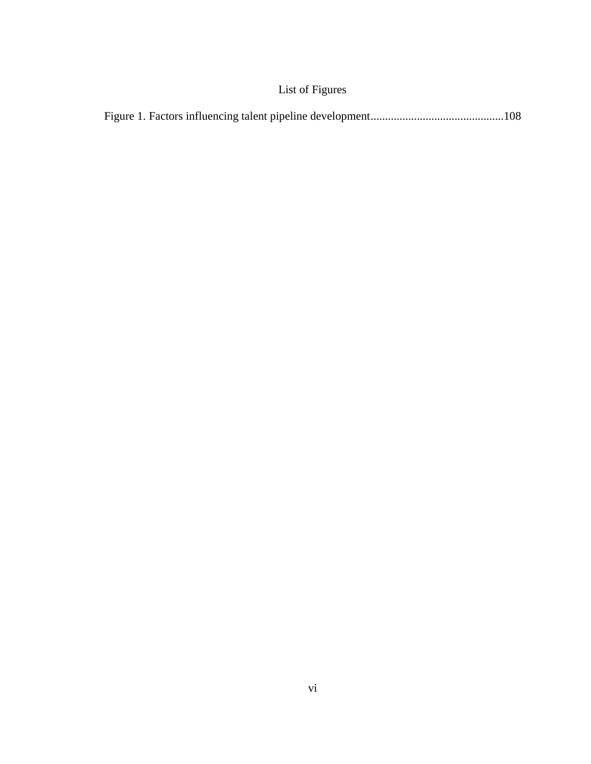# List of Figures

<span id="page-12-0"></span>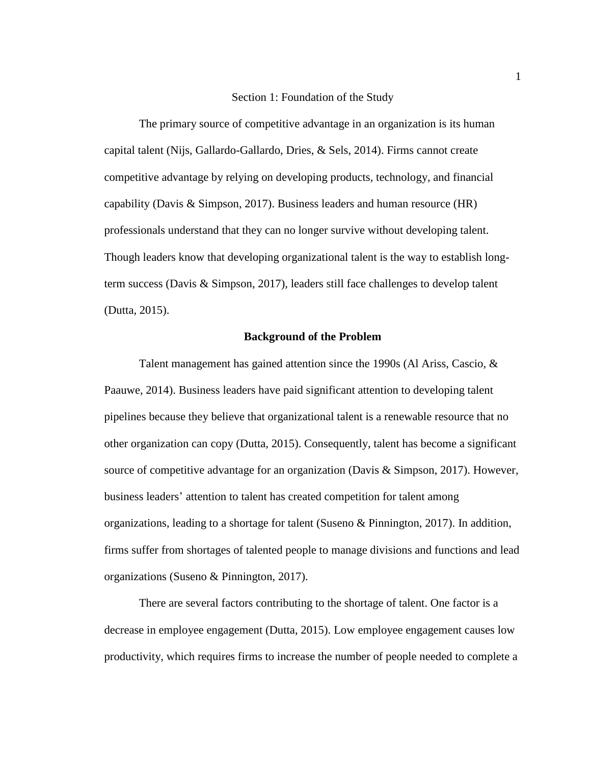#### Section 1: Foundation of the Study

<span id="page-13-0"></span>The primary source of competitive advantage in an organization is its human capital talent (Nijs, Gallardo-Gallardo, Dries, & Sels, 2014). Firms cannot create competitive advantage by relying on developing products, technology, and financial capability (Davis & Simpson, 2017). Business leaders and human resource (HR) professionals understand that they can no longer survive without developing talent. Though leaders know that developing organizational talent is the way to establish longterm success (Davis & Simpson, 2017), leaders still face challenges to develop talent (Dutta, 2015).

#### **Background of the Problem**

<span id="page-13-1"></span>Talent management has gained attention since the 1990s (Al Ariss, Cascio, & Paauwe, 2014). Business leaders have paid significant attention to developing talent pipelines because they believe that organizational talent is a renewable resource that no other organization can copy (Dutta, 2015). Consequently, talent has become a significant source of competitive advantage for an organization (Davis & Simpson, 2017). However, business leaders' attention to talent has created competition for talent among organizations, leading to a shortage for talent (Suseno  $\&$  Pinnington, 2017). In addition, firms suffer from shortages of talented people to manage divisions and functions and lead organizations (Suseno & Pinnington, 2017).

There are several factors contributing to the shortage of talent. One factor is a decrease in employee engagement (Dutta, 2015). Low employee engagement causes low productivity, which requires firms to increase the number of people needed to complete a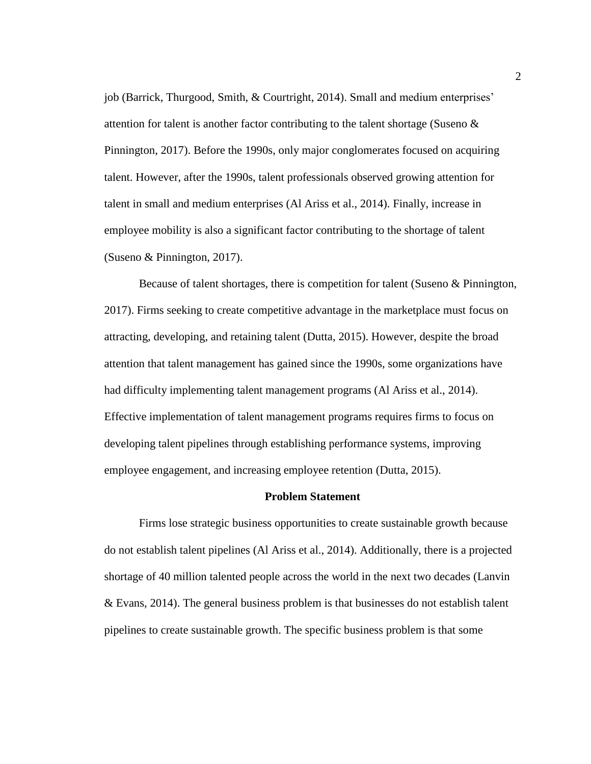job (Barrick, Thurgood, Smith, & Courtright, 2014). Small and medium enterprises' attention for talent is another factor contributing to the talent shortage (Suseno & Pinnington, 2017). Before the 1990s, only major conglomerates focused on acquiring talent. However, after the 1990s, talent professionals observed growing attention for talent in small and medium enterprises (Al Ariss et al., 2014). Finally, increase in employee mobility is also a significant factor contributing to the shortage of talent (Suseno & Pinnington, 2017).

Because of talent shortages, there is competition for talent (Suseno & Pinnington, 2017). Firms seeking to create competitive advantage in the marketplace must focus on attracting, developing, and retaining talent (Dutta, 2015). However, despite the broad attention that talent management has gained since the 1990s, some organizations have had difficulty implementing talent management programs (Al Ariss et al., 2014). Effective implementation of talent management programs requires firms to focus on developing talent pipelines through establishing performance systems, improving employee engagement, and increasing employee retention (Dutta, 2015).

#### **Problem Statement**

<span id="page-14-0"></span>Firms lose strategic business opportunities to create sustainable growth because do not establish talent pipelines (Al Ariss et al., 2014). Additionally, there is a projected shortage of 40 million talented people across the world in the next two decades (Lanvin & Evans, 2014). The general business problem is that businesses do not establish talent pipelines to create sustainable growth. The specific business problem is that some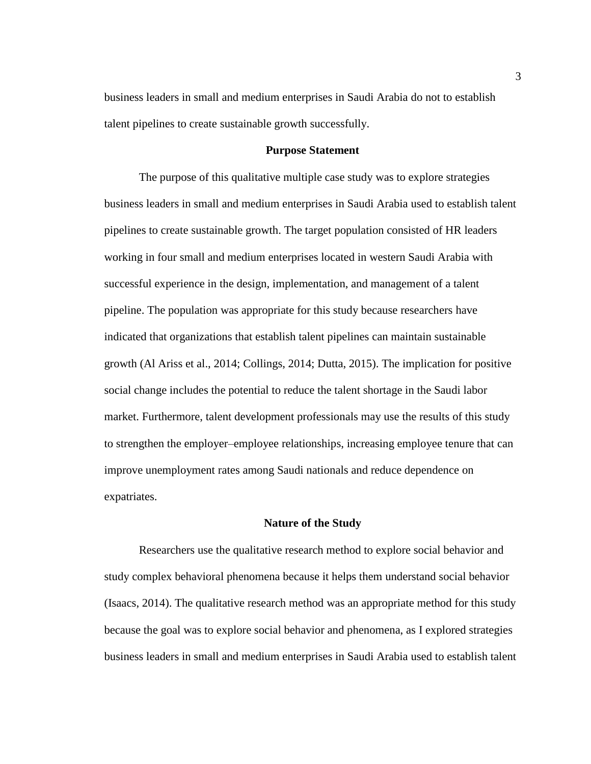business leaders in small and medium enterprises in Saudi Arabia do not to establish talent pipelines to create sustainable growth successfully.

#### **Purpose Statement**

<span id="page-15-0"></span>The purpose of this qualitative multiple case study was to explore strategies business leaders in small and medium enterprises in Saudi Arabia used to establish talent pipelines to create sustainable growth. The target population consisted of HR leaders working in four small and medium enterprises located in western Saudi Arabia with successful experience in the design, implementation, and management of a talent pipeline. The population was appropriate for this study because researchers have indicated that organizations that establish talent pipelines can maintain sustainable growth (Al Ariss et al., 2014; Collings, 2014; Dutta, 2015). The implication for positive social change includes the potential to reduce the talent shortage in the Saudi labor market. Furthermore, talent development professionals may use the results of this study to strengthen the employer–employee relationships, increasing employee tenure that can improve unemployment rates among Saudi nationals and reduce dependence on expatriates.

#### **Nature of the Study**

<span id="page-15-1"></span>Researchers use the qualitative research method to explore social behavior and study complex behavioral phenomena because it helps them understand social behavior (Isaacs, 2014). The qualitative research method was an appropriate method for this study because the goal was to explore social behavior and phenomena, as I explored strategies business leaders in small and medium enterprises in Saudi Arabia used to establish talent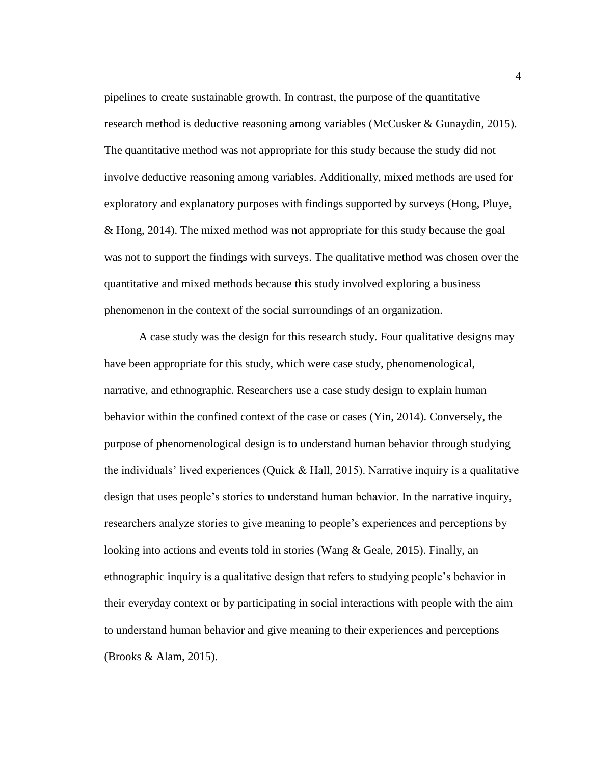pipelines to create sustainable growth. In contrast, the purpose of the quantitative research method is deductive reasoning among variables (McCusker & Gunaydin, 2015). The quantitative method was not appropriate for this study because the study did not involve deductive reasoning among variables. Additionally, mixed methods are used for exploratory and explanatory purposes with findings supported by surveys (Hong, Pluye, & Hong, 2014). The mixed method was not appropriate for this study because the goal was not to support the findings with surveys. The qualitative method was chosen over the quantitative and mixed methods because this study involved exploring a business phenomenon in the context of the social surroundings of an organization.

A case study was the design for this research study. Four qualitative designs may have been appropriate for this study, which were case study, phenomenological, narrative, and ethnographic. Researchers use a case study design to explain human behavior within the confined context of the case or cases (Yin, 2014). Conversely, the purpose of phenomenological design is to understand human behavior through studying the individuals' lived experiences (Quick  $\&$  Hall, 2015). Narrative inquiry is a qualitative design that uses people's stories to understand human behavior. In the narrative inquiry, researchers analyze stories to give meaning to people's experiences and perceptions by looking into actions and events told in stories (Wang & Geale, 2015). Finally, an ethnographic inquiry is a qualitative design that refers to studying people's behavior in their everyday context or by participating in social interactions with people with the aim to understand human behavior and give meaning to their experiences and perceptions (Brooks & Alam, 2015).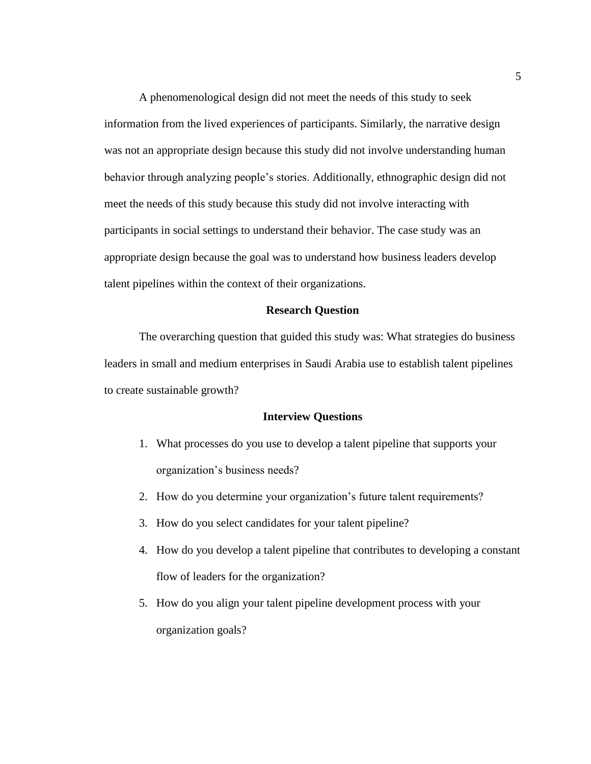A phenomenological design did not meet the needs of this study to seek information from the lived experiences of participants. Similarly, the narrative design was not an appropriate design because this study did not involve understanding human behavior through analyzing people's stories. Additionally, ethnographic design did not meet the needs of this study because this study did not involve interacting with participants in social settings to understand their behavior. The case study was an appropriate design because the goal was to understand how business leaders develop talent pipelines within the context of their organizations.

#### **Research Question**

<span id="page-17-0"></span>The overarching question that guided this study was: What strategies do business leaders in small and medium enterprises in Saudi Arabia use to establish talent pipelines to create sustainable growth?

#### **Interview Questions**

- <span id="page-17-1"></span>1. What processes do you use to develop a talent pipeline that supports your organization's business needs?
- 2. How do you determine your organization's future talent requirements?
- 3. How do you select candidates for your talent pipeline?
- 4. How do you develop a talent pipeline that contributes to developing a constant flow of leaders for the organization?
- 5. How do you align your talent pipeline development process with your organization goals?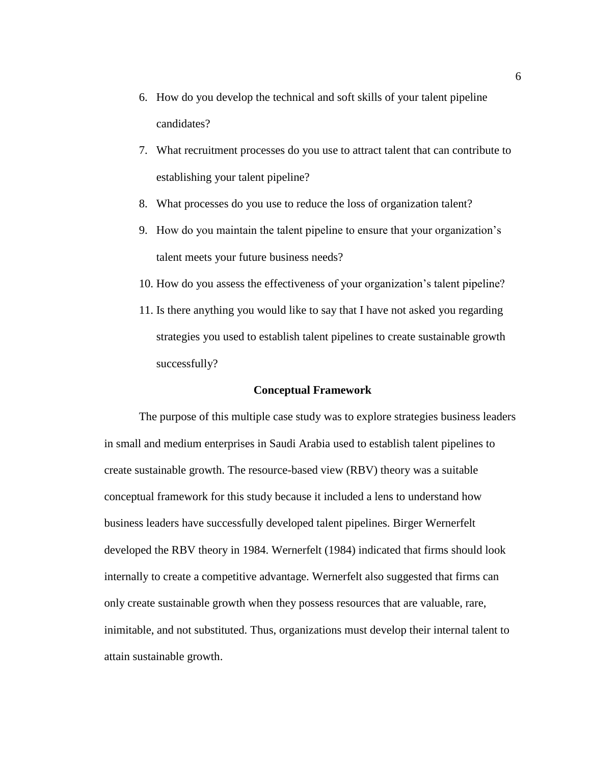- 6. How do you develop the technical and soft skills of your talent pipeline candidates?
- 7. What recruitment processes do you use to attract talent that can contribute to establishing your talent pipeline?
- 8. What processes do you use to reduce the loss of organization talent?
- 9. How do you maintain the talent pipeline to ensure that your organization's talent meets your future business needs?
- 10. How do you assess the effectiveness of your organization's talent pipeline?
- 11. Is there anything you would like to say that I have not asked you regarding strategies you used to establish talent pipelines to create sustainable growth successfully?

#### **Conceptual Framework**

<span id="page-18-0"></span>The purpose of this multiple case study was to explore strategies business leaders in small and medium enterprises in Saudi Arabia used to establish talent pipelines to create sustainable growth. The resource-based view (RBV) theory was a suitable conceptual framework for this study because it included a lens to understand how business leaders have successfully developed talent pipelines. Birger Wernerfelt developed the RBV theory in 1984. Wernerfelt (1984) indicated that firms should look internally to create a competitive advantage. Wernerfelt also suggested that firms can only create sustainable growth when they possess resources that are valuable, rare, inimitable, and not substituted. Thus, organizations must develop their internal talent to attain sustainable growth.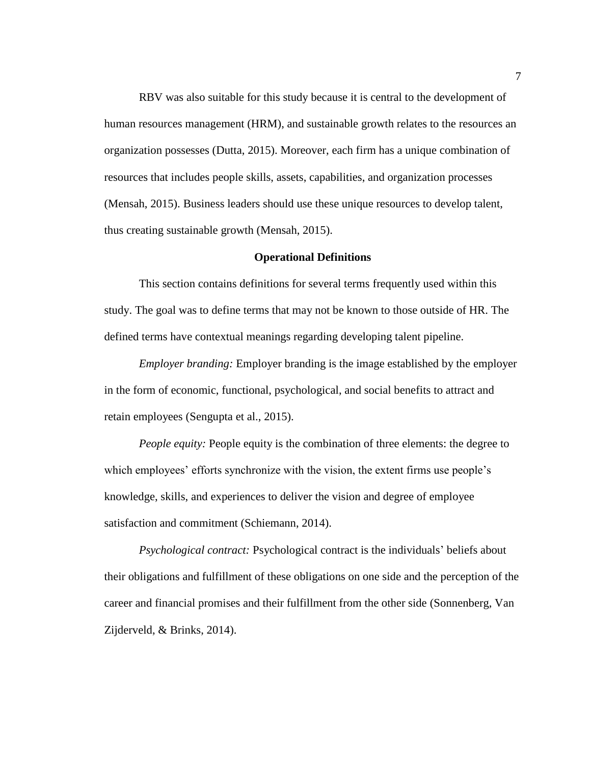RBV was also suitable for this study because it is central to the development of human resources management (HRM), and sustainable growth relates to the resources an organization possesses (Dutta, 2015). Moreover, each firm has a unique combination of resources that includes people skills, assets, capabilities, and organization processes (Mensah, 2015). Business leaders should use these unique resources to develop talent, thus creating sustainable growth (Mensah, 2015).

#### **Operational Definitions**

<span id="page-19-0"></span>This section contains definitions for several terms frequently used within this study. The goal was to define terms that may not be known to those outside of HR. The defined terms have contextual meanings regarding developing talent pipeline.

*Employer branding:* Employer branding is the image established by the employer in the form of economic, functional, psychological, and social benefits to attract and retain employees (Sengupta et al., 2015).

*People equity:* People equity is the combination of three elements: the degree to which employees' efforts synchronize with the vision, the extent firms use people's knowledge, skills, and experiences to deliver the vision and degree of employee satisfaction and commitment (Schiemann, 2014).

*Psychological contract:* Psychological contract is the individuals' beliefs about their obligations and fulfillment of these obligations on one side and the perception of the career and financial promises and their fulfillment from the other side (Sonnenberg, Van Zijderveld, & Brinks, 2014).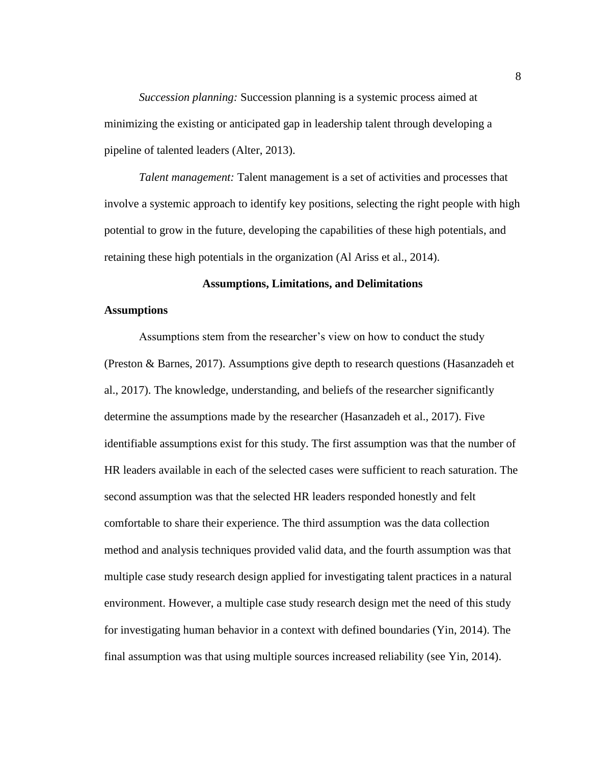*Succession planning:* Succession planning is a systemic process aimed at minimizing the existing or anticipated gap in leadership talent through developing a pipeline of talented leaders (Alter, 2013).

*Talent management:* Talent management is a set of activities and processes that involve a systemic approach to identify key positions, selecting the right people with high potential to grow in the future, developing the capabilities of these high potentials, and retaining these high potentials in the organization (Al Ariss et al., 2014).

#### **Assumptions, Limitations, and Delimitations**

#### <span id="page-20-1"></span><span id="page-20-0"></span>**Assumptions**

Assumptions stem from the researcher's view on how to conduct the study (Preston & Barnes, 2017). Assumptions give depth to research questions (Hasanzadeh et al., 2017). The knowledge, understanding, and beliefs of the researcher significantly determine the assumptions made by the researcher (Hasanzadeh et al., 2017). Five identifiable assumptions exist for this study. The first assumption was that the number of HR leaders available in each of the selected cases were sufficient to reach saturation. The second assumption was that the selected HR leaders responded honestly and felt comfortable to share their experience. The third assumption was the data collection method and analysis techniques provided valid data, and the fourth assumption was that multiple case study research design applied for investigating talent practices in a natural environment. However, a multiple case study research design met the need of this study for investigating human behavior in a context with defined boundaries (Yin, 2014). The final assumption was that using multiple sources increased reliability (see Yin, 2014).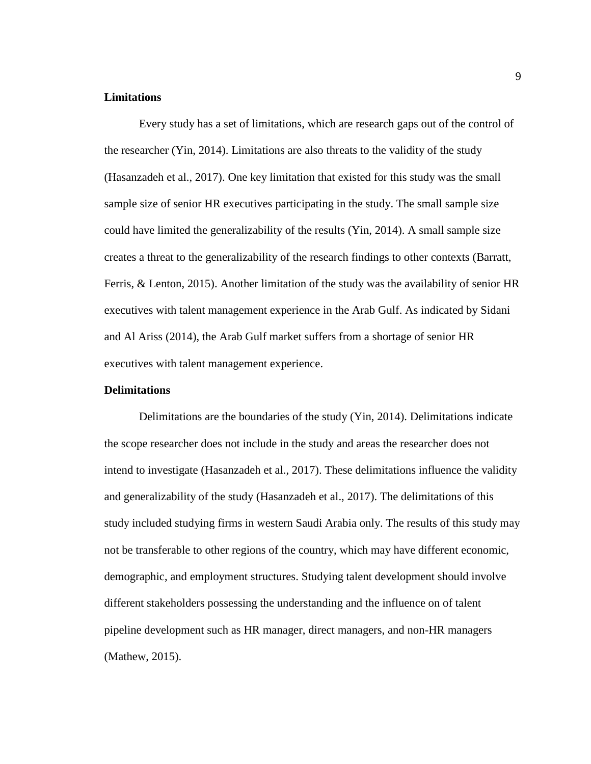#### <span id="page-21-0"></span>**Limitations**

Every study has a set of limitations, which are research gaps out of the control of the researcher (Yin, 2014). Limitations are also threats to the validity of the study (Hasanzadeh et al., 2017). One key limitation that existed for this study was the small sample size of senior HR executives participating in the study. The small sample size could have limited the generalizability of the results (Yin, 2014). A small sample size creates a threat to the generalizability of the research findings to other contexts (Barratt, Ferris, & Lenton, 2015). Another limitation of the study was the availability of senior HR executives with talent management experience in the Arab Gulf. As indicated by Sidani and Al Ariss (2014), the Arab Gulf market suffers from a shortage of senior HR executives with talent management experience.

#### <span id="page-21-1"></span>**Delimitations**

Delimitations are the boundaries of the study (Yin, 2014). Delimitations indicate the scope researcher does not include in the study and areas the researcher does not intend to investigate (Hasanzadeh et al., 2017). These delimitations influence the validity and generalizability of the study (Hasanzadeh et al., 2017). The delimitations of this study included studying firms in western Saudi Arabia only. The results of this study may not be transferable to other regions of the country, which may have different economic, demographic, and employment structures. Studying talent development should involve different stakeholders possessing the understanding and the influence on of talent pipeline development such as HR manager, direct managers, and non-HR managers (Mathew, 2015).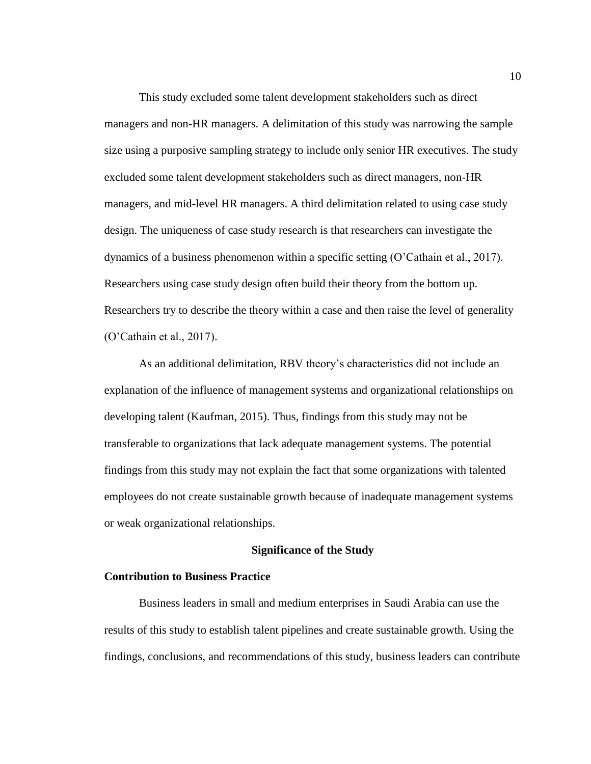This study excluded some talent development stakeholders such as direct managers and non-HR managers. A delimitation of this study was narrowing the sample size using a purposive sampling strategy to include only senior HR executives. The study excluded some talent development stakeholders such as direct managers, non-HR managers, and mid-level HR managers. A third delimitation related to using case study design. The uniqueness of case study research is that researchers can investigate the dynamics of a business phenomenon within a specific setting (O'Cathain et al., 2017). Researchers using case study design often build their theory from the bottom up. Researchers try to describe the theory within a case and then raise the level of generality (O'Cathain et al., 2017).

As an additional delimitation, RBV theory's characteristics did not include an explanation of the influence of management systems and organizational relationships on developing talent (Kaufman, 2015). Thus, findings from this study may not be transferable to organizations that lack adequate management systems. The potential findings from this study may not explain the fact that some organizations with talented employees do not create sustainable growth because of inadequate management systems or weak organizational relationships.

#### **Significance of the Study**

#### <span id="page-22-1"></span><span id="page-22-0"></span>**Contribution to Business Practice**

Business leaders in small and medium enterprises in Saudi Arabia can use the results of this study to establish talent pipelines and create sustainable growth. Using the findings, conclusions, and recommendations of this study, business leaders can contribute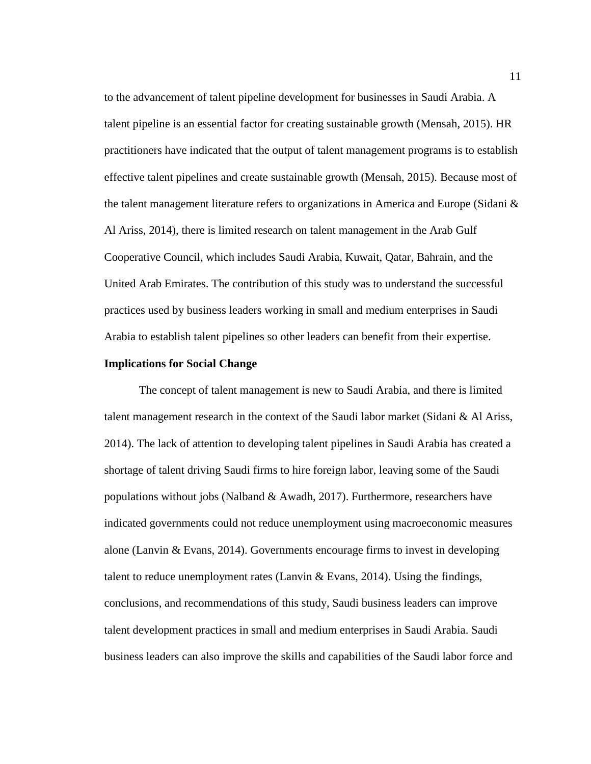to the advancement of talent pipeline development for businesses in Saudi Arabia. A talent pipeline is an essential factor for creating sustainable growth (Mensah, 2015). HR practitioners have indicated that the output of talent management programs is to establish effective talent pipelines and create sustainable growth (Mensah, 2015). Because most of the talent management literature refers to organizations in America and Europe (Sidani  $\&$ Al Ariss, 2014), there is limited research on talent management in the Arab Gulf Cooperative Council, which includes Saudi Arabia, Kuwait, Qatar, Bahrain, and the United Arab Emirates. The contribution of this study was to understand the successful practices used by business leaders working in small and medium enterprises in Saudi Arabia to establish talent pipelines so other leaders can benefit from their expertise.

#### <span id="page-23-0"></span>**Implications for Social Change**

The concept of talent management is new to Saudi Arabia, and there is limited talent management research in the context of the Saudi labor market (Sidani & Al Ariss, 2014). The lack of attention to developing talent pipelines in Saudi Arabia has created a shortage of talent driving Saudi firms to hire foreign labor, leaving some of the Saudi populations without jobs (Nalband  $\&$  Awadh, 2017). Furthermore, researchers have indicated governments could not reduce unemployment using macroeconomic measures alone (Lanvin & Evans, 2014). Governments encourage firms to invest in developing talent to reduce unemployment rates (Lanvin  $\&$  Evans, 2014). Using the findings, conclusions, and recommendations of this study, Saudi business leaders can improve talent development practices in small and medium enterprises in Saudi Arabia. Saudi business leaders can also improve the skills and capabilities of the Saudi labor force and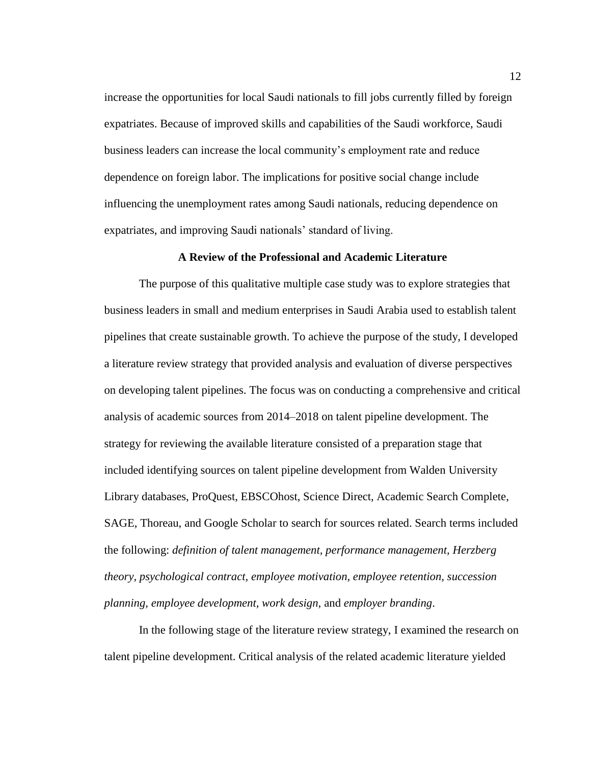increase the opportunities for local Saudi nationals to fill jobs currently filled by foreign expatriates. Because of improved skills and capabilities of the Saudi workforce, Saudi business leaders can increase the local community's employment rate and reduce dependence on foreign labor. The implications for positive social change include influencing the unemployment rates among Saudi nationals, reducing dependence on expatriates, and improving Saudi nationals' standard of living.

#### **A Review of the Professional and Academic Literature**

<span id="page-24-0"></span>The purpose of this qualitative multiple case study was to explore strategies that business leaders in small and medium enterprises in Saudi Arabia used to establish talent pipelines that create sustainable growth. To achieve the purpose of the study, I developed a literature review strategy that provided analysis and evaluation of diverse perspectives on developing talent pipelines. The focus was on conducting a comprehensive and critical analysis of academic sources from 2014–2018 on talent pipeline development. The strategy for reviewing the available literature consisted of a preparation stage that included identifying sources on talent pipeline development from Walden University Library databases, ProQuest, EBSCOhost, Science Direct, Academic Search Complete, SAGE, Thoreau, and Google Scholar to search for sources related. Search terms included the following: *definition of talent management, performance management, Herzberg theory, psychological contract, employee motivation, employee retention, succession planning, employee development, work design,* and *employer branding*.

In the following stage of the literature review strategy, I examined the research on talent pipeline development. Critical analysis of the related academic literature yielded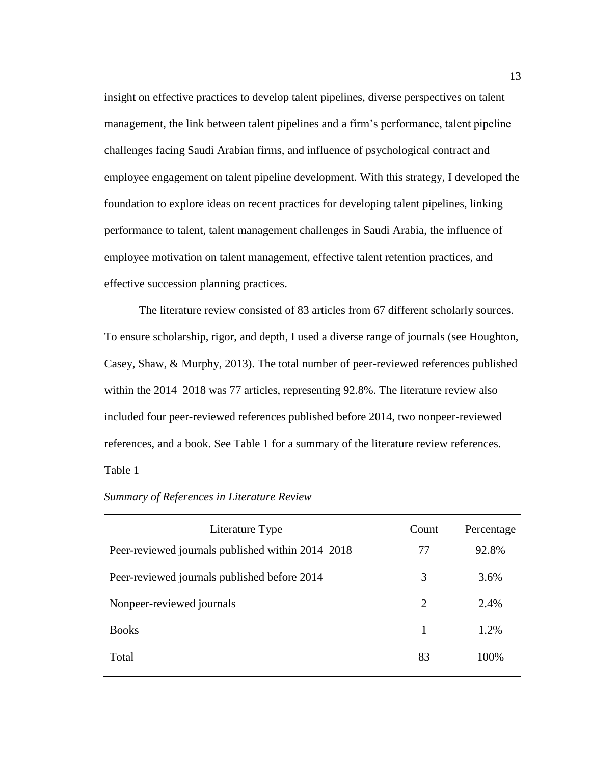insight on effective practices to develop talent pipelines, diverse perspectives on talent management, the link between talent pipelines and a firm's performance, talent pipeline challenges facing Saudi Arabian firms, and influence of psychological contract and employee engagement on talent pipeline development. With this strategy, I developed the foundation to explore ideas on recent practices for developing talent pipelines, linking performance to talent, talent management challenges in Saudi Arabia, the influence of employee motivation on talent management, effective talent retention practices, and effective succession planning practices.

The literature review consisted of 83 articles from 67 different scholarly sources. To ensure scholarship, rigor, and depth, I used a diverse range of journals (see Houghton, Casey, Shaw, & Murphy, 2013). The total number of peer-reviewed references published within the 2014–2018 was 77 articles, representing 92.8%. The literature review also included four peer-reviewed references published before 2014, two nonpeer-reviewed references, and a book. See Table 1 for a summary of the literature review references. Table 1

| Literature Type                                   | Count | Percentage |
|---------------------------------------------------|-------|------------|
| Peer-reviewed journals published within 2014–2018 | 77    | 92.8%      |
| Peer-reviewed journals published before 2014      | 3     | 3.6%       |
| Nonpeer-reviewed journals                         | 2     | 2.4%       |
| <b>Books</b>                                      | 1     | 1.2%       |
| Total                                             | 83    | 100%       |

#### <span id="page-25-0"></span>*Summary of References in Literature Review*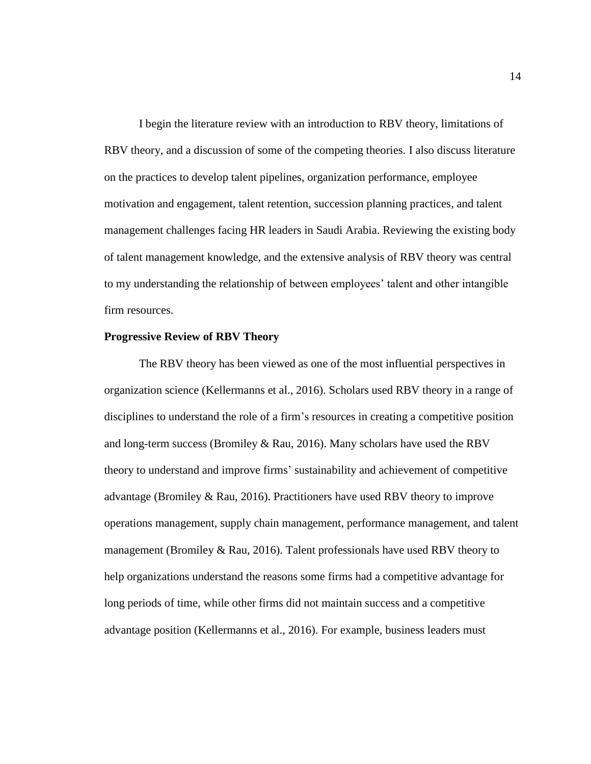I begin the literature review with an introduction to RBV theory, limitations of RBV theory, and a discussion of some of the competing theories. I also discuss literature on the practices to develop talent pipelines, organization performance, employee motivation and engagement, talent retention, succession planning practices, and talent management challenges facing HR leaders in Saudi Arabia. Reviewing the existing body of talent management knowledge, and the extensive analysis of RBV theory was central to my understanding the relationship of between employees' talent and other intangible firm resources.

#### <span id="page-26-0"></span>**Progressive Review of RBV Theory**

The RBV theory has been viewed as one of the most influential perspectives in organization science (Kellermanns et al., 2016). Scholars used RBV theory in a range of disciplines to understand the role of a firm's resources in creating a competitive position and long-term success (Bromiley & Rau, 2016). Many scholars have used the RBV theory to understand and improve firms' sustainability and achievement of competitive advantage (Bromiley & Rau, 2016). Practitioners have used RBV theory to improve operations management, supply chain management, performance management, and talent management (Bromiley  $&$  Rau, 2016). Talent professionals have used RBV theory to help organizations understand the reasons some firms had a competitive advantage for long periods of time, while other firms did not maintain success and a competitive advantage position (Kellermanns et al., 2016). For example, business leaders must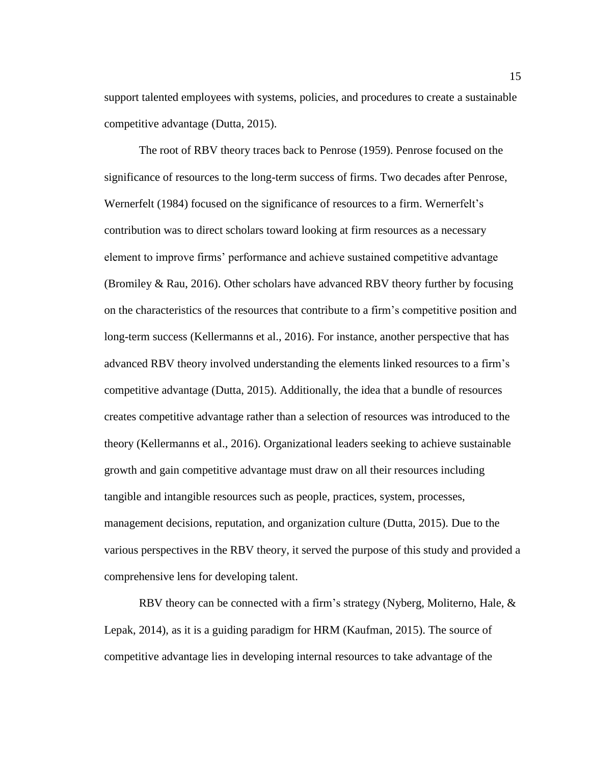support talented employees with systems, policies, and procedures to create a sustainable competitive advantage (Dutta, 2015).

The root of RBV theory traces back to Penrose (1959). Penrose focused on the significance of resources to the long-term success of firms. Two decades after Penrose, Wernerfelt (1984) focused on the significance of resources to a firm. Wernerfelt's contribution was to direct scholars toward looking at firm resources as a necessary element to improve firms' performance and achieve sustained competitive advantage (Bromiley & Rau, 2016). Other scholars have advanced RBV theory further by focusing on the characteristics of the resources that contribute to a firm's competitive position and long-term success (Kellermanns et al., 2016). For instance, another perspective that has advanced RBV theory involved understanding the elements linked resources to a firm's competitive advantage (Dutta, 2015). Additionally, the idea that a bundle of resources creates competitive advantage rather than a selection of resources was introduced to the theory (Kellermanns et al., 2016). Organizational leaders seeking to achieve sustainable growth and gain competitive advantage must draw on all their resources including tangible and intangible resources such as people, practices, system, processes, management decisions, reputation, and organization culture (Dutta, 2015). Due to the various perspectives in the RBV theory, it served the purpose of this study and provided a comprehensive lens for developing talent.

RBV theory can be connected with a firm's strategy (Nyberg, Moliterno, Hale, & Lepak, 2014), as it is a guiding paradigm for HRM (Kaufman, 2015). The source of competitive advantage lies in developing internal resources to take advantage of the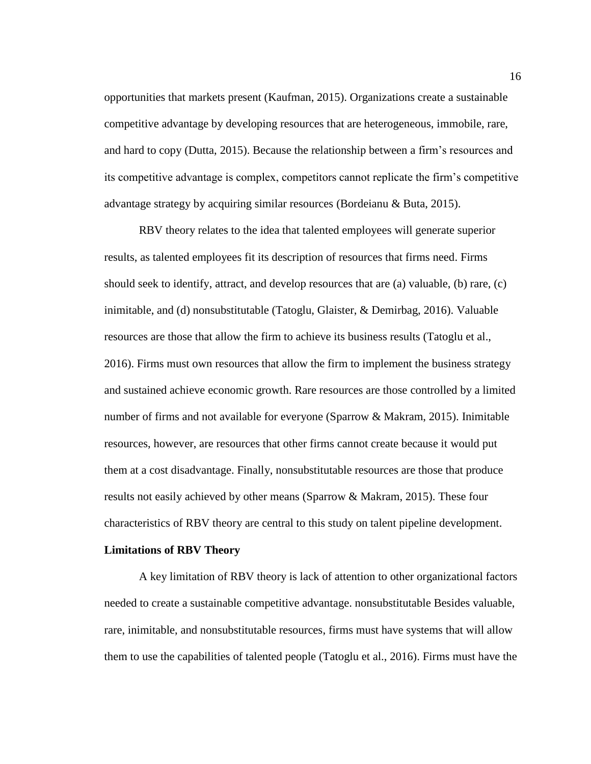opportunities that markets present (Kaufman, 2015). Organizations create a sustainable competitive advantage by developing resources that are heterogeneous, immobile, rare, and hard to copy (Dutta, 2015). Because the relationship between a firm's resources and its competitive advantage is complex, competitors cannot replicate the firm's competitive advantage strategy by acquiring similar resources (Bordeianu & Buta, 2015).

RBV theory relates to the idea that talented employees will generate superior results, as talented employees fit its description of resources that firms need. Firms should seek to identify, attract, and develop resources that are (a) valuable, (b) rare, (c) inimitable, and (d) nonsubstitutable (Tatoglu, Glaister, & Demirbag, 2016). Valuable resources are those that allow the firm to achieve its business results (Tatoglu et al., 2016). Firms must own resources that allow the firm to implement the business strategy and sustained achieve economic growth. Rare resources are those controlled by a limited number of firms and not available for everyone (Sparrow & Makram, 2015). Inimitable resources, however, are resources that other firms cannot create because it would put them at a cost disadvantage. Finally, nonsubstitutable resources are those that produce results not easily achieved by other means (Sparrow & Makram, 2015). These four characteristics of RBV theory are central to this study on talent pipeline development.

#### <span id="page-28-0"></span>**Limitations of RBV Theory**

A key limitation of RBV theory is lack of attention to other organizational factors needed to create a sustainable competitive advantage. nonsubstitutable Besides valuable, rare, inimitable, and nonsubstitutable resources, firms must have systems that will allow them to use the capabilities of talented people (Tatoglu et al., 2016). Firms must have the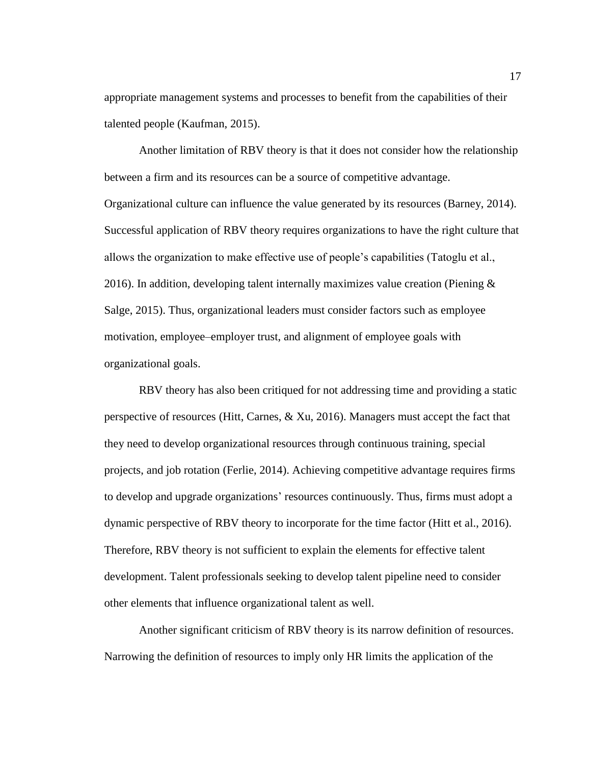appropriate management systems and processes to benefit from the capabilities of their talented people (Kaufman, 2015).

Another limitation of RBV theory is that it does not consider how the relationship between a firm and its resources can be a source of competitive advantage. Organizational culture can influence the value generated by its resources (Barney, 2014). Successful application of RBV theory requires organizations to have the right culture that allows the organization to make effective use of people's capabilities (Tatoglu et al., 2016). In addition, developing talent internally maximizes value creation (Piening  $\&$ Salge, 2015). Thus, organizational leaders must consider factors such as employee motivation, employee–employer trust, and alignment of employee goals with organizational goals.

RBV theory has also been critiqued for not addressing time and providing a static perspective of resources (Hitt, Carnes, & Xu, 2016). Managers must accept the fact that they need to develop organizational resources through continuous training, special projects, and job rotation (Ferlie, 2014). Achieving competitive advantage requires firms to develop and upgrade organizations' resources continuously. Thus, firms must adopt a dynamic perspective of RBV theory to incorporate for the time factor (Hitt et al., 2016). Therefore, RBV theory is not sufficient to explain the elements for effective talent development. Talent professionals seeking to develop talent pipeline need to consider other elements that influence organizational talent as well.

Another significant criticism of RBV theory is its narrow definition of resources. Narrowing the definition of resources to imply only HR limits the application of the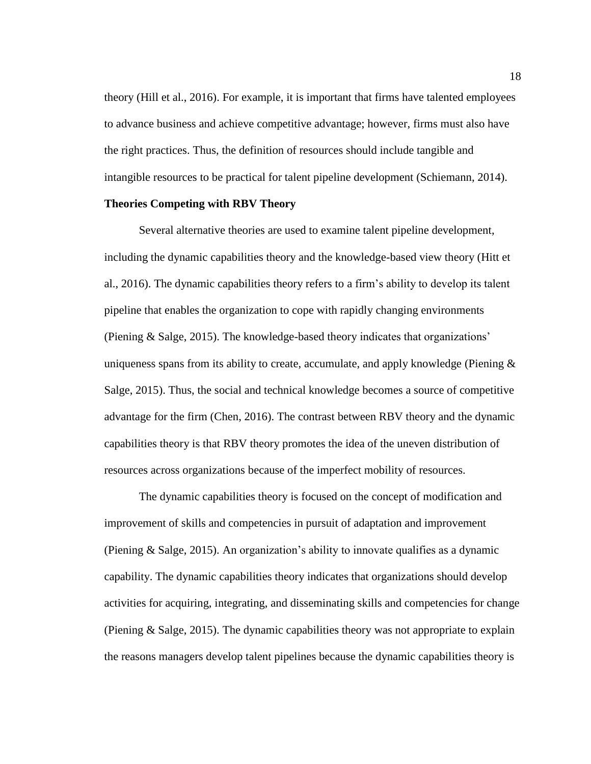theory (Hill et al., 2016). For example, it is important that firms have talented employees to advance business and achieve competitive advantage; however, firms must also have the right practices. Thus, the definition of resources should include tangible and intangible resources to be practical for talent pipeline development (Schiemann, 2014).

#### <span id="page-30-0"></span>**Theories Competing with RBV Theory**

Several alternative theories are used to examine talent pipeline development, including the dynamic capabilities theory and the knowledge-based view theory (Hitt et al., 2016). The dynamic capabilities theory refers to a firm's ability to develop its talent pipeline that enables the organization to cope with rapidly changing environments (Piening & Salge, 2015). The knowledge-based theory indicates that organizations' uniqueness spans from its ability to create, accumulate, and apply knowledge (Piening  $\&$ Salge, 2015). Thus, the social and technical knowledge becomes a source of competitive advantage for the firm (Chen, 2016). The contrast between RBV theory and the dynamic capabilities theory is that RBV theory promotes the idea of the uneven distribution of resources across organizations because of the imperfect mobility of resources.

The dynamic capabilities theory is focused on the concept of modification and improvement of skills and competencies in pursuit of adaptation and improvement (Piening  $\&$  Salge, 2015). An organization's ability to innovate qualifies as a dynamic capability. The dynamic capabilities theory indicates that organizations should develop activities for acquiring, integrating, and disseminating skills and competencies for change (Piening & Salge, 2015). The dynamic capabilities theory was not appropriate to explain the reasons managers develop talent pipelines because the dynamic capabilities theory is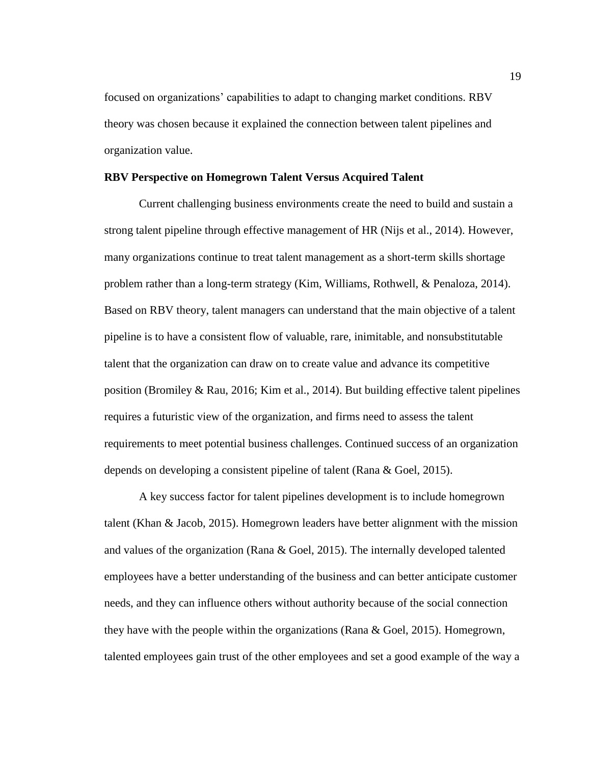focused on organizations' capabilities to adapt to changing market conditions. RBV theory was chosen because it explained the connection between talent pipelines and organization value.

#### <span id="page-31-0"></span>**RBV Perspective on Homegrown Talent Versus Acquired Talent**

Current challenging business environments create the need to build and sustain a strong talent pipeline through effective management of HR (Nijs et al., 2014). However, many organizations continue to treat talent management as a short-term skills shortage problem rather than a long-term strategy (Kim, Williams, Rothwell, & Penaloza, 2014). Based on RBV theory, talent managers can understand that the main objective of a talent pipeline is to have a consistent flow of valuable, rare, inimitable, and nonsubstitutable talent that the organization can draw on to create value and advance its competitive position (Bromiley & Rau, 2016; Kim et al., 2014). But building effective talent pipelines requires a futuristic view of the organization, and firms need to assess the talent requirements to meet potential business challenges. Continued success of an organization depends on developing a consistent pipeline of talent (Rana & Goel, 2015).

A key success factor for talent pipelines development is to include homegrown talent (Khan & Jacob, 2015). Homegrown leaders have better alignment with the mission and values of the organization (Rana & Goel, 2015). The internally developed talented employees have a better understanding of the business and can better anticipate customer needs, and they can influence others without authority because of the social connection they have with the people within the organizations (Rana & Goel, 2015). Homegrown, talented employees gain trust of the other employees and set a good example of the way a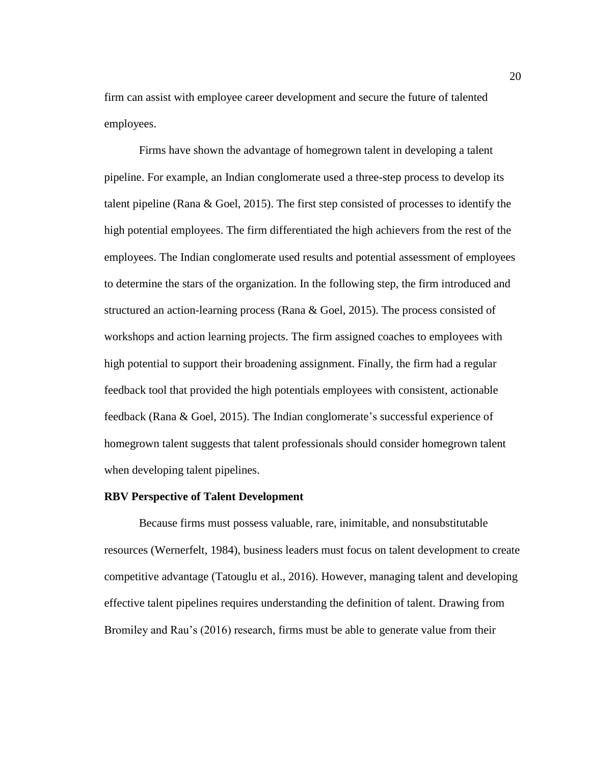firm can assist with employee career development and secure the future of talented employees.

Firms have shown the advantage of homegrown talent in developing a talent pipeline. For example, an Indian conglomerate used a three-step process to develop its talent pipeline (Rana & Goel, 2015). The first step consisted of processes to identify the high potential employees. The firm differentiated the high achievers from the rest of the employees. The Indian conglomerate used results and potential assessment of employees to determine the stars of the organization. In the following step, the firm introduced and structured an action-learning process (Rana & Goel, 2015). The process consisted of workshops and action learning projects. The firm assigned coaches to employees with high potential to support their broadening assignment. Finally, the firm had a regular feedback tool that provided the high potentials employees with consistent, actionable feedback (Rana & Goel, 2015). The Indian conglomerate's successful experience of homegrown talent suggests that talent professionals should consider homegrown talent when developing talent pipelines.

#### <span id="page-32-0"></span>**RBV Perspective of Talent Development**

Because firms must possess valuable, rare, inimitable, and nonsubstitutable resources (Wernerfelt, 1984), business leaders must focus on talent development to create competitive advantage (Tatouglu et al., 2016). However, managing talent and developing effective talent pipelines requires understanding the definition of talent. Drawing from Bromiley and Rau's (2016) research, firms must be able to generate value from their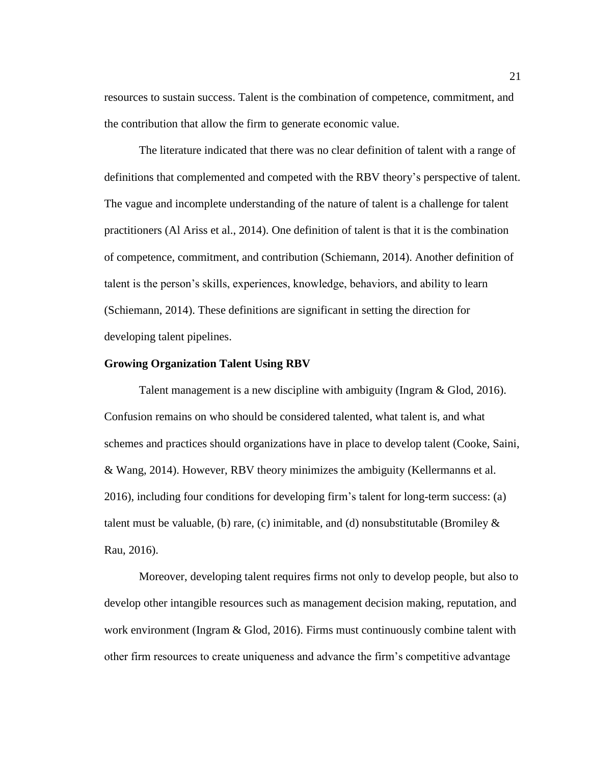resources to sustain success. Talent is the combination of competence, commitment, and the contribution that allow the firm to generate economic value.

The literature indicated that there was no clear definition of talent with a range of definitions that complemented and competed with the RBV theory's perspective of talent. The vague and incomplete understanding of the nature of talent is a challenge for talent practitioners (Al Ariss et al., 2014). One definition of talent is that it is the combination of competence, commitment, and contribution (Schiemann, 2014). Another definition of talent is the person's skills, experiences, knowledge, behaviors, and ability to learn (Schiemann, 2014). These definitions are significant in setting the direction for developing talent pipelines.

#### <span id="page-33-0"></span>**Growing Organization Talent Using RBV**

Talent management is a new discipline with ambiguity (Ingram & Glod, 2016). Confusion remains on who should be considered talented, what talent is, and what schemes and practices should organizations have in place to develop talent (Cooke, Saini, & Wang, 2014). However, RBV theory minimizes the ambiguity (Kellermanns et al. 2016), including four conditions for developing firm's talent for long-term success: (a) talent must be valuable, (b) rare, (c) inimitable, and (d) nonsubstitutable (Bromiley  $\&$ Rau, 2016).

Moreover, developing talent requires firms not only to develop people, but also to develop other intangible resources such as management decision making, reputation, and work environment (Ingram & Glod, 2016). Firms must continuously combine talent with other firm resources to create uniqueness and advance the firm's competitive advantage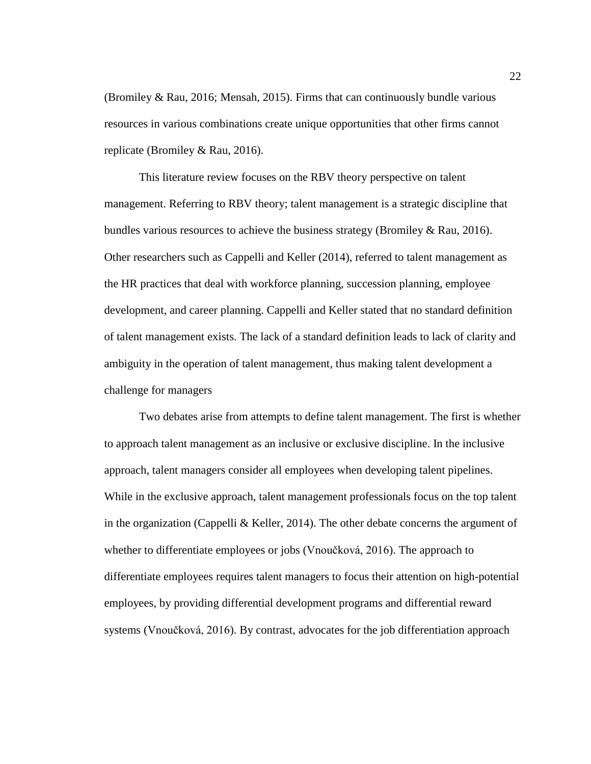(Bromiley & Rau, 2016; Mensah, 2015). Firms that can continuously bundle various resources in various combinations create unique opportunities that other firms cannot replicate (Bromiley & Rau, 2016).

This literature review focuses on the RBV theory perspective on talent management. Referring to RBV theory; talent management is a strategic discipline that bundles various resources to achieve the business strategy (Bromiley & Rau, 2016). Other researchers such as Cappelli and Keller (2014), referred to talent management as the HR practices that deal with workforce planning, succession planning, employee development, and career planning. Cappelli and Keller stated that no standard definition of talent management exists. The lack of a standard definition leads to lack of clarity and ambiguity in the operation of talent management, thus making talent development a challenge for managers

Two debates arise from attempts to define talent management. The first is whether to approach talent management as an inclusive or exclusive discipline. In the inclusive approach, talent managers consider all employees when developing talent pipelines. While in the exclusive approach, talent management professionals focus on the top talent in the organization (Cappelli  $&$  Keller, 2014). The other debate concerns the argument of whether to differentiate employees or jobs (Vnoučková, 2016). The approach to differentiate employees requires talent managers to focus their attention on high-potential employees, by providing differential development programs and differential reward systems (Vnoučková, 2016). By contrast, advocates for the job differentiation approach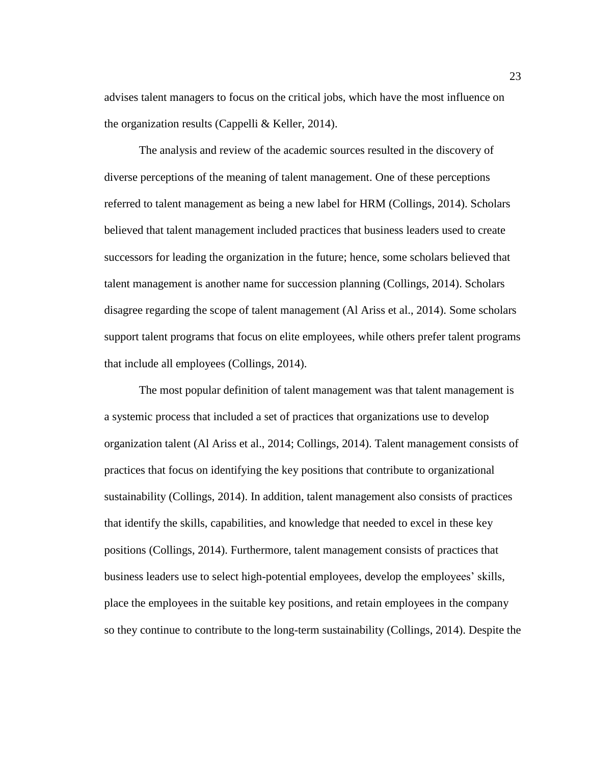advises talent managers to focus on the critical jobs, which have the most influence on the organization results (Cappelli & Keller, 2014).

The analysis and review of the academic sources resulted in the discovery of diverse perceptions of the meaning of talent management. One of these perceptions referred to talent management as being a new label for HRM (Collings, 2014). Scholars believed that talent management included practices that business leaders used to create successors for leading the organization in the future; hence, some scholars believed that talent management is another name for succession planning (Collings, 2014). Scholars disagree regarding the scope of talent management (Al Ariss et al., 2014). Some scholars support talent programs that focus on elite employees, while others prefer talent programs that include all employees (Collings, 2014).

The most popular definition of talent management was that talent management is a systemic process that included a set of practices that organizations use to develop organization talent (Al Ariss et al., 2014; Collings, 2014). Talent management consists of practices that focus on identifying the key positions that contribute to organizational sustainability (Collings, 2014). In addition, talent management also consists of practices that identify the skills, capabilities, and knowledge that needed to excel in these key positions (Collings, 2014). Furthermore, talent management consists of practices that business leaders use to select high-potential employees, develop the employees' skills, place the employees in the suitable key positions, and retain employees in the company so they continue to contribute to the long-term sustainability (Collings, 2014). Despite the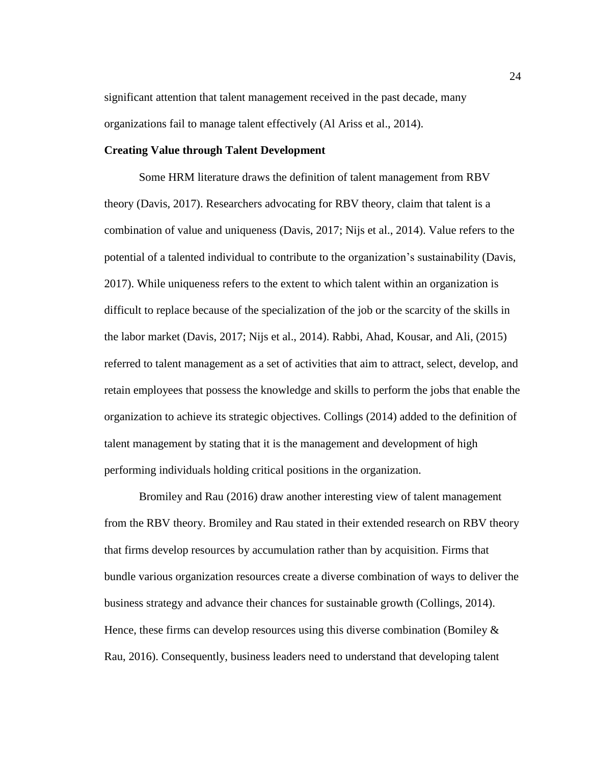significant attention that talent management received in the past decade, many organizations fail to manage talent effectively (Al Ariss et al., 2014).

### **Creating Value through Talent Development**

Some HRM literature draws the definition of talent management from RBV theory (Davis, 2017). Researchers advocating for RBV theory, claim that talent is a combination of value and uniqueness (Davis, 2017; Nijs et al., 2014). Value refers to the potential of a talented individual to contribute to the organization's sustainability (Davis, 2017). While uniqueness refers to the extent to which talent within an organization is difficult to replace because of the specialization of the job or the scarcity of the skills in the labor market (Davis, 2017; Nijs et al., 2014). Rabbi, Ahad, Kousar, and Ali, (2015) referred to talent management as a set of activities that aim to attract, select, develop, and retain employees that possess the knowledge and skills to perform the jobs that enable the organization to achieve its strategic objectives. Collings (2014) added to the definition of talent management by stating that it is the management and development of high performing individuals holding critical positions in the organization.

Bromiley and Rau (2016) draw another interesting view of talent management from the RBV theory. Bromiley and Rau stated in their extended research on RBV theory that firms develop resources by accumulation rather than by acquisition. Firms that bundle various organization resources create a diverse combination of ways to deliver the business strategy and advance their chances for sustainable growth (Collings, 2014). Hence, these firms can develop resources using this diverse combination (Bomiley  $\&$ Rau, 2016). Consequently, business leaders need to understand that developing talent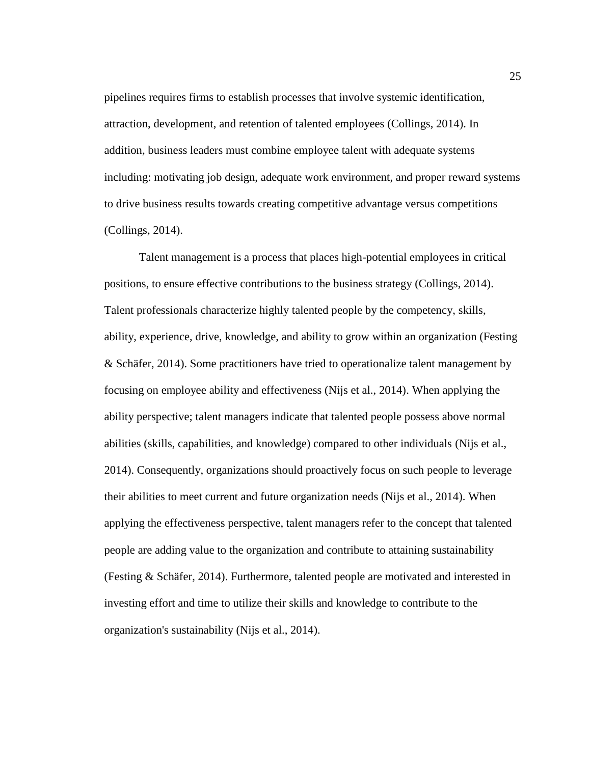pipelines requires firms to establish processes that involve systemic identification, attraction, development, and retention of talented employees (Collings, 2014). In addition, business leaders must combine employee talent with adequate systems including: motivating job design, adequate work environment, and proper reward systems to drive business results towards creating competitive advantage versus competitions (Collings, 2014).

Talent management is a process that places high-potential employees in critical positions, to ensure effective contributions to the business strategy (Collings, 2014). Talent professionals characterize highly talented people by the competency, skills, ability, experience, drive, knowledge, and ability to grow within an organization (Festing & Schäfer, 2014). Some practitioners have tried to operationalize talent management by focusing on employee ability and effectiveness (Nijs et al., 2014). When applying the ability perspective; talent managers indicate that talented people possess above normal abilities (skills, capabilities, and knowledge) compared to other individuals (Nijs et al., 2014). Consequently, organizations should proactively focus on such people to leverage their abilities to meet current and future organization needs (Nijs et al., 2014). When applying the effectiveness perspective, talent managers refer to the concept that talented people are adding value to the organization and contribute to attaining sustainability (Festing & Schäfer, 2014). Furthermore, talented people are motivated and interested in investing effort and time to utilize their skills and knowledge to contribute to the organization's sustainability (Nijs et al., 2014).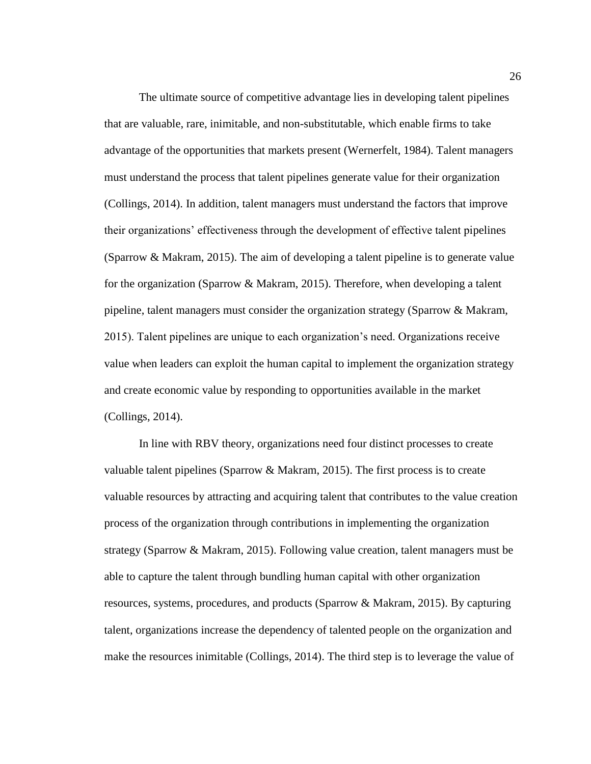The ultimate source of competitive advantage lies in developing talent pipelines that are valuable, rare, inimitable, and non-substitutable, which enable firms to take advantage of the opportunities that markets present (Wernerfelt, 1984). Talent managers must understand the process that talent pipelines generate value for their organization (Collings, 2014). In addition, talent managers must understand the factors that improve their organizations' effectiveness through the development of effective talent pipelines (Sparrow & Makram, 2015). The aim of developing a talent pipeline is to generate value for the organization (Sparrow & Makram, 2015). Therefore, when developing a talent pipeline, talent managers must consider the organization strategy (Sparrow & Makram, 2015). Talent pipelines are unique to each organization's need. Organizations receive value when leaders can exploit the human capital to implement the organization strategy and create economic value by responding to opportunities available in the market (Collings, 2014).

In line with RBV theory, organizations need four distinct processes to create valuable talent pipelines (Sparrow & Makram, 2015). The first process is to create valuable resources by attracting and acquiring talent that contributes to the value creation process of the organization through contributions in implementing the organization strategy (Sparrow & Makram, 2015). Following value creation, talent managers must be able to capture the talent through bundling human capital with other organization resources, systems, procedures, and products (Sparrow & Makram, 2015). By capturing talent, organizations increase the dependency of talented people on the organization and make the resources inimitable (Collings, 2014). The third step is to leverage the value of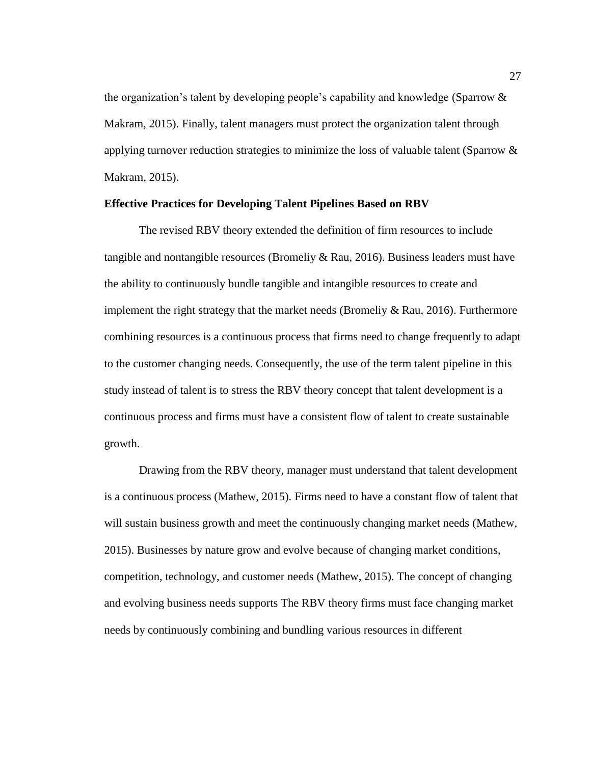the organization's talent by developing people's capability and knowledge (Sparrow & Makram, 2015). Finally, talent managers must protect the organization talent through applying turnover reduction strategies to minimize the loss of valuable talent (Sparrow  $\&$ Makram, 2015).

## **Effective Practices for Developing Talent Pipelines Based on RBV**

The revised RBV theory extended the definition of firm resources to include tangible and nontangible resources (Bromeliy & Rau, 2016). Business leaders must have the ability to continuously bundle tangible and intangible resources to create and implement the right strategy that the market needs (Bromeliy & Rau, 2016). Furthermore combining resources is a continuous process that firms need to change frequently to adapt to the customer changing needs. Consequently, the use of the term talent pipeline in this study instead of talent is to stress the RBV theory concept that talent development is a continuous process and firms must have a consistent flow of talent to create sustainable growth.

Drawing from the RBV theory, manager must understand that talent development is a continuous process (Mathew, 2015). Firms need to have a constant flow of talent that will sustain business growth and meet the continuously changing market needs (Mathew, 2015). Businesses by nature grow and evolve because of changing market conditions, competition, technology, and customer needs (Mathew, 2015). The concept of changing and evolving business needs supports The RBV theory firms must face changing market needs by continuously combining and bundling various resources in different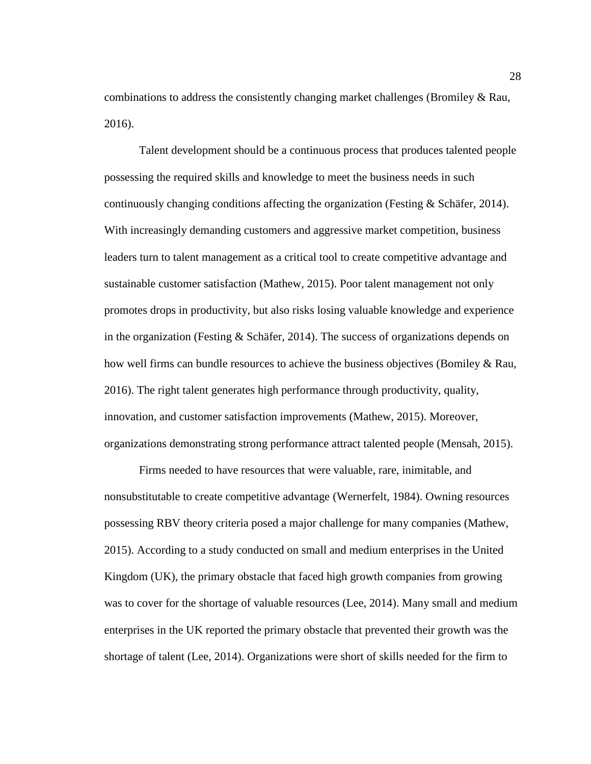combinations to address the consistently changing market challenges (Bromiley & Rau, 2016).

Talent development should be a continuous process that produces talented people possessing the required skills and knowledge to meet the business needs in such continuously changing conditions affecting the organization (Festing  $&$  Schäfer, 2014). With increasingly demanding customers and aggressive market competition, business leaders turn to talent management as a critical tool to create competitive advantage and sustainable customer satisfaction (Mathew, 2015). Poor talent management not only promotes drops in productivity, but also risks losing valuable knowledge and experience in the organization (Festing & Schäfer, 2014). The success of organizations depends on how well firms can bundle resources to achieve the business objectives (Bomiley & Rau, 2016). The right talent generates high performance through productivity, quality, innovation, and customer satisfaction improvements (Mathew, 2015). Moreover, organizations demonstrating strong performance attract talented people (Mensah, 2015).

Firms needed to have resources that were valuable, rare, inimitable, and nonsubstitutable to create competitive advantage (Wernerfelt, 1984). Owning resources possessing RBV theory criteria posed a major challenge for many companies (Mathew, 2015). According to a study conducted on small and medium enterprises in the United Kingdom (UK), the primary obstacle that faced high growth companies from growing was to cover for the shortage of valuable resources (Lee, 2014). Many small and medium enterprises in the UK reported the primary obstacle that prevented their growth was the shortage of talent (Lee, 2014). Organizations were short of skills needed for the firm to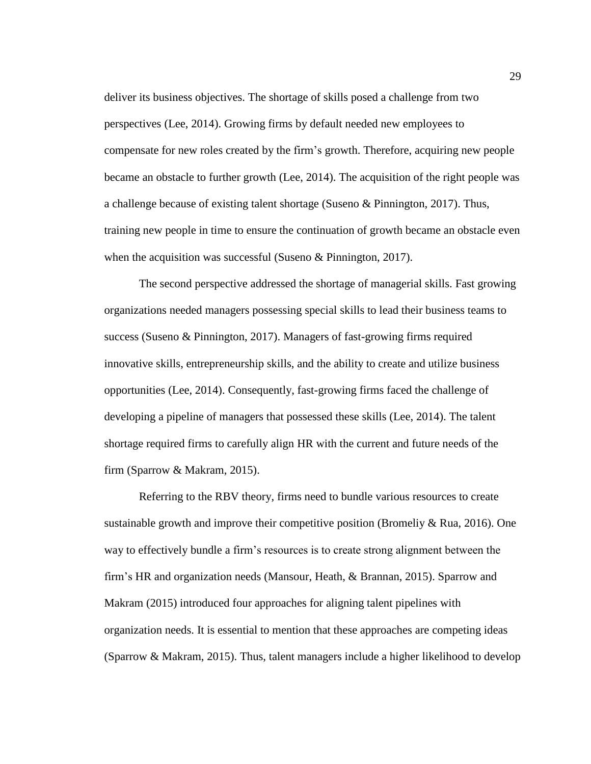deliver its business objectives. The shortage of skills posed a challenge from two perspectives (Lee, 2014). Growing firms by default needed new employees to compensate for new roles created by the firm's growth. Therefore, acquiring new people became an obstacle to further growth (Lee, 2014). The acquisition of the right people was a challenge because of existing talent shortage (Suseno & Pinnington, 2017). Thus, training new people in time to ensure the continuation of growth became an obstacle even when the acquisition was successful (Suseno & Pinnington, 2017).

The second perspective addressed the shortage of managerial skills. Fast growing organizations needed managers possessing special skills to lead their business teams to success (Suseno & Pinnington, 2017). Managers of fast-growing firms required innovative skills, entrepreneurship skills, and the ability to create and utilize business opportunities (Lee, 2014). Consequently, fast-growing firms faced the challenge of developing a pipeline of managers that possessed these skills (Lee, 2014). The talent shortage required firms to carefully align HR with the current and future needs of the firm (Sparrow & Makram, 2015).

Referring to the RBV theory, firms need to bundle various resources to create sustainable growth and improve their competitive position (Bromeliy & Rua, 2016). One way to effectively bundle a firm's resources is to create strong alignment between the firm's HR and organization needs (Mansour, Heath, & Brannan, 2015). Sparrow and Makram (2015) introduced four approaches for aligning talent pipelines with organization needs. It is essential to mention that these approaches are competing ideas (Sparrow & Makram, 2015). Thus, talent managers include a higher likelihood to develop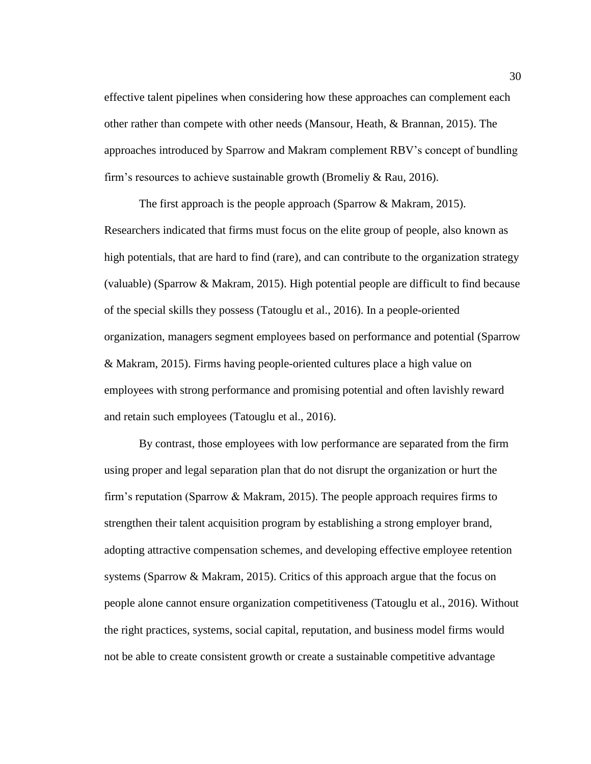effective talent pipelines when considering how these approaches can complement each other rather than compete with other needs (Mansour, Heath, & Brannan, 2015). The approaches introduced by Sparrow and Makram complement RBV's concept of bundling firm's resources to achieve sustainable growth (Bromeliy & Rau, 2016).

The first approach is the people approach (Sparrow & Makram, 2015). Researchers indicated that firms must focus on the elite group of people, also known as high potentials, that are hard to find (rare), and can contribute to the organization strategy (valuable) (Sparrow & Makram, 2015). High potential people are difficult to find because of the special skills they possess (Tatouglu et al., 2016). In a people-oriented organization, managers segment employees based on performance and potential (Sparrow & Makram, 2015). Firms having people-oriented cultures place a high value on employees with strong performance and promising potential and often lavishly reward and retain such employees (Tatouglu et al., 2016).

By contrast, those employees with low performance are separated from the firm using proper and legal separation plan that do not disrupt the organization or hurt the firm's reputation (Sparrow & Makram, 2015). The people approach requires firms to strengthen their talent acquisition program by establishing a strong employer brand, adopting attractive compensation schemes, and developing effective employee retention systems (Sparrow & Makram, 2015). Critics of this approach argue that the focus on people alone cannot ensure organization competitiveness (Tatouglu et al., 2016). Without the right practices, systems, social capital, reputation, and business model firms would not be able to create consistent growth or create a sustainable competitive advantage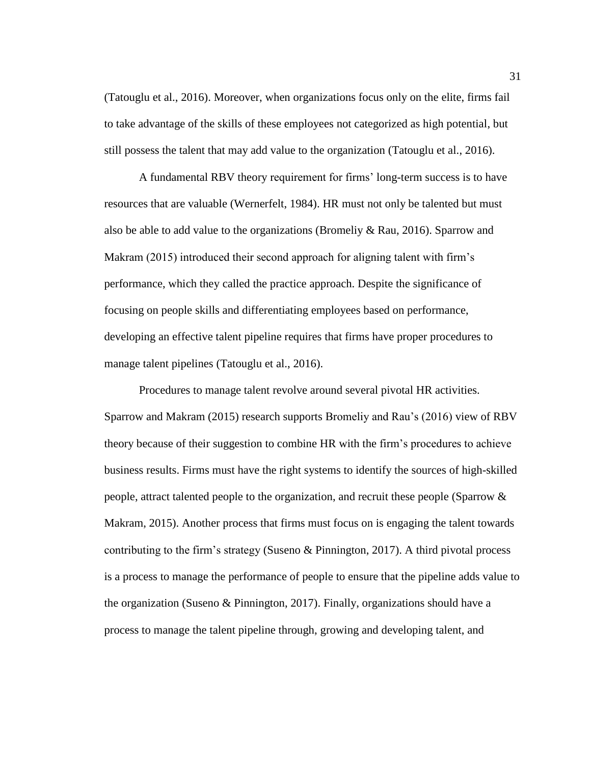(Tatouglu et al., 2016). Moreover, when organizations focus only on the elite, firms fail to take advantage of the skills of these employees not categorized as high potential, but still possess the talent that may add value to the organization (Tatouglu et al., 2016).

A fundamental RBV theory requirement for firms' long-term success is to have resources that are valuable (Wernerfelt, 1984). HR must not only be talented but must also be able to add value to the organizations (Bromeliy & Rau, 2016). Sparrow and Makram (2015) introduced their second approach for aligning talent with firm's performance, which they called the practice approach. Despite the significance of focusing on people skills and differentiating employees based on performance, developing an effective talent pipeline requires that firms have proper procedures to manage talent pipelines (Tatouglu et al., 2016).

Procedures to manage talent revolve around several pivotal HR activities. Sparrow and Makram (2015) research supports Bromeliy and Rau's (2016) view of RBV theory because of their suggestion to combine HR with the firm's procedures to achieve business results. Firms must have the right systems to identify the sources of high-skilled people, attract talented people to the organization, and recruit these people (Sparrow & Makram, 2015). Another process that firms must focus on is engaging the talent towards contributing to the firm's strategy (Suseno & Pinnington, 2017). A third pivotal process is a process to manage the performance of people to ensure that the pipeline adds value to the organization (Suseno & Pinnington, 2017). Finally, organizations should have a process to manage the talent pipeline through, growing and developing talent, and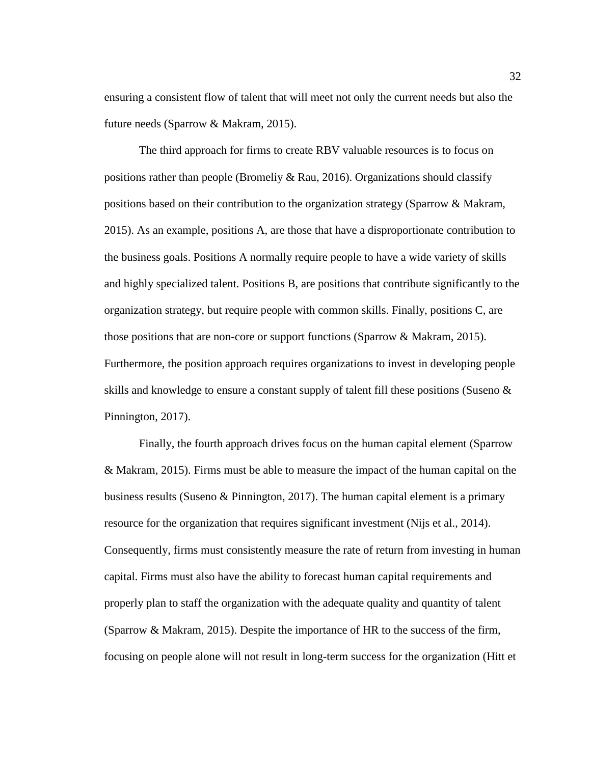ensuring a consistent flow of talent that will meet not only the current needs but also the future needs (Sparrow & Makram, 2015).

The third approach for firms to create RBV valuable resources is to focus on positions rather than people (Bromeliy & Rau, 2016). Organizations should classify positions based on their contribution to the organization strategy (Sparrow & Makram, 2015). As an example, positions A, are those that have a disproportionate contribution to the business goals. Positions A normally require people to have a wide variety of skills and highly specialized talent. Positions B, are positions that contribute significantly to the organization strategy, but require people with common skills. Finally, positions C, are those positions that are non-core or support functions (Sparrow & Makram, 2015). Furthermore, the position approach requires organizations to invest in developing people skills and knowledge to ensure a constant supply of talent fill these positions (Suseno & Pinnington, 2017).

Finally, the fourth approach drives focus on the human capital element (Sparrow & Makram, 2015). Firms must be able to measure the impact of the human capital on the business results (Suseno & Pinnington, 2017). The human capital element is a primary resource for the organization that requires significant investment (Nijs et al., 2014). Consequently, firms must consistently measure the rate of return from investing in human capital. Firms must also have the ability to forecast human capital requirements and properly plan to staff the organization with the adequate quality and quantity of talent (Sparrow & Makram, 2015). Despite the importance of HR to the success of the firm, focusing on people alone will not result in long-term success for the organization (Hitt et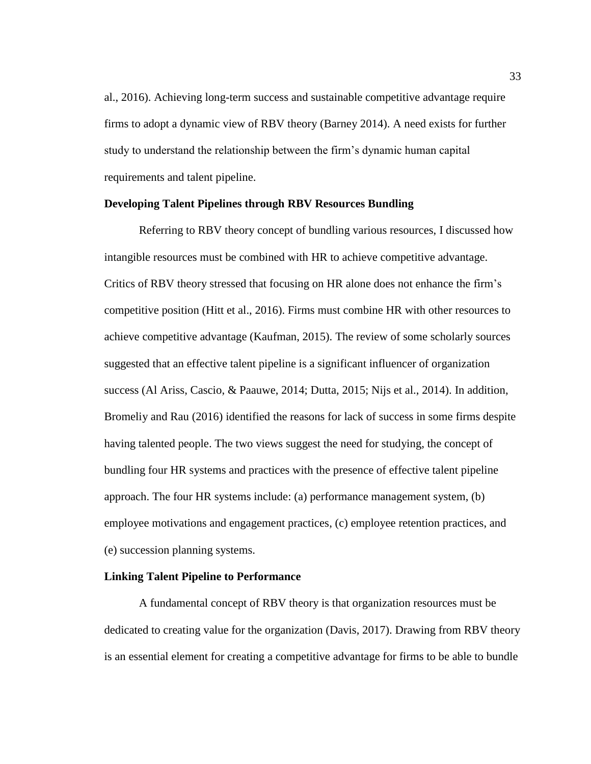al., 2016). Achieving long-term success and sustainable competitive advantage require firms to adopt a dynamic view of RBV theory (Barney 2014). A need exists for further study to understand the relationship between the firm's dynamic human capital requirements and talent pipeline.

## **Developing Talent Pipelines through RBV Resources Bundling**

Referring to RBV theory concept of bundling various resources, I discussed how intangible resources must be combined with HR to achieve competitive advantage. Critics of RBV theory stressed that focusing on HR alone does not enhance the firm's competitive position (Hitt et al., 2016). Firms must combine HR with other resources to achieve competitive advantage (Kaufman, 2015). The review of some scholarly sources suggested that an effective talent pipeline is a significant influencer of organization success (Al Ariss, Cascio, & Paauwe, 2014; Dutta, 2015; Nijs et al., 2014). In addition, Bromeliy and Rau (2016) identified the reasons for lack of success in some firms despite having talented people. The two views suggest the need for studying, the concept of bundling four HR systems and practices with the presence of effective talent pipeline approach. The four HR systems include: (a) performance management system, (b) employee motivations and engagement practices, (c) employee retention practices, and (e) succession planning systems.

#### **Linking Talent Pipeline to Performance**

A fundamental concept of RBV theory is that organization resources must be dedicated to creating value for the organization (Davis, 2017). Drawing from RBV theory is an essential element for creating a competitive advantage for firms to be able to bundle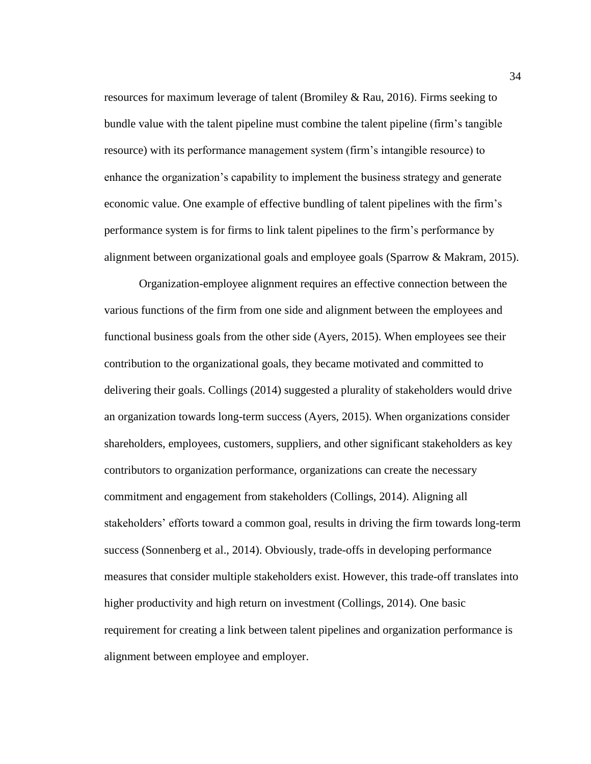resources for maximum leverage of talent (Bromiley & Rau, 2016). Firms seeking to bundle value with the talent pipeline must combine the talent pipeline (firm's tangible resource) with its performance management system (firm's intangible resource) to enhance the organization's capability to implement the business strategy and generate economic value. One example of effective bundling of talent pipelines with the firm's performance system is for firms to link talent pipelines to the firm's performance by alignment between organizational goals and employee goals (Sparrow & Makram, 2015).

Organization-employee alignment requires an effective connection between the various functions of the firm from one side and alignment between the employees and functional business goals from the other side (Ayers, 2015). When employees see their contribution to the organizational goals, they became motivated and committed to delivering their goals. Collings (2014) suggested a plurality of stakeholders would drive an organization towards long-term success (Ayers, 2015). When organizations consider shareholders, employees, customers, suppliers, and other significant stakeholders as key contributors to organization performance, organizations can create the necessary commitment and engagement from stakeholders (Collings, 2014). Aligning all stakeholders' efforts toward a common goal, results in driving the firm towards long-term success (Sonnenberg et al., 2014). Obviously, trade-offs in developing performance measures that consider multiple stakeholders exist. However, this trade-off translates into higher productivity and high return on investment (Collings, 2014). One basic requirement for creating a link between talent pipelines and organization performance is alignment between employee and employer.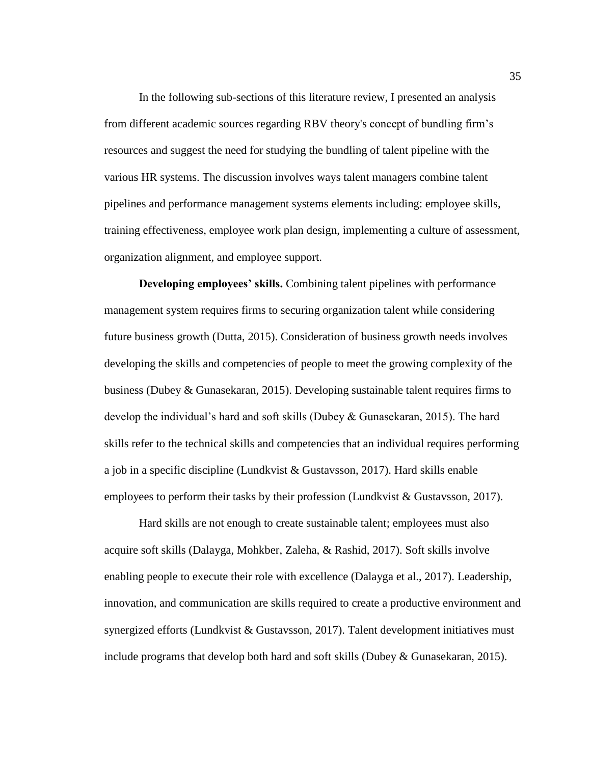In the following sub-sections of this literature review, I presented an analysis from different academic sources regarding RBV theory's concept of bundling firm's resources and suggest the need for studying the bundling of talent pipeline with the various HR systems. The discussion involves ways talent managers combine talent pipelines and performance management systems elements including: employee skills, training effectiveness, employee work plan design, implementing a culture of assessment, organization alignment, and employee support.

**Developing employees' skills.** Combining talent pipelines with performance management system requires firms to securing organization talent while considering future business growth (Dutta, 2015). Consideration of business growth needs involves developing the skills and competencies of people to meet the growing complexity of the business (Dubey & Gunasekaran, 2015). Developing sustainable talent requires firms to develop the individual's hard and soft skills (Dubey & Gunasekaran, 2015). The hard skills refer to the technical skills and competencies that an individual requires performing a job in a specific discipline (Lundkvist & Gustavsson, 2017). Hard skills enable employees to perform their tasks by their profession (Lundkvist & Gustavsson, 2017).

Hard skills are not enough to create sustainable talent; employees must also acquire soft skills (Dalayga, Mohkber, Zaleha, & Rashid, 2017). Soft skills involve enabling people to execute their role with excellence (Dalayga et al., 2017). Leadership, innovation, and communication are skills required to create a productive environment and synergized efforts (Lundkvist & Gustavsson, 2017). Talent development initiatives must include programs that develop both hard and soft skills (Dubey & Gunasekaran, 2015).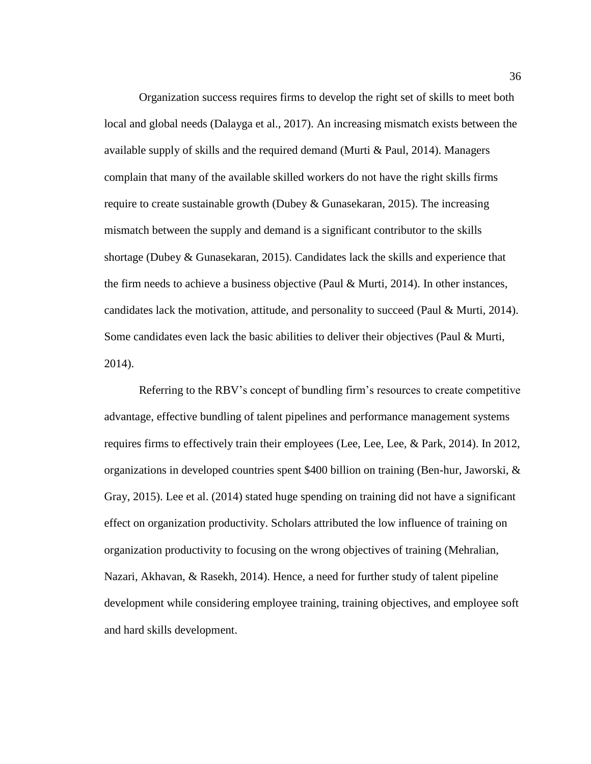Organization success requires firms to develop the right set of skills to meet both local and global needs (Dalayga et al., 2017). An increasing mismatch exists between the available supply of skills and the required demand (Murti & Paul, 2014). Managers complain that many of the available skilled workers do not have the right skills firms require to create sustainable growth (Dubey & Gunasekaran, 2015). The increasing mismatch between the supply and demand is a significant contributor to the skills shortage (Dubey & Gunasekaran, 2015). Candidates lack the skills and experience that the firm needs to achieve a business objective (Paul & Murti, 2014). In other instances, candidates lack the motivation, attitude, and personality to succeed (Paul & Murti, 2014). Some candidates even lack the basic abilities to deliver their objectives (Paul & Murti, 2014).

Referring to the RBV's concept of bundling firm's resources to create competitive advantage, effective bundling of talent pipelines and performance management systems requires firms to effectively train their employees (Lee, Lee, Lee, & Park, 2014). In 2012, organizations in developed countries spent \$400 billion on training (Ben-hur, Jaworski, & Gray, 2015). Lee et al. (2014) stated huge spending on training did not have a significant effect on organization productivity. Scholars attributed the low influence of training on organization productivity to focusing on the wrong objectives of training (Mehralian, Nazari, Akhavan, & Rasekh, 2014). Hence, a need for further study of talent pipeline development while considering employee training, training objectives, and employee soft and hard skills development.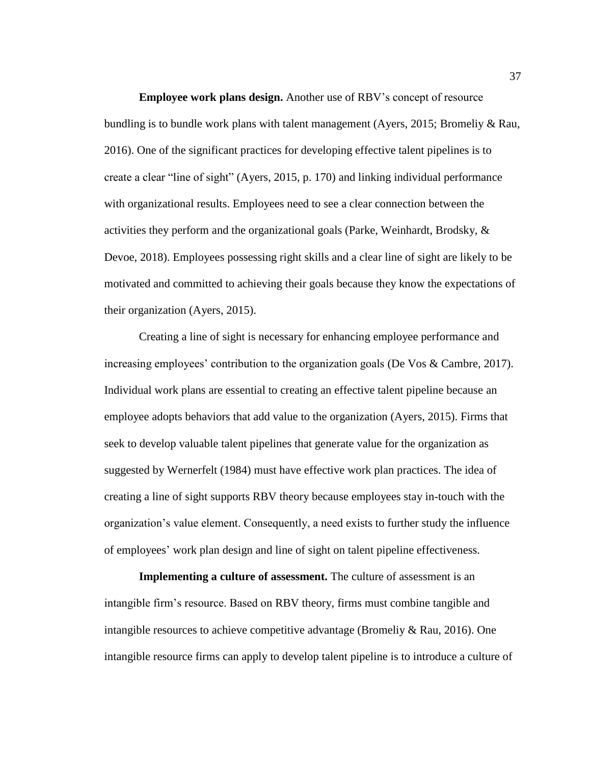**Employee work plans design.** Another use of RBV's concept of resource bundling is to bundle work plans with talent management (Ayers, 2015; Bromeliy & Rau, 2016). One of the significant practices for developing effective talent pipelines is to create a clear "line of sight" (Ayers, 2015, p. 170) and linking individual performance with organizational results. Employees need to see a clear connection between the activities they perform and the organizational goals (Parke, Weinhardt, Brodsky, & Devoe, 2018). Employees possessing right skills and a clear line of sight are likely to be motivated and committed to achieving their goals because they know the expectations of their organization (Ayers, 2015).

Creating a line of sight is necessary for enhancing employee performance and increasing employees' contribution to the organization goals (De Vos & Cambre, 2017). Individual work plans are essential to creating an effective talent pipeline because an employee adopts behaviors that add value to the organization (Ayers, 2015). Firms that seek to develop valuable talent pipelines that generate value for the organization as suggested by Wernerfelt (1984) must have effective work plan practices. The idea of creating a line of sight supports RBV theory because employees stay in-touch with the organization's value element. Consequently, a need exists to further study the influence of employees' work plan design and line of sight on talent pipeline effectiveness.

**Implementing a culture of assessment.** The culture of assessment is an intangible firm's resource. Based on RBV theory, firms must combine tangible and intangible resources to achieve competitive advantage (Bromeliy & Rau, 2016). One intangible resource firms can apply to develop talent pipeline is to introduce a culture of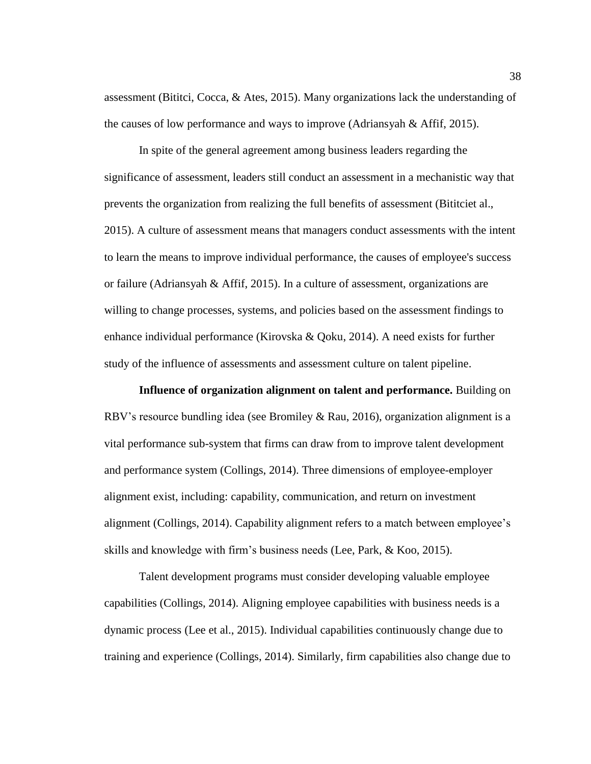assessment (Bititci, Cocca, & Ates, 2015). Many organizations lack the understanding of the causes of low performance and ways to improve (Adriansyah & Affif, 2015).

In spite of the general agreement among business leaders regarding the significance of assessment, leaders still conduct an assessment in a mechanistic way that prevents the organization from realizing the full benefits of assessment (Bititciet al., 2015). A culture of assessment means that managers conduct assessments with the intent to learn the means to improve individual performance, the causes of employee's success or failure (Adriansyah & Affif, 2015). In a culture of assessment, organizations are willing to change processes, systems, and policies based on the assessment findings to enhance individual performance (Kirovska & Qoku, 2014). A need exists for further study of the influence of assessments and assessment culture on talent pipeline.

**Influence of organization alignment on talent and performance.** Building on RBV's resource bundling idea (see Bromiley & Rau, 2016), organization alignment is a vital performance sub-system that firms can draw from to improve talent development and performance system (Collings, 2014). Three dimensions of employee-employer alignment exist, including: capability, communication, and return on investment alignment (Collings, 2014). Capability alignment refers to a match between employee's skills and knowledge with firm's business needs (Lee, Park, & Koo, 2015).

Talent development programs must consider developing valuable employee capabilities (Collings, 2014). Aligning employee capabilities with business needs is a dynamic process (Lee et al., 2015). Individual capabilities continuously change due to training and experience (Collings, 2014). Similarly, firm capabilities also change due to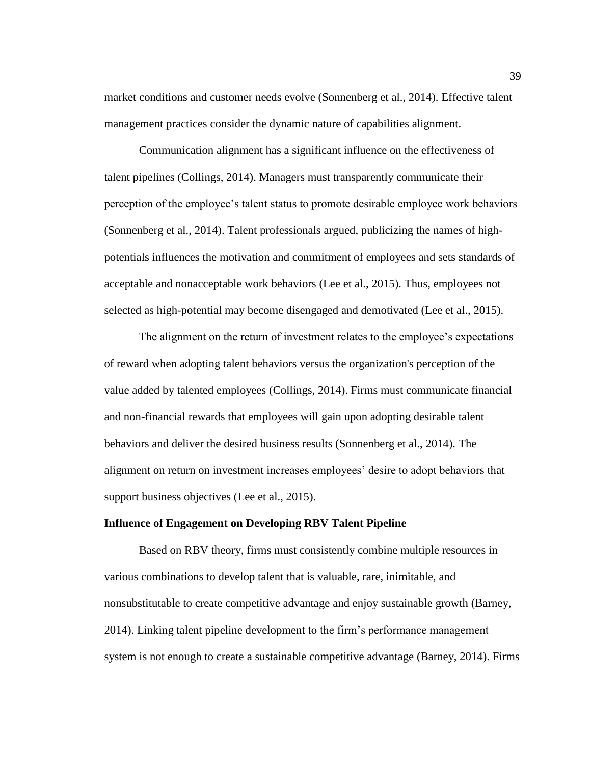market conditions and customer needs evolve (Sonnenberg et al., 2014). Effective talent management practices consider the dynamic nature of capabilities alignment.

Communication alignment has a significant influence on the effectiveness of talent pipelines (Collings, 2014). Managers must transparently communicate their perception of the employee's talent status to promote desirable employee work behaviors (Sonnenberg et al., 2014). Talent professionals argued, publicizing the names of highpotentials influences the motivation and commitment of employees and sets standards of acceptable and nonacceptable work behaviors (Lee et al., 2015). Thus, employees not selected as high-potential may become disengaged and demotivated (Lee et al., 2015).

The alignment on the return of investment relates to the employee's expectations of reward when adopting talent behaviors versus the organization's perception of the value added by talented employees (Collings, 2014). Firms must communicate financial and non-financial rewards that employees will gain upon adopting desirable talent behaviors and deliver the desired business results (Sonnenberg et al., 2014). The alignment on return on investment increases employees' desire to adopt behaviors that support business objectives (Lee et al., 2015).

### **Influence of Engagement on Developing RBV Talent Pipeline**

Based on RBV theory, firms must consistently combine multiple resources in various combinations to develop talent that is valuable, rare, inimitable, and nonsubstitutable to create competitive advantage and enjoy sustainable growth (Barney, 2014). Linking talent pipeline development to the firm's performance management system is not enough to create a sustainable competitive advantage (Barney, 2014). Firms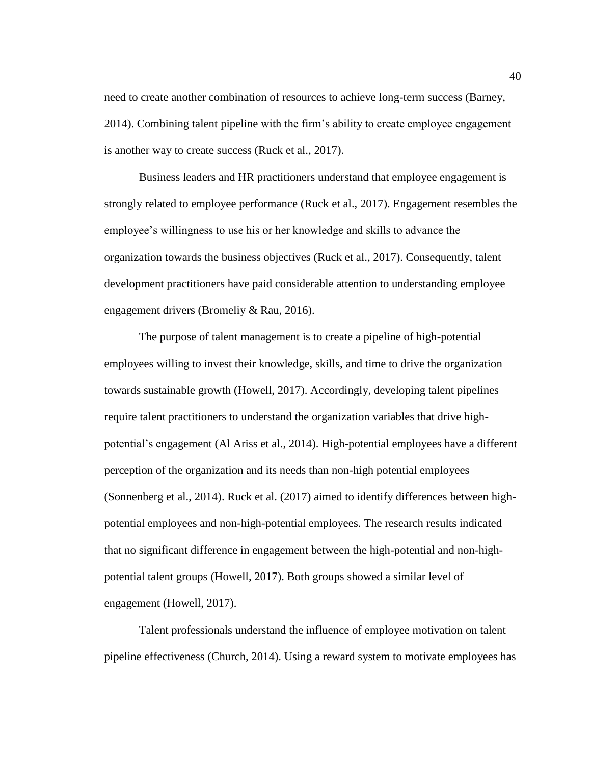need to create another combination of resources to achieve long-term success (Barney, 2014). Combining talent pipeline with the firm's ability to create employee engagement is another way to create success (Ruck et al., 2017).

Business leaders and HR practitioners understand that employee engagement is strongly related to employee performance (Ruck et al., 2017). Engagement resembles the employee's willingness to use his or her knowledge and skills to advance the organization towards the business objectives (Ruck et al., 2017). Consequently, talent development practitioners have paid considerable attention to understanding employee engagement drivers (Bromeliy & Rau, 2016).

The purpose of talent management is to create a pipeline of high-potential employees willing to invest their knowledge, skills, and time to drive the organization towards sustainable growth (Howell, 2017). Accordingly, developing talent pipelines require talent practitioners to understand the organization variables that drive highpotential's engagement (Al Ariss et al., 2014). High-potential employees have a different perception of the organization and its needs than non-high potential employees (Sonnenberg et al., 2014). Ruck et al. (2017) aimed to identify differences between highpotential employees and non-high-potential employees. The research results indicated that no significant difference in engagement between the high-potential and non-highpotential talent groups (Howell, 2017). Both groups showed a similar level of engagement (Howell, 2017).

Talent professionals understand the influence of employee motivation on talent pipeline effectiveness (Church, 2014). Using a reward system to motivate employees has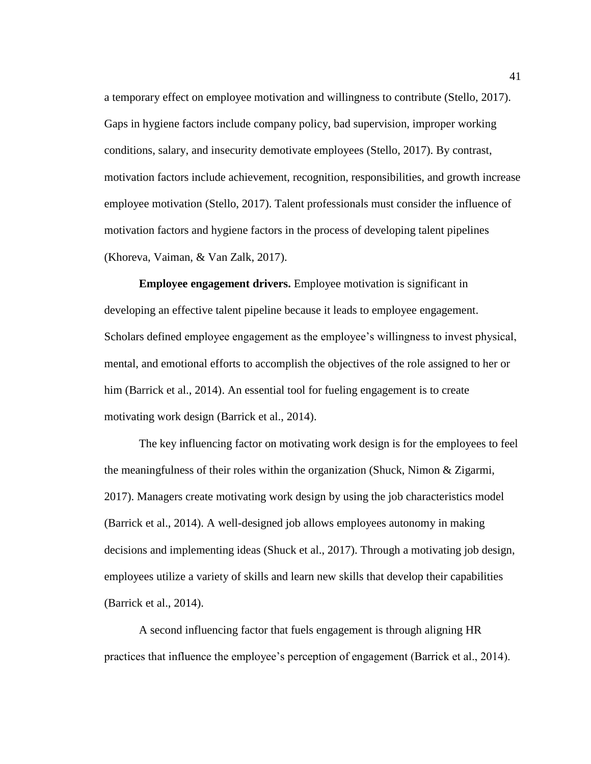a temporary effect on employee motivation and willingness to contribute (Stello, 2017). Gaps in hygiene factors include company policy, bad supervision, improper working conditions, salary, and insecurity demotivate employees (Stello, 2017). By contrast, motivation factors include achievement, recognition, responsibilities, and growth increase employee motivation (Stello, 2017). Talent professionals must consider the influence of motivation factors and hygiene factors in the process of developing talent pipelines (Khoreva, Vaiman, & Van Zalk, 2017).

**Employee engagement drivers.** Employee motivation is significant in developing an effective talent pipeline because it leads to employee engagement. Scholars defined employee engagement as the employee's willingness to invest physical, mental, and emotional efforts to accomplish the objectives of the role assigned to her or him (Barrick et al., 2014). An essential tool for fueling engagement is to create motivating work design (Barrick et al., 2014).

The key influencing factor on motivating work design is for the employees to feel the meaningfulness of their roles within the organization (Shuck, Nimon & Zigarmi, 2017). Managers create motivating work design by using the job characteristics model (Barrick et al., 2014). A well-designed job allows employees autonomy in making decisions and implementing ideas (Shuck et al., 2017). Through a motivating job design, employees utilize a variety of skills and learn new skills that develop their capabilities (Barrick et al., 2014).

A second influencing factor that fuels engagement is through aligning HR practices that influence the employee's perception of engagement (Barrick et al., 2014).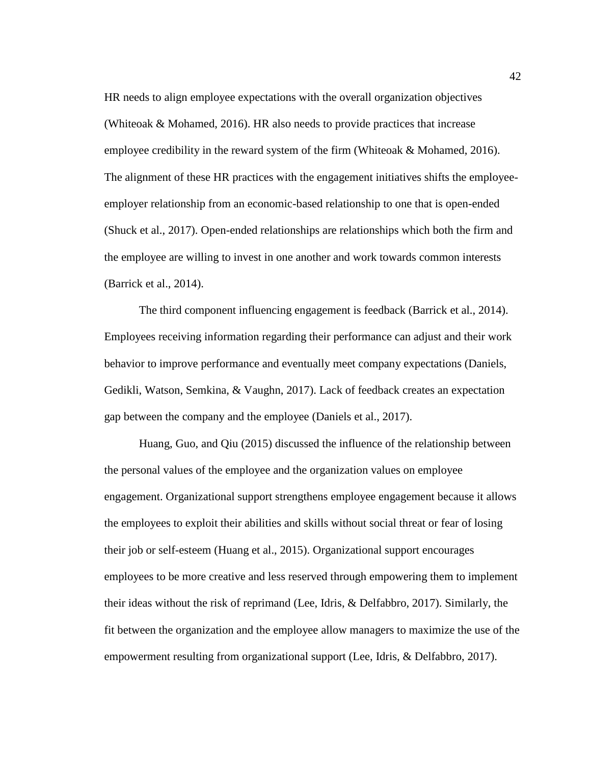HR needs to align employee expectations with the overall organization objectives (Whiteoak & Mohamed, 2016). HR also needs to provide practices that increase employee credibility in the reward system of the firm (Whiteoak  $\&$  Mohamed, 2016). The alignment of these HR practices with the engagement initiatives shifts the employeeemployer relationship from an economic-based relationship to one that is open-ended (Shuck et al., 2017). Open-ended relationships are relationships which both the firm and the employee are willing to invest in one another and work towards common interests (Barrick et al., 2014).

The third component influencing engagement is feedback (Barrick et al., 2014). Employees receiving information regarding their performance can adjust and their work behavior to improve performance and eventually meet company expectations (Daniels, Gedikli, Watson, Semkina, & Vaughn, 2017). Lack of feedback creates an expectation gap between the company and the employee (Daniels et al., 2017).

Huang, Guo, and Qiu (2015) discussed the influence of the relationship between the personal values of the employee and the organization values on employee engagement. Organizational support strengthens employee engagement because it allows the employees to exploit their abilities and skills without social threat or fear of losing their job or self-esteem (Huang et al., 2015). Organizational support encourages employees to be more creative and less reserved through empowering them to implement their ideas without the risk of reprimand (Lee, Idris, & Delfabbro, 2017). Similarly, the fit between the organization and the employee allow managers to maximize the use of the empowerment resulting from organizational support (Lee, Idris, & Delfabbro, 2017).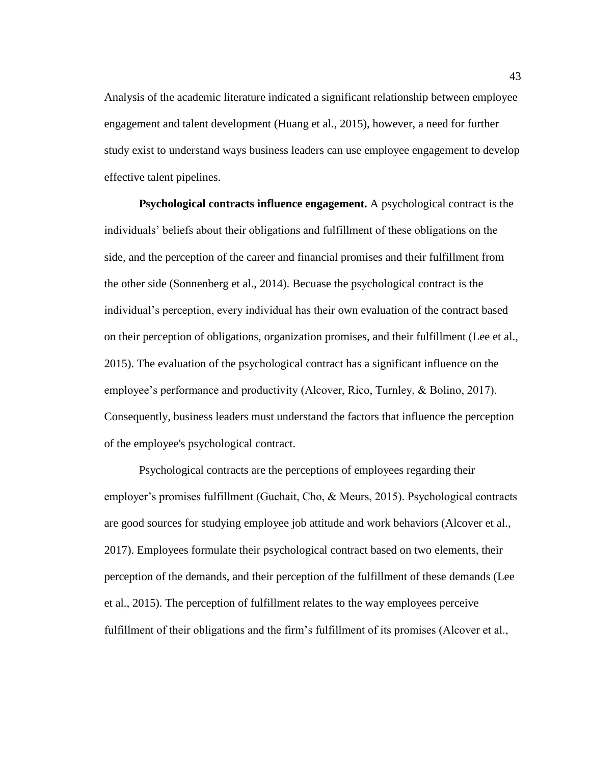Analysis of the academic literature indicated a significant relationship between employee engagement and talent development (Huang et al., 2015), however, a need for further study exist to understand ways business leaders can use employee engagement to develop effective talent pipelines.

**Psychological contracts influence engagement.** A psychological contract is the individuals' beliefs about their obligations and fulfillment of these obligations on the side, and the perception of the career and financial promises and their fulfillment from the other side (Sonnenberg et al., 2014). Becuase the psychological contract is the individual's perception, every individual has their own evaluation of the contract based on their perception of obligations, organization promises, and their fulfillment (Lee et al., 2015). The evaluation of the psychological contract has a significant influence on the employee's performance and productivity (Alcover, Rico, Turnley, & Bolino, 2017). Consequently, business leaders must understand the factors that influence the perception of the employee's psychological contract.

Psychological contracts are the perceptions of employees regarding their employer's promises fulfillment (Guchait, Cho, & Meurs, 2015). Psychological contracts are good sources for studying employee job attitude and work behaviors (Alcover et al., 2017). Employees formulate their psychological contract based on two elements, their perception of the demands, and their perception of the fulfillment of these demands (Lee et al., 2015). The perception of fulfillment relates to the way employees perceive fulfillment of their obligations and the firm's fulfillment of its promises (Alcover et al.,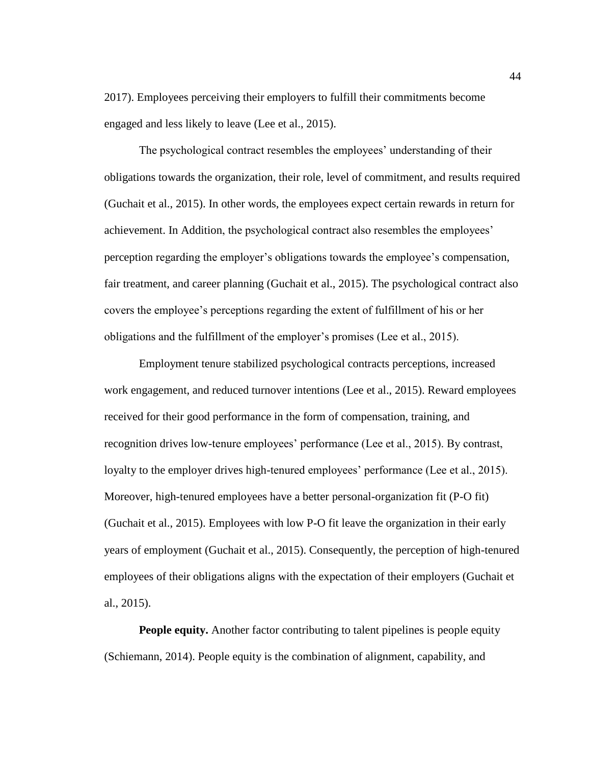2017). Employees perceiving their employers to fulfill their commitments become engaged and less likely to leave (Lee et al., 2015).

The psychological contract resembles the employees' understanding of their obligations towards the organization, their role, level of commitment, and results required (Guchait et al., 2015). In other words, the employees expect certain rewards in return for achievement. In Addition, the psychological contract also resembles the employees' perception regarding the employer's obligations towards the employee's compensation, fair treatment, and career planning (Guchait et al., 2015). The psychological contract also covers the employee's perceptions regarding the extent of fulfillment of his or her obligations and the fulfillment of the employer's promises (Lee et al., 2015).

Employment tenure stabilized psychological contracts perceptions, increased work engagement, and reduced turnover intentions (Lee et al., 2015). Reward employees received for their good performance in the form of compensation, training, and recognition drives low-tenure employees' performance (Lee et al., 2015). By contrast, loyalty to the employer drives high-tenured employees' performance (Lee et al., 2015). Moreover, high-tenured employees have a better personal-organization fit (P-O fit) (Guchait et al., 2015). Employees with low P-O fit leave the organization in their early years of employment (Guchait et al., 2015). Consequently, the perception of high-tenured employees of their obligations aligns with the expectation of their employers (Guchait et al., 2015).

**People equity.** Another factor contributing to talent pipelines is people equity (Schiemann, 2014). People equity is the combination of alignment, capability, and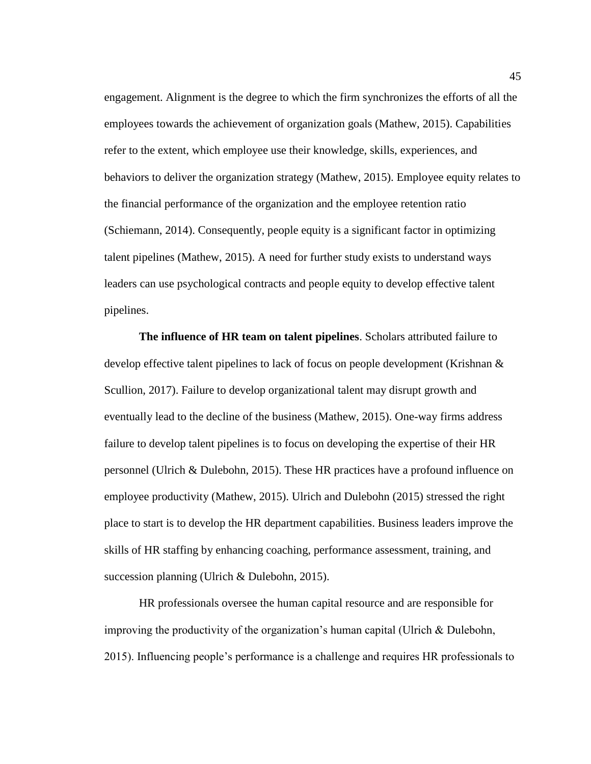engagement. Alignment is the degree to which the firm synchronizes the efforts of all the employees towards the achievement of organization goals (Mathew, 2015). Capabilities refer to the extent, which employee use their knowledge, skills, experiences, and behaviors to deliver the organization strategy (Mathew, 2015). Employee equity relates to the financial performance of the organization and the employee retention ratio (Schiemann, 2014). Consequently, people equity is a significant factor in optimizing talent pipelines (Mathew, 2015). A need for further study exists to understand ways leaders can use psychological contracts and people equity to develop effective talent pipelines.

**The influence of HR team on talent pipelines**. Scholars attributed failure to develop effective talent pipelines to lack of focus on people development (Krishnan & Scullion, 2017). Failure to develop organizational talent may disrupt growth and eventually lead to the decline of the business (Mathew, 2015). One-way firms address failure to develop talent pipelines is to focus on developing the expertise of their HR personnel (Ulrich & Dulebohn, 2015). These HR practices have a profound influence on employee productivity (Mathew, 2015). Ulrich and Dulebohn (2015) stressed the right place to start is to develop the HR department capabilities. Business leaders improve the skills of HR staffing by enhancing coaching, performance assessment, training, and succession planning (Ulrich & Dulebohn, 2015).

HR professionals oversee the human capital resource and are responsible for improving the productivity of the organization's human capital (Ulrich & Dulebohn, 2015). Influencing people's performance is a challenge and requires HR professionals to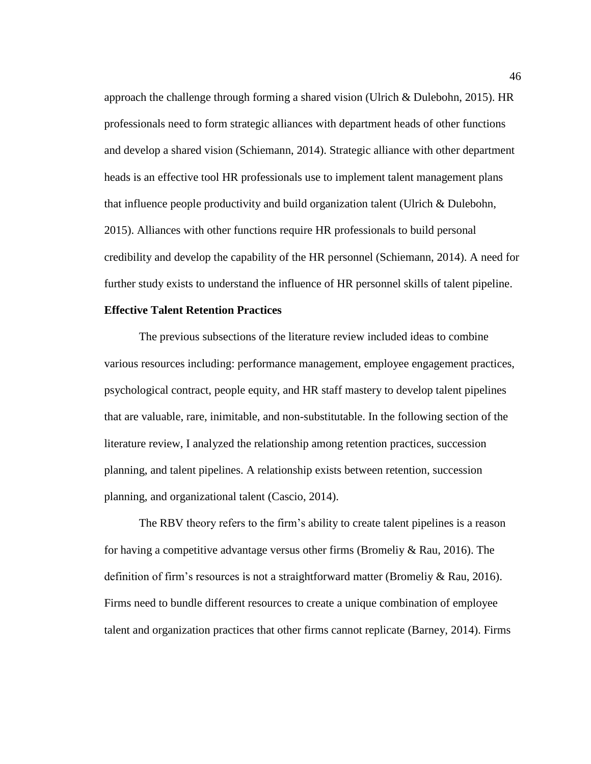approach the challenge through forming a shared vision (Ulrich & Dulebohn, 2015). HR professionals need to form strategic alliances with department heads of other functions and develop a shared vision (Schiemann, 2014). Strategic alliance with other department heads is an effective tool HR professionals use to implement talent management plans that influence people productivity and build organization talent (Ulrich & Dulebohn, 2015). Alliances with other functions require HR professionals to build personal credibility and develop the capability of the HR personnel (Schiemann, 2014). A need for further study exists to understand the influence of HR personnel skills of talent pipeline.

## **Effective Talent Retention Practices**

The previous subsections of the literature review included ideas to combine various resources including: performance management, employee engagement practices, psychological contract, people equity, and HR staff mastery to develop talent pipelines that are valuable, rare, inimitable, and non-substitutable. In the following section of the literature review, I analyzed the relationship among retention practices, succession planning, and talent pipelines. A relationship exists between retention, succession planning, and organizational talent (Cascio, 2014).

The RBV theory refers to the firm's ability to create talent pipelines is a reason for having a competitive advantage versus other firms (Bromeliy & Rau, 2016). The definition of firm's resources is not a straightforward matter (Bromeliy & Rau, 2016). Firms need to bundle different resources to create a unique combination of employee talent and organization practices that other firms cannot replicate (Barney, 2014). Firms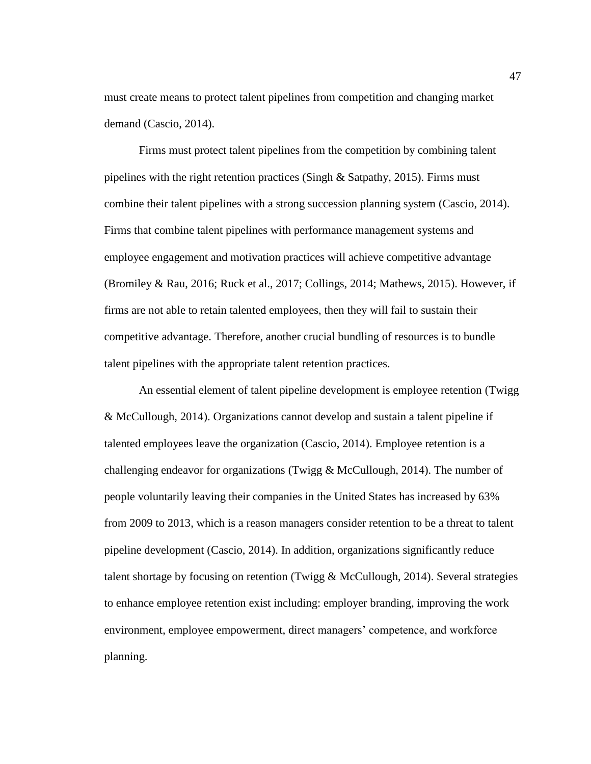must create means to protect talent pipelines from competition and changing market demand (Cascio, 2014).

Firms must protect talent pipelines from the competition by combining talent pipelines with the right retention practices (Singh & Satpathy, 2015). Firms must combine their talent pipelines with a strong succession planning system (Cascio, 2014). Firms that combine talent pipelines with performance management systems and employee engagement and motivation practices will achieve competitive advantage (Bromiley & Rau, 2016; Ruck et al., 2017; Collings, 2014; Mathews, 2015). However, if firms are not able to retain talented employees, then they will fail to sustain their competitive advantage. Therefore, another crucial bundling of resources is to bundle talent pipelines with the appropriate talent retention practices.

An essential element of talent pipeline development is employee retention (Twigg & McCullough, 2014). Organizations cannot develop and sustain a talent pipeline if talented employees leave the organization (Cascio, 2014). Employee retention is a challenging endeavor for organizations (Twigg  $&$  McCullough, 2014). The number of people voluntarily leaving their companies in the United States has increased by 63% from 2009 to 2013, which is a reason managers consider retention to be a threat to talent pipeline development (Cascio, 2014). In addition, organizations significantly reduce talent shortage by focusing on retention (Twigg & McCullough, 2014). Several strategies to enhance employee retention exist including: employer branding, improving the work environment, employee empowerment, direct managers' competence, and workforce planning.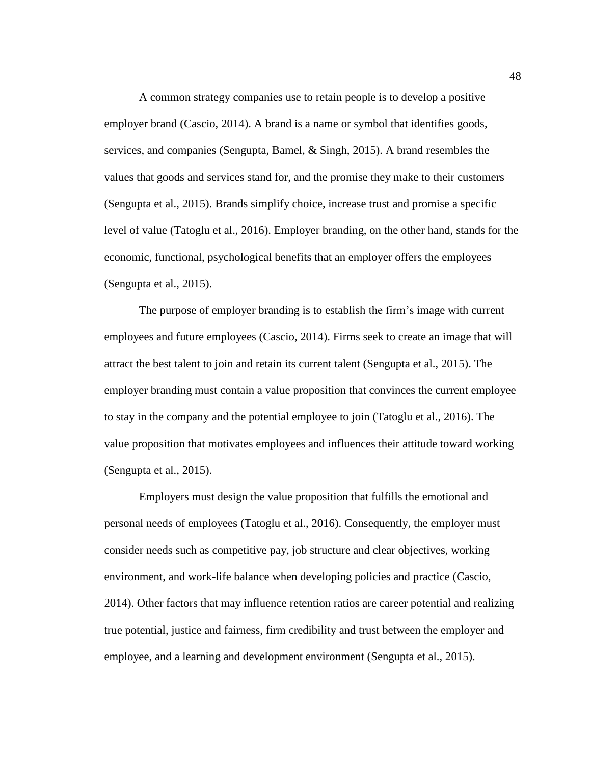A common strategy companies use to retain people is to develop a positive employer brand (Cascio, 2014). A brand is a name or symbol that identifies goods, services, and companies (Sengupta, Bamel, & Singh, 2015). A brand resembles the values that goods and services stand for, and the promise they make to their customers (Sengupta et al., 2015). Brands simplify choice, increase trust and promise a specific level of value (Tatoglu et al., 2016). Employer branding, on the other hand, stands for the economic, functional, psychological benefits that an employer offers the employees (Sengupta et al., 2015).

The purpose of employer branding is to establish the firm's image with current employees and future employees (Cascio, 2014). Firms seek to create an image that will attract the best talent to join and retain its current talent (Sengupta et al., 2015). The employer branding must contain a value proposition that convinces the current employee to stay in the company and the potential employee to join (Tatoglu et al., 2016). The value proposition that motivates employees and influences their attitude toward working (Sengupta et al., 2015).

Employers must design the value proposition that fulfills the emotional and personal needs of employees (Tatoglu et al., 2016). Consequently, the employer must consider needs such as competitive pay, job structure and clear objectives, working environment, and work-life balance when developing policies and practice (Cascio, 2014). Other factors that may influence retention ratios are career potential and realizing true potential, justice and fairness, firm credibility and trust between the employer and employee, and a learning and development environment (Sengupta et al., 2015).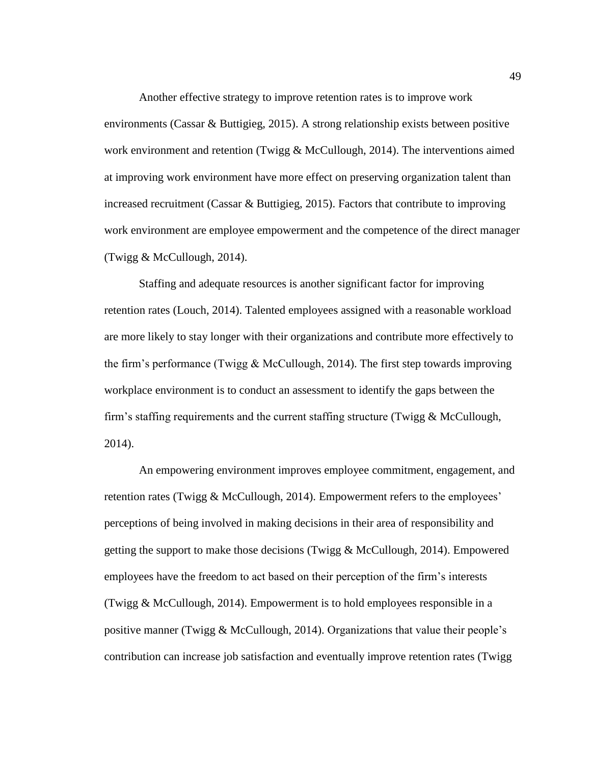Another effective strategy to improve retention rates is to improve work environments (Cassar & Buttigieg, 2015). A strong relationship exists between positive work environment and retention (Twigg & McCullough, 2014). The interventions aimed at improving work environment have more effect on preserving organization talent than increased recruitment (Cassar & Buttigieg, 2015). Factors that contribute to improving work environment are employee empowerment and the competence of the direct manager (Twigg & McCullough, 2014).

Staffing and adequate resources is another significant factor for improving retention rates (Louch, 2014). Talented employees assigned with a reasonable workload are more likely to stay longer with their organizations and contribute more effectively to the firm's performance (Twigg & McCullough, 2014). The first step towards improving workplace environment is to conduct an assessment to identify the gaps between the firm's staffing requirements and the current staffing structure (Twigg  $&$  McCullough, 2014).

An empowering environment improves employee commitment, engagement, and retention rates (Twigg & McCullough, 2014). Empowerment refers to the employees' perceptions of being involved in making decisions in their area of responsibility and getting the support to make those decisions (Twigg & McCullough, 2014). Empowered employees have the freedom to act based on their perception of the firm's interests (Twigg & McCullough, 2014). Empowerment is to hold employees responsible in a positive manner (Twigg & McCullough, 2014). Organizations that value their people's contribution can increase job satisfaction and eventually improve retention rates (Twigg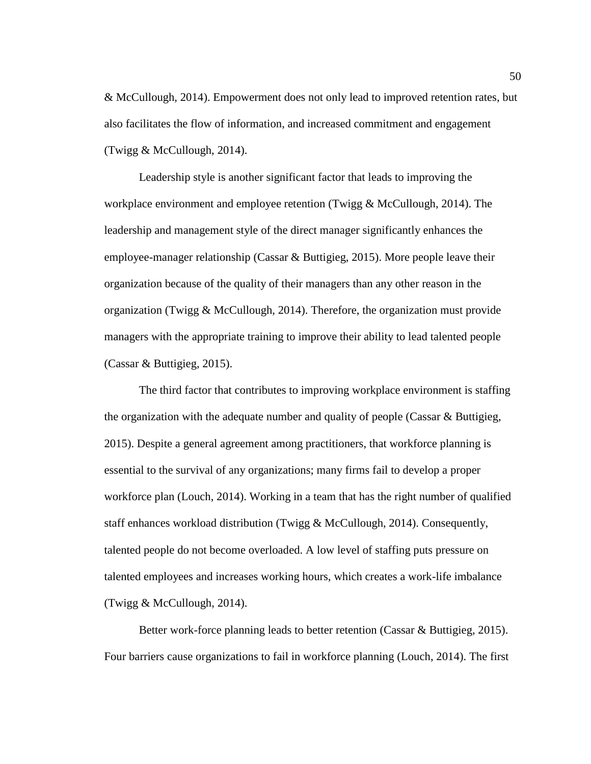& McCullough, 2014). Empowerment does not only lead to improved retention rates, but also facilitates the flow of information, and increased commitment and engagement (Twigg & McCullough, 2014).

Leadership style is another significant factor that leads to improving the workplace environment and employee retention (Twigg & McCullough, 2014). The leadership and management style of the direct manager significantly enhances the employee-manager relationship (Cassar & Buttigieg, 2015). More people leave their organization because of the quality of their managers than any other reason in the organization (Twigg & McCullough, 2014). Therefore, the organization must provide managers with the appropriate training to improve their ability to lead talented people (Cassar & Buttigieg, 2015).

The third factor that contributes to improving workplace environment is staffing the organization with the adequate number and quality of people (Cassar & Buttigieg, 2015). Despite a general agreement among practitioners, that workforce planning is essential to the survival of any organizations; many firms fail to develop a proper workforce plan (Louch, 2014). Working in a team that has the right number of qualified staff enhances workload distribution (Twigg & McCullough, 2014). Consequently, talented people do not become overloaded. A low level of staffing puts pressure on talented employees and increases working hours, which creates a work-life imbalance (Twigg & McCullough, 2014).

Better work-force planning leads to better retention (Cassar & Buttigieg, 2015). Four barriers cause organizations to fail in workforce planning (Louch, 2014). The first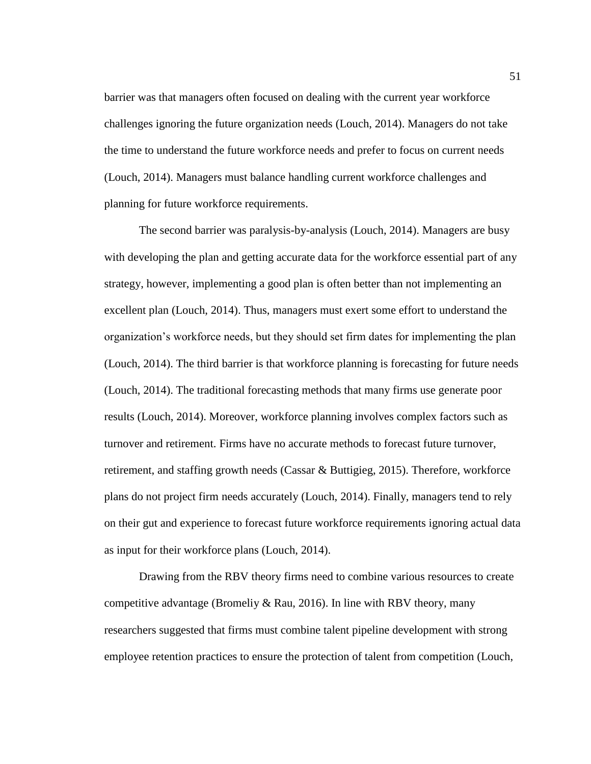barrier was that managers often focused on dealing with the current year workforce challenges ignoring the future organization needs (Louch, 2014). Managers do not take the time to understand the future workforce needs and prefer to focus on current needs (Louch, 2014). Managers must balance handling current workforce challenges and planning for future workforce requirements.

The second barrier was paralysis-by-analysis (Louch, 2014). Managers are busy with developing the plan and getting accurate data for the workforce essential part of any strategy, however, implementing a good plan is often better than not implementing an excellent plan (Louch, 2014). Thus, managers must exert some effort to understand the organization's workforce needs, but they should set firm dates for implementing the plan (Louch, 2014). The third barrier is that workforce planning is forecasting for future needs (Louch, 2014). The traditional forecasting methods that many firms use generate poor results (Louch, 2014). Moreover, workforce planning involves complex factors such as turnover and retirement. Firms have no accurate methods to forecast future turnover, retirement, and staffing growth needs (Cassar & Buttigieg, 2015). Therefore, workforce plans do not project firm needs accurately (Louch, 2014). Finally, managers tend to rely on their gut and experience to forecast future workforce requirements ignoring actual data as input for their workforce plans (Louch, 2014).

Drawing from the RBV theory firms need to combine various resources to create competitive advantage (Bromeliy & Rau, 2016). In line with RBV theory, many researchers suggested that firms must combine talent pipeline development with strong employee retention practices to ensure the protection of talent from competition (Louch,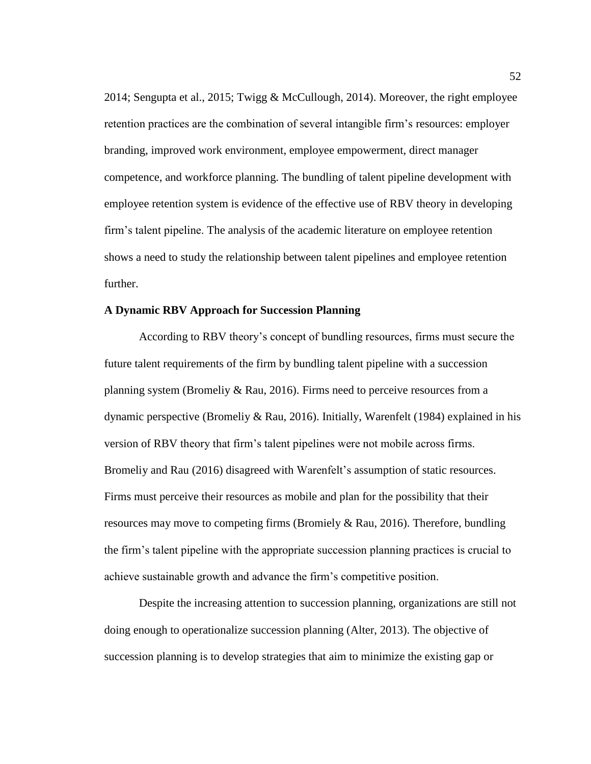2014; Sengupta et al., 2015; Twigg & McCullough, 2014). Moreover, the right employee retention practices are the combination of several intangible firm's resources: employer branding, improved work environment, employee empowerment, direct manager competence, and workforce planning. The bundling of talent pipeline development with employee retention system is evidence of the effective use of RBV theory in developing firm's talent pipeline. The analysis of the academic literature on employee retention shows a need to study the relationship between talent pipelines and employee retention further.

#### **A Dynamic RBV Approach for Succession Planning**

According to RBV theory's concept of bundling resources, firms must secure the future talent requirements of the firm by bundling talent pipeline with a succession planning system (Bromeliy & Rau, 2016). Firms need to perceive resources from a dynamic perspective (Bromeliy & Rau, 2016). Initially, Warenfelt (1984) explained in his version of RBV theory that firm's talent pipelines were not mobile across firms. Bromeliy and Rau (2016) disagreed with Warenfelt's assumption of static resources. Firms must perceive their resources as mobile and plan for the possibility that their resources may move to competing firms (Bromiely  $\&$  Rau, 2016). Therefore, bundling the firm's talent pipeline with the appropriate succession planning practices is crucial to achieve sustainable growth and advance the firm's competitive position.

Despite the increasing attention to succession planning, organizations are still not doing enough to operationalize succession planning (Alter, 2013). The objective of succession planning is to develop strategies that aim to minimize the existing gap or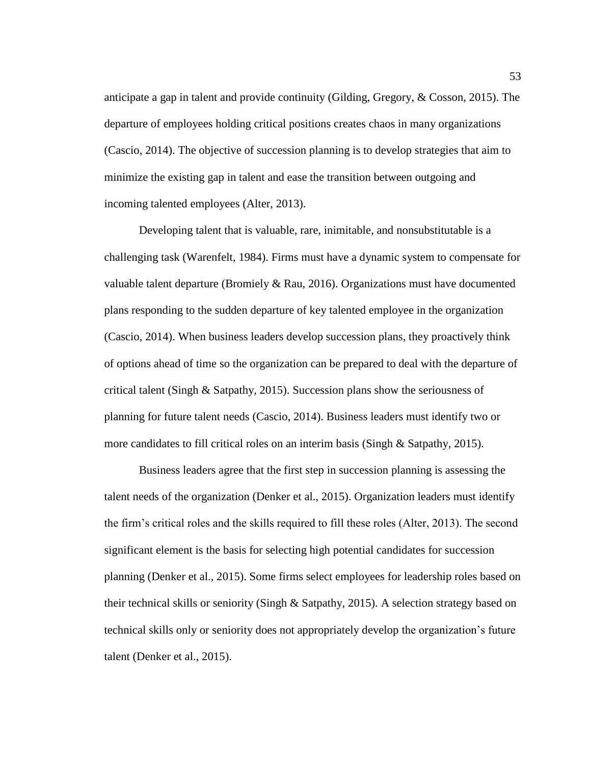anticipate a gap in talent and provide continuity (Gilding, Gregory, & Cosson, 2015). The departure of employees holding critical positions creates chaos in many organizations (Cascio, 2014). The objective of succession planning is to develop strategies that aim to minimize the existing gap in talent and ease the transition between outgoing and incoming talented employees (Alter, 2013).

Developing talent that is valuable, rare, inimitable, and nonsubstitutable is a challenging task (Warenfelt, 1984). Firms must have a dynamic system to compensate for valuable talent departure (Bromiely & Rau, 2016). Organizations must have documented plans responding to the sudden departure of key talented employee in the organization (Cascio, 2014). When business leaders develop succession plans, they proactively think of options ahead of time so the organization can be prepared to deal with the departure of critical talent (Singh  $\&$  Satpathy, 2015). Succession plans show the seriousness of planning for future talent needs (Cascio, 2014). Business leaders must identify two or more candidates to fill critical roles on an interim basis (Singh & Satpathy, 2015).

Business leaders agree that the first step in succession planning is assessing the talent needs of the organization (Denker et al., 2015). Organization leaders must identify the firm's critical roles and the skills required to fill these roles (Alter, 2013). The second significant element is the basis for selecting high potential candidates for succession planning (Denker et al., 2015). Some firms select employees for leadership roles based on their technical skills or seniority (Singh  $\&$  Satpathy, 2015). A selection strategy based on technical skills only or seniority does not appropriately develop the organization's future talent (Denker et al., 2015).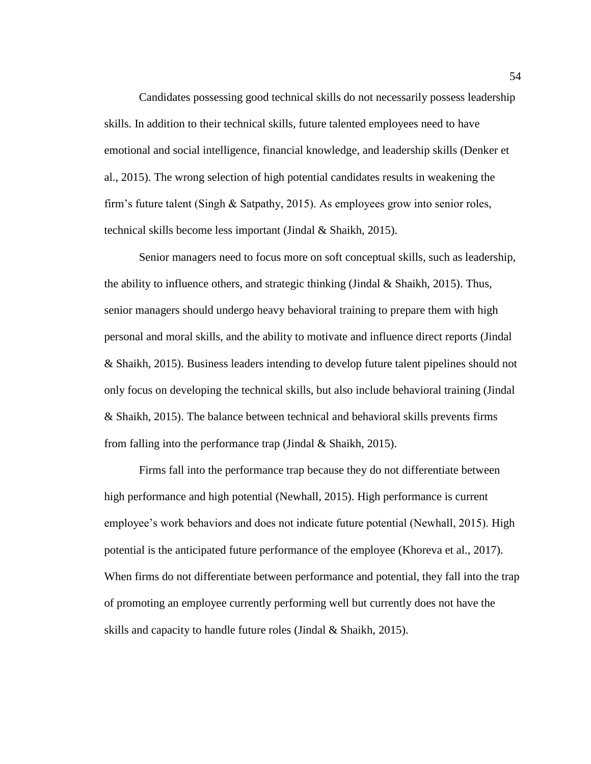Candidates possessing good technical skills do not necessarily possess leadership skills. In addition to their technical skills, future talented employees need to have emotional and social intelligence, financial knowledge, and leadership skills (Denker et al., 2015). The wrong selection of high potential candidates results in weakening the firm's future talent (Singh & Satpathy, 2015). As employees grow into senior roles, technical skills become less important (Jindal & Shaikh, 2015).

Senior managers need to focus more on soft conceptual skills, such as leadership, the ability to influence others, and strategic thinking (Jindal & Shaikh, 2015). Thus, senior managers should undergo heavy behavioral training to prepare them with high personal and moral skills, and the ability to motivate and influence direct reports (Jindal & Shaikh, 2015). Business leaders intending to develop future talent pipelines should not only focus on developing the technical skills, but also include behavioral training (Jindal & Shaikh, 2015). The balance between technical and behavioral skills prevents firms from falling into the performance trap (Jindal & Shaikh, 2015).

Firms fall into the performance trap because they do not differentiate between high performance and high potential (Newhall, 2015). High performance is current employee's work behaviors and does not indicate future potential (Newhall, 2015). High potential is the anticipated future performance of the employee (Khoreva et al., 2017). When firms do not differentiate between performance and potential, they fall into the trap of promoting an employee currently performing well but currently does not have the skills and capacity to handle future roles (Jindal & Shaikh, 2015).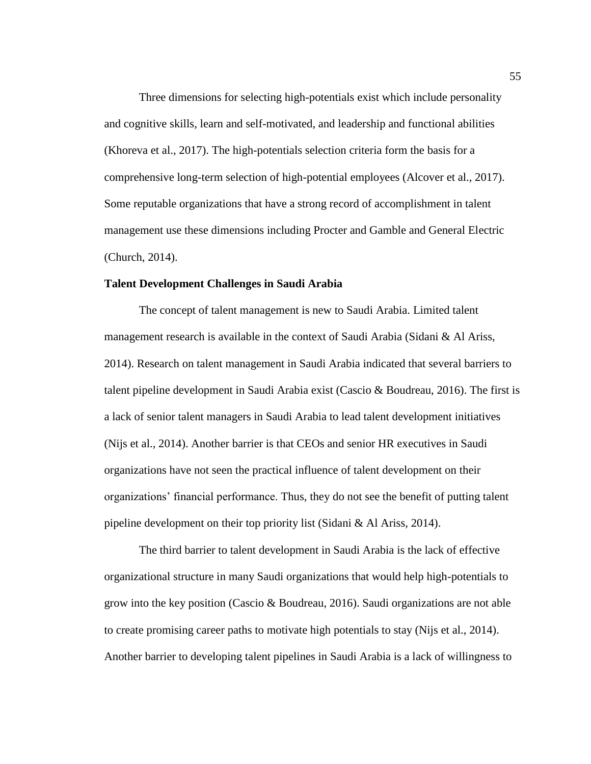Three dimensions for selecting high-potentials exist which include personality and cognitive skills, learn and self-motivated, and leadership and functional abilities (Khoreva et al., 2017). The high-potentials selection criteria form the basis for a comprehensive long-term selection of high-potential employees (Alcover et al., 2017). Some reputable organizations that have a strong record of accomplishment in talent management use these dimensions including Procter and Gamble and General Electric (Church, 2014).

#### **Talent Development Challenges in Saudi Arabia**

The concept of talent management is new to Saudi Arabia. Limited talent management research is available in the context of Saudi Arabia (Sidani & Al Ariss, 2014). Research on talent management in Saudi Arabia indicated that several barriers to talent pipeline development in Saudi Arabia exist (Cascio & Boudreau, 2016). The first is a lack of senior talent managers in Saudi Arabia to lead talent development initiatives (Nijs et al., 2014). Another barrier is that CEOs and senior HR executives in Saudi organizations have not seen the practical influence of talent development on their organizations' financial performance. Thus, they do not see the benefit of putting talent pipeline development on their top priority list (Sidani & Al Ariss, 2014).

The third barrier to talent development in Saudi Arabia is the lack of effective organizational structure in many Saudi organizations that would help high-potentials to grow into the key position (Cascio & Boudreau, 2016). Saudi organizations are not able to create promising career paths to motivate high potentials to stay (Nijs et al., 2014). Another barrier to developing talent pipelines in Saudi Arabia is a lack of willingness to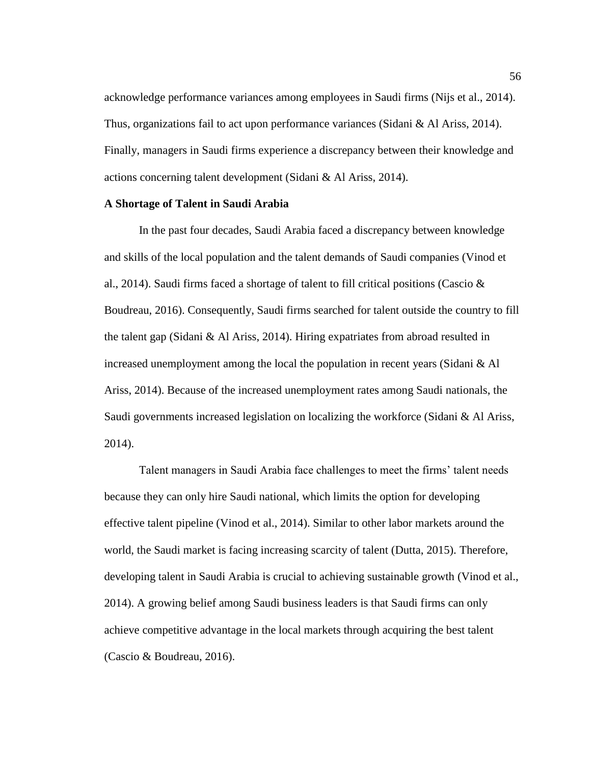acknowledge performance variances among employees in Saudi firms (Nijs et al., 2014). Thus, organizations fail to act upon performance variances (Sidani & Al Ariss, 2014). Finally, managers in Saudi firms experience a discrepancy between their knowledge and actions concerning talent development (Sidani & Al Ariss, 2014).

#### **A Shortage of Talent in Saudi Arabia**

In the past four decades, Saudi Arabia faced a discrepancy between knowledge and skills of the local population and the talent demands of Saudi companies (Vinod et al., 2014). Saudi firms faced a shortage of talent to fill critical positions (Cascio  $\&$ Boudreau, 2016). Consequently, Saudi firms searched for talent outside the country to fill the talent gap (Sidani & Al Ariss, 2014). Hiring expatriates from abroad resulted in increased unemployment among the local the population in recent years (Sidani & Al Ariss, 2014). Because of the increased unemployment rates among Saudi nationals, the Saudi governments increased legislation on localizing the workforce (Sidani & Al Ariss, 2014).

Talent managers in Saudi Arabia face challenges to meet the firms' talent needs because they can only hire Saudi national, which limits the option for developing effective talent pipeline (Vinod et al., 2014). Similar to other labor markets around the world, the Saudi market is facing increasing scarcity of talent (Dutta, 2015). Therefore, developing talent in Saudi Arabia is crucial to achieving sustainable growth (Vinod et al., 2014). A growing belief among Saudi business leaders is that Saudi firms can only achieve competitive advantage in the local markets through acquiring the best talent (Cascio & Boudreau, 2016).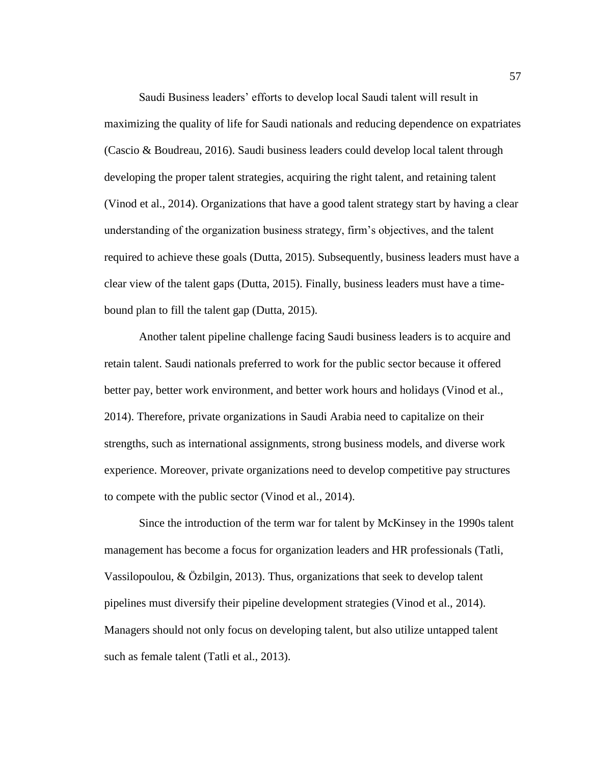Saudi Business leaders' efforts to develop local Saudi talent will result in maximizing the quality of life for Saudi nationals and reducing dependence on expatriates (Cascio & Boudreau, 2016). Saudi business leaders could develop local talent through developing the proper talent strategies, acquiring the right talent, and retaining talent (Vinod et al., 2014). Organizations that have a good talent strategy start by having a clear understanding of the organization business strategy, firm's objectives, and the talent required to achieve these goals (Dutta, 2015). Subsequently, business leaders must have a clear view of the talent gaps (Dutta, 2015). Finally, business leaders must have a timebound plan to fill the talent gap (Dutta, 2015).

Another talent pipeline challenge facing Saudi business leaders is to acquire and retain talent. Saudi nationals preferred to work for the public sector because it offered better pay, better work environment, and better work hours and holidays (Vinod et al., 2014). Therefore, private organizations in Saudi Arabia need to capitalize on their strengths, such as international assignments, strong business models, and diverse work experience. Moreover, private organizations need to develop competitive pay structures to compete with the public sector (Vinod et al., 2014).

Since the introduction of the term war for talent by McKinsey in the 1990s talent management has become a focus for organization leaders and HR professionals (Tatli, Vassilopoulou, & Özbilgin, 2013). Thus, organizations that seek to develop talent pipelines must diversify their pipeline development strategies (Vinod et al., 2014). Managers should not only focus on developing talent, but also utilize untapped talent such as female talent (Tatli et al., 2013).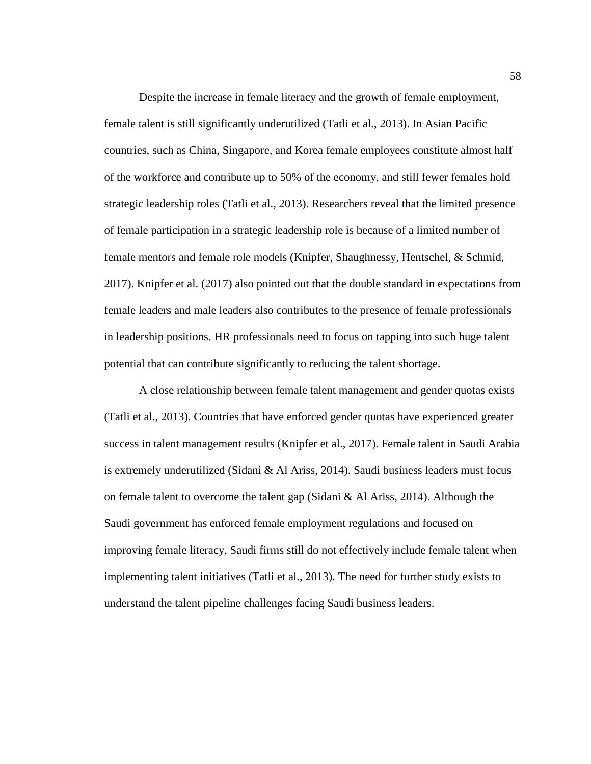Despite the increase in female literacy and the growth of female employment, female talent is still significantly underutilized (Tatli et al., 2013). In Asian Pacific countries, such as China, Singapore, and Korea female employees constitute almost half of the workforce and contribute up to 50% of the economy, and still fewer females hold strategic leadership roles (Tatli et al., 2013). Researchers reveal that the limited presence of female participation in a strategic leadership role is because of a limited number of female mentors and female role models (Knipfer, Shaughnessy, Hentschel, & Schmid, 2017). Knipfer et al. (2017) also pointed out that the double standard in expectations from female leaders and male leaders also contributes to the presence of female professionals in leadership positions. HR professionals need to focus on tapping into such huge talent potential that can contribute significantly to reducing the talent shortage.

A close relationship between female talent management and gender quotas exists (Tatli et al., 2013). Countries that have enforced gender quotas have experienced greater success in talent management results (Knipfer et al., 2017). Female talent in Saudi Arabia is extremely underutilized (Sidani & Al Ariss, 2014). Saudi business leaders must focus on female talent to overcome the talent gap (Sidani & Al Ariss, 2014). Although the Saudi government has enforced female employment regulations and focused on improving female literacy, Saudi firms still do not effectively include female talent when implementing talent initiatives (Tatli et al., 2013). The need for further study exists to understand the talent pipeline challenges facing Saudi business leaders.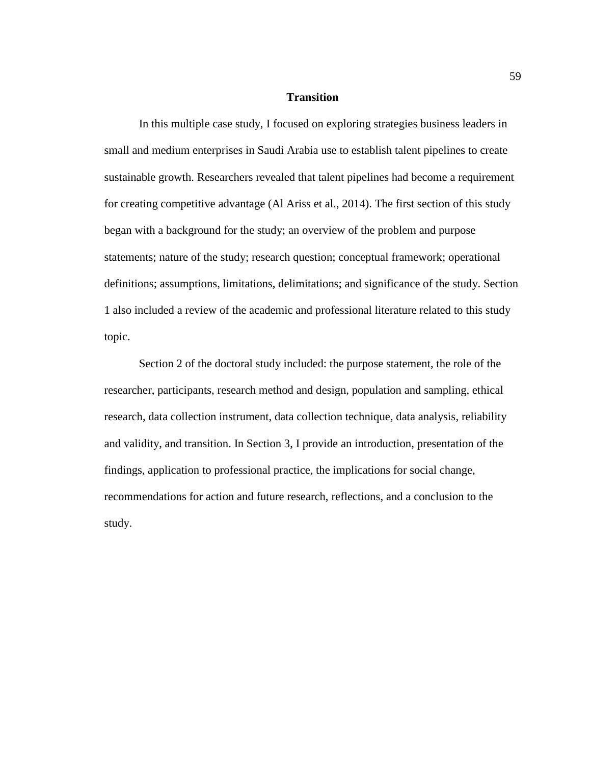# **Transition**

In this multiple case study, I focused on exploring strategies business leaders in small and medium enterprises in Saudi Arabia use to establish talent pipelines to create sustainable growth. Researchers revealed that talent pipelines had become a requirement for creating competitive advantage (Al Ariss et al., 2014). The first section of this study began with a background for the study; an overview of the problem and purpose statements; nature of the study; research question; conceptual framework; operational definitions; assumptions, limitations, delimitations; and significance of the study. Section 1 also included a review of the academic and professional literature related to this study topic.

Section 2 of the doctoral study included: the purpose statement, the role of the researcher, participants, research method and design, population and sampling, ethical research, data collection instrument, data collection technique, data analysis, reliability and validity, and transition. In Section 3, I provide an introduction, presentation of the findings, application to professional practice, the implications for social change, recommendations for action and future research, reflections, and a conclusion to the study.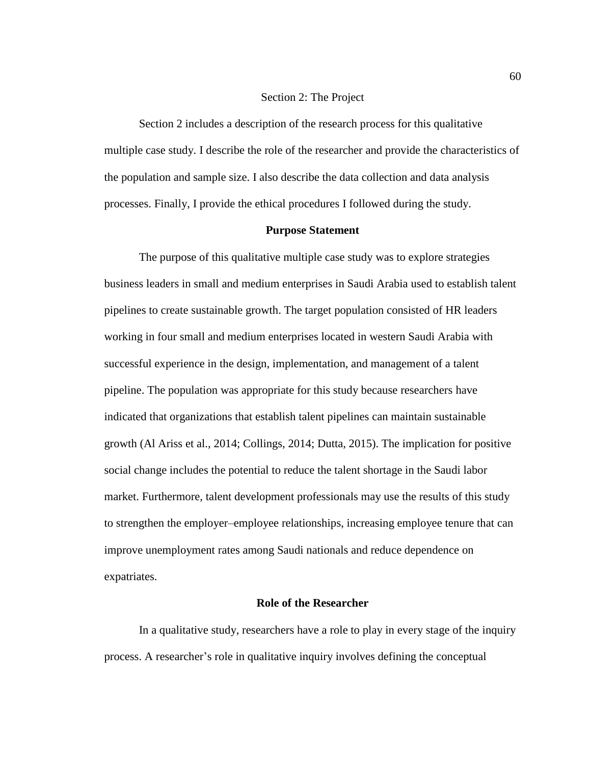# Section 2: The Project

Section 2 includes a description of the research process for this qualitative multiple case study. I describe the role of the researcher and provide the characteristics of the population and sample size. I also describe the data collection and data analysis processes. Finally, I provide the ethical procedures I followed during the study.

# **Purpose Statement**

The purpose of this qualitative multiple case study was to explore strategies business leaders in small and medium enterprises in Saudi Arabia used to establish talent pipelines to create sustainable growth. The target population consisted of HR leaders working in four small and medium enterprises located in western Saudi Arabia with successful experience in the design, implementation, and management of a talent pipeline. The population was appropriate for this study because researchers have indicated that organizations that establish talent pipelines can maintain sustainable growth (Al Ariss et al., 2014; Collings, 2014; Dutta, 2015). The implication for positive social change includes the potential to reduce the talent shortage in the Saudi labor market. Furthermore, talent development professionals may use the results of this study to strengthen the employer–employee relationships, increasing employee tenure that can improve unemployment rates among Saudi nationals and reduce dependence on expatriates.

#### **Role of the Researcher**

In a qualitative study, researchers have a role to play in every stage of the inquiry process. A researcher's role in qualitative inquiry involves defining the conceptual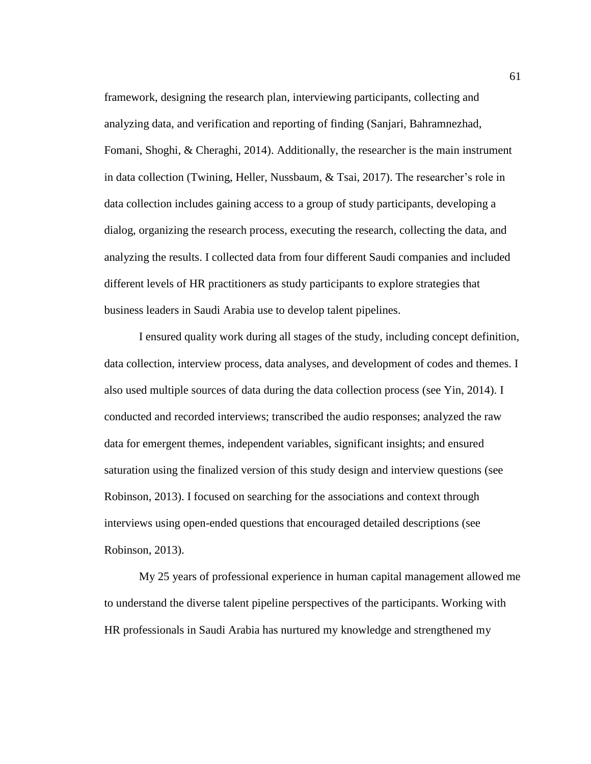framework, designing the research plan, interviewing participants, collecting and analyzing data, and verification and reporting of finding (Sanjari, Bahramnezhad, Fomani, Shoghi, & Cheraghi, 2014). Additionally, the researcher is the main instrument in data collection (Twining, Heller, Nussbaum, & Tsai, 2017). The researcher's role in data collection includes gaining access to a group of study participants, developing a dialog, organizing the research process, executing the research, collecting the data, and analyzing the results. I collected data from four different Saudi companies and included different levels of HR practitioners as study participants to explore strategies that business leaders in Saudi Arabia use to develop talent pipelines.

I ensured quality work during all stages of the study, including concept definition, data collection, interview process, data analyses, and development of codes and themes. I also used multiple sources of data during the data collection process (see Yin, 2014). I conducted and recorded interviews; transcribed the audio responses; analyzed the raw data for emergent themes, independent variables, significant insights; and ensured saturation using the finalized version of this study design and interview questions (see Robinson, 2013). I focused on searching for the associations and context through interviews using open-ended questions that encouraged detailed descriptions (see Robinson, 2013).

My 25 years of professional experience in human capital management allowed me to understand the diverse talent pipeline perspectives of the participants. Working with HR professionals in Saudi Arabia has nurtured my knowledge and strengthened my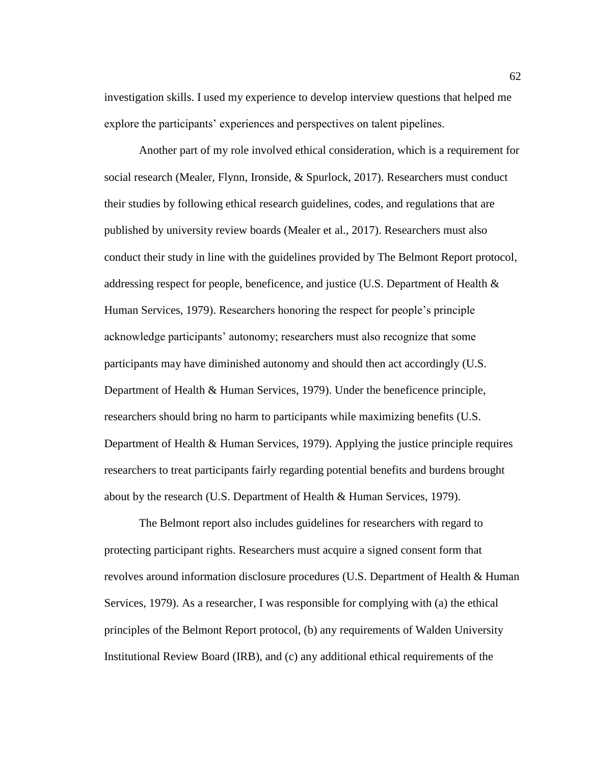investigation skills. I used my experience to develop interview questions that helped me explore the participants' experiences and perspectives on talent pipelines.

Another part of my role involved ethical consideration, which is a requirement for social research (Mealer, Flynn, Ironside, & Spurlock, 2017). Researchers must conduct their studies by following ethical research guidelines, codes, and regulations that are published by university review boards (Mealer et al., 2017). Researchers must also conduct their study in line with the guidelines provided by The Belmont Report protocol, addressing respect for people, beneficence, and justice (U.S. Department of Health & Human Services, 1979). Researchers honoring the respect for people's principle acknowledge participants' autonomy; researchers must also recognize that some participants may have diminished autonomy and should then act accordingly (U.S. Department of Health & Human Services, 1979). Under the beneficence principle, researchers should bring no harm to participants while maximizing benefits (U.S. Department of Health & Human Services, 1979). Applying the justice principle requires researchers to treat participants fairly regarding potential benefits and burdens brought about by the research (U.S. Department of Health & Human Services, 1979).

The Belmont report also includes guidelines for researchers with regard to protecting participant rights. Researchers must acquire a signed consent form that revolves around information disclosure procedures (U.S. Department of Health & Human Services, 1979). As a researcher, I was responsible for complying with (a) the ethical principles of the Belmont Report protocol, (b) any requirements of Walden University Institutional Review Board (IRB), and (c) any additional ethical requirements of the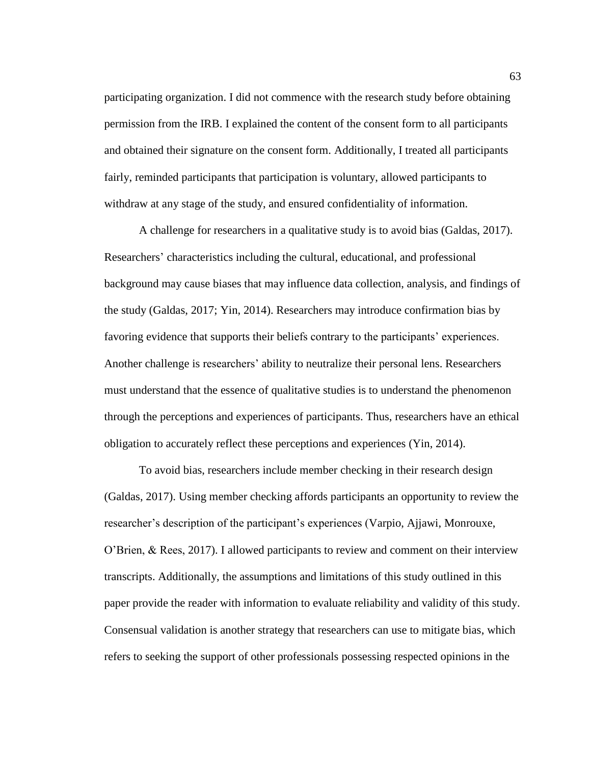participating organization. I did not commence with the research study before obtaining permission from the IRB. I explained the content of the consent form to all participants and obtained their signature on the consent form. Additionally, I treated all participants fairly, reminded participants that participation is voluntary, allowed participants to withdraw at any stage of the study, and ensured confidentiality of information.

A challenge for researchers in a qualitative study is to avoid bias (Galdas, 2017). Researchers' characteristics including the cultural, educational, and professional background may cause biases that may influence data collection, analysis, and findings of the study (Galdas, 2017; Yin, 2014). Researchers may introduce confirmation bias by favoring evidence that supports their beliefs contrary to the participants' experiences. Another challenge is researchers' ability to neutralize their personal lens. Researchers must understand that the essence of qualitative studies is to understand the phenomenon through the perceptions and experiences of participants. Thus, researchers have an ethical obligation to accurately reflect these perceptions and experiences (Yin, 2014).

To avoid bias, researchers include member checking in their research design (Galdas, 2017). Using member checking affords participants an opportunity to review the researcher's description of the participant's experiences (Varpio, Ajjawi, Monrouxe, O'Brien, & Rees, 2017). I allowed participants to review and comment on their interview transcripts. Additionally, the assumptions and limitations of this study outlined in this paper provide the reader with information to evaluate reliability and validity of this study. Consensual validation is another strategy that researchers can use to mitigate bias, which refers to seeking the support of other professionals possessing respected opinions in the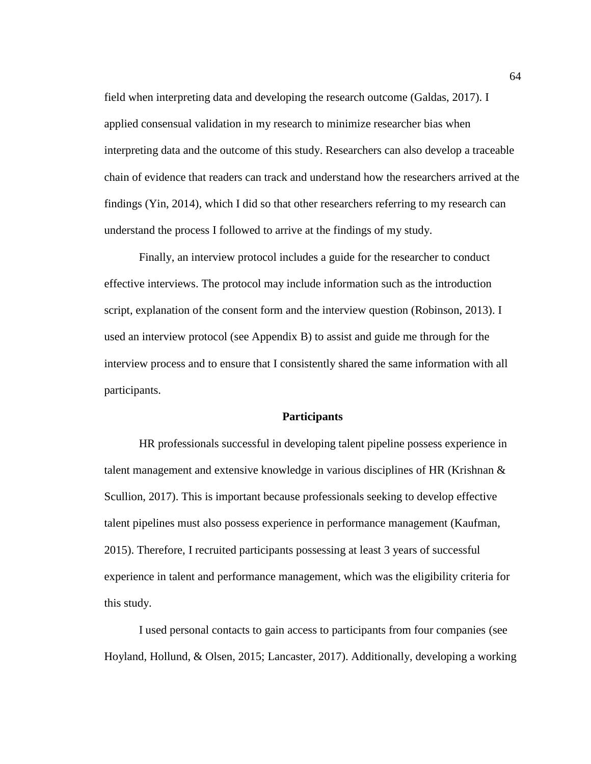field when interpreting data and developing the research outcome (Galdas, 2017). I applied consensual validation in my research to minimize researcher bias when interpreting data and the outcome of this study. Researchers can also develop a traceable chain of evidence that readers can track and understand how the researchers arrived at the findings (Yin, 2014), which I did so that other researchers referring to my research can understand the process I followed to arrive at the findings of my study.

Finally, an interview protocol includes a guide for the researcher to conduct effective interviews. The protocol may include information such as the introduction script, explanation of the consent form and the interview question (Robinson, 2013). I used an interview protocol (see Appendix B) to assist and guide me through for the interview process and to ensure that I consistently shared the same information with all participants.

#### **Participants**

HR professionals successful in developing talent pipeline possess experience in talent management and extensive knowledge in various disciplines of HR (Krishnan & Scullion, 2017). This is important because professionals seeking to develop effective talent pipelines must also possess experience in performance management (Kaufman, 2015). Therefore, I recruited participants possessing at least 3 years of successful experience in talent and performance management, which was the eligibility criteria for this study.

I used personal contacts to gain access to participants from four companies (see Hoyland, Hollund, & Olsen, 2015; Lancaster, 2017). Additionally, developing a working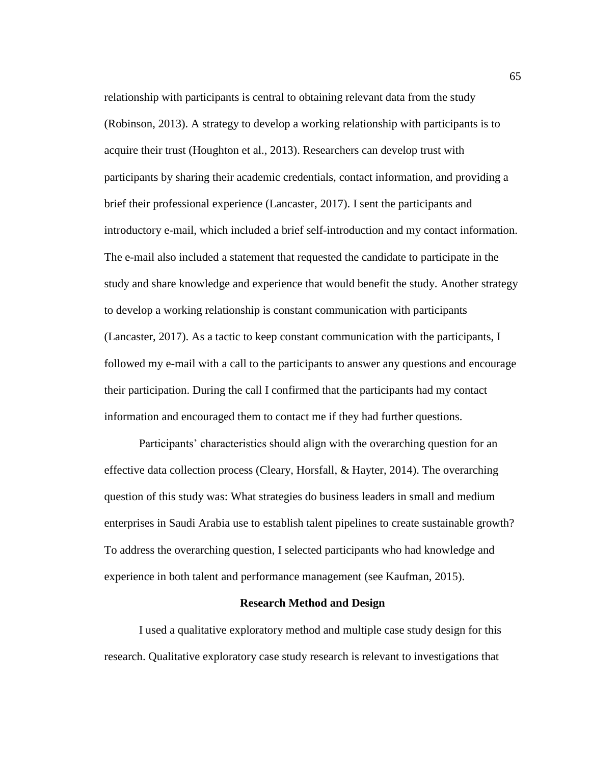relationship with participants is central to obtaining relevant data from the study (Robinson, 2013). A strategy to develop a working relationship with participants is to acquire their trust (Houghton et al., 2013). Researchers can develop trust with participants by sharing their academic credentials, contact information, and providing a brief their professional experience (Lancaster, 2017). I sent the participants and introductory e-mail, which included a brief self-introduction and my contact information. The e-mail also included a statement that requested the candidate to participate in the study and share knowledge and experience that would benefit the study. Another strategy to develop a working relationship is constant communication with participants (Lancaster, 2017). As a tactic to keep constant communication with the participants, I followed my e-mail with a call to the participants to answer any questions and encourage their participation. During the call I confirmed that the participants had my contact information and encouraged them to contact me if they had further questions.

Participants' characteristics should align with the overarching question for an effective data collection process (Cleary, Horsfall,  $\&$  Hayter, 2014). The overarching question of this study was: What strategies do business leaders in small and medium enterprises in Saudi Arabia use to establish talent pipelines to create sustainable growth? To address the overarching question, I selected participants who had knowledge and experience in both talent and performance management (see Kaufman, 2015).

#### **Research Method and Design**

I used a qualitative exploratory method and multiple case study design for this research. Qualitative exploratory case study research is relevant to investigations that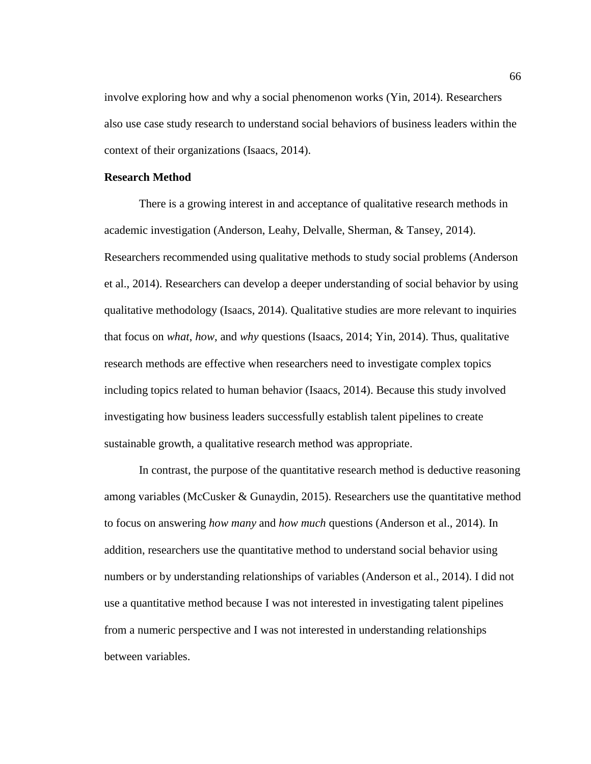involve exploring how and why a social phenomenon works (Yin, 2014). Researchers also use case study research to understand social behaviors of business leaders within the context of their organizations (Isaacs, 2014).

# **Research Method**

There is a growing interest in and acceptance of qualitative research methods in academic investigation (Anderson, Leahy, Delvalle, Sherman, & Tansey, 2014). Researchers recommended using qualitative methods to study social problems (Anderson et al., 2014). Researchers can develop a deeper understanding of social behavior by using qualitative methodology (Isaacs, 2014). Qualitative studies are more relevant to inquiries that focus on *what*, *how*, and *why* questions (Isaacs, 2014; Yin, 2014). Thus, qualitative research methods are effective when researchers need to investigate complex topics including topics related to human behavior (Isaacs, 2014). Because this study involved investigating how business leaders successfully establish talent pipelines to create sustainable growth, a qualitative research method was appropriate.

In contrast, the purpose of the quantitative research method is deductive reasoning among variables (McCusker & Gunaydin, 2015). Researchers use the quantitative method to focus on answering *how many* and *how much* questions (Anderson et al., 2014). In addition, researchers use the quantitative method to understand social behavior using numbers or by understanding relationships of variables (Anderson et al., 2014). I did not use a quantitative method because I was not interested in investigating talent pipelines from a numeric perspective and I was not interested in understanding relationships between variables.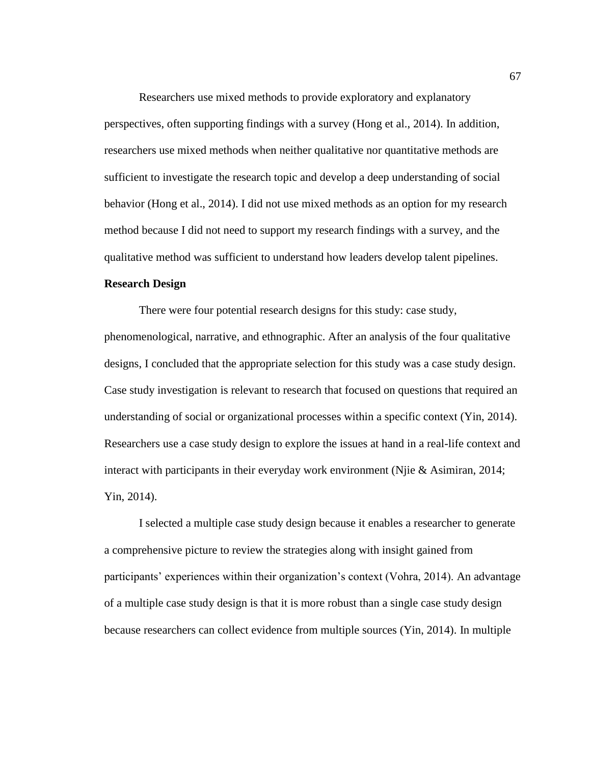Researchers use mixed methods to provide exploratory and explanatory perspectives, often supporting findings with a survey (Hong et al., 2014). In addition, researchers use mixed methods when neither qualitative nor quantitative methods are sufficient to investigate the research topic and develop a deep understanding of social behavior (Hong et al., 2014). I did not use mixed methods as an option for my research method because I did not need to support my research findings with a survey, and the qualitative method was sufficient to understand how leaders develop talent pipelines.

# **Research Design**

There were four potential research designs for this study: case study, phenomenological, narrative, and ethnographic. After an analysis of the four qualitative designs, I concluded that the appropriate selection for this study was a case study design. Case study investigation is relevant to research that focused on questions that required an understanding of social or organizational processes within a specific context (Yin, 2014). Researchers use a case study design to explore the issues at hand in a real-life context and interact with participants in their everyday work environment (Njie & Asimiran, 2014; Yin, 2014).

I selected a multiple case study design because it enables a researcher to generate a comprehensive picture to review the strategies along with insight gained from participants' experiences within their organization's context (Vohra, 2014). An advantage of a multiple case study design is that it is more robust than a single case study design because researchers can collect evidence from multiple sources (Yin, 2014). In multiple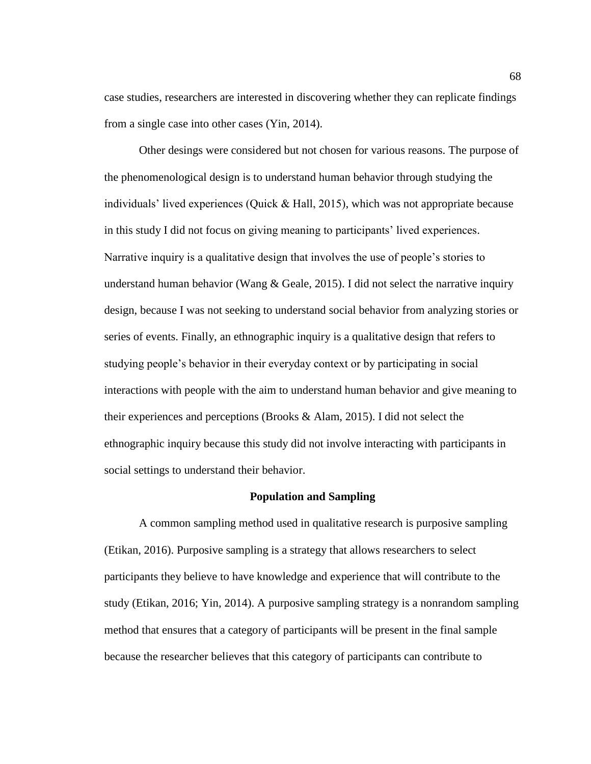case studies, researchers are interested in discovering whether they can replicate findings from a single case into other cases (Yin, 2014).

Other desings were considered but not chosen for various reasons. The purpose of the phenomenological design is to understand human behavior through studying the individuals' lived experiences (Quick & Hall, 2015), which was not appropriate because in this study I did not focus on giving meaning to participants' lived experiences. Narrative inquiry is a qualitative design that involves the use of people's stories to understand human behavior (Wang  $\&$  Geale, 2015). I did not select the narrative inquiry design, because I was not seeking to understand social behavior from analyzing stories or series of events. Finally, an ethnographic inquiry is a qualitative design that refers to studying people's behavior in their everyday context or by participating in social interactions with people with the aim to understand human behavior and give meaning to their experiences and perceptions (Brooks & Alam, 2015). I did not select the ethnographic inquiry because this study did not involve interacting with participants in social settings to understand their behavior.

#### **Population and Sampling**

A common sampling method used in qualitative research is purposive sampling (Etikan, 2016). Purposive sampling is a strategy that allows researchers to select participants they believe to have knowledge and experience that will contribute to the study (Etikan, 2016; Yin, 2014). A purposive sampling strategy is a nonrandom sampling method that ensures that a category of participants will be present in the final sample because the researcher believes that this category of participants can contribute to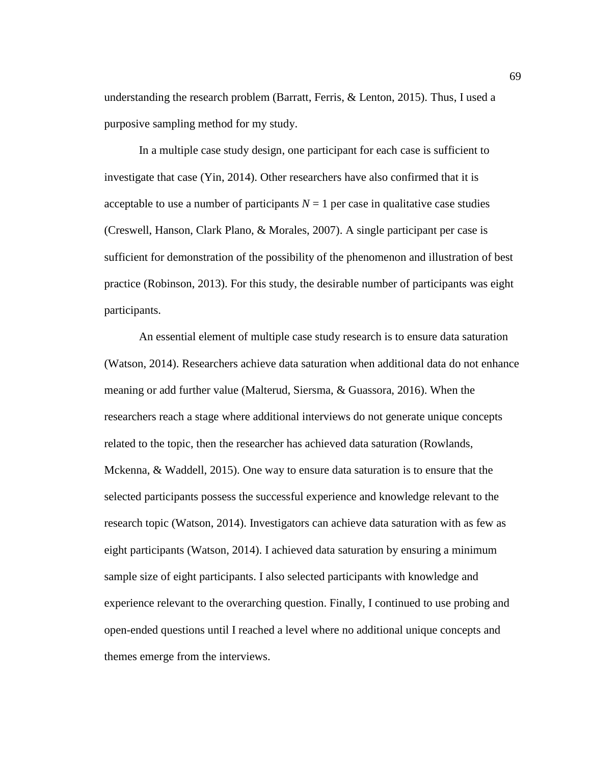understanding the research problem (Barratt, Ferris, & Lenton, 2015). Thus, I used a purposive sampling method for my study.

In a multiple case study design, one participant for each case is sufficient to investigate that case (Yin, 2014). Other researchers have also confirmed that it is acceptable to use a number of participants  $N = 1$  per case in qualitative case studies (Creswell, Hanson, Clark Plano, & Morales, 2007). A single participant per case is sufficient for demonstration of the possibility of the phenomenon and illustration of best practice (Robinson, 2013). For this study, the desirable number of participants was eight participants.

An essential element of multiple case study research is to ensure data saturation (Watson, 2014). Researchers achieve data saturation when additional data do not enhance meaning or add further value (Malterud, Siersma, & Guassora, 2016). When the researchers reach a stage where additional interviews do not generate unique concepts related to the topic, then the researcher has achieved data saturation (Rowlands, Mckenna, & Waddell, 2015). One way to ensure data saturation is to ensure that the selected participants possess the successful experience and knowledge relevant to the research topic (Watson, 2014). Investigators can achieve data saturation with as few as eight participants (Watson, 2014). I achieved data saturation by ensuring a minimum sample size of eight participants. I also selected participants with knowledge and experience relevant to the overarching question. Finally, I continued to use probing and open-ended questions until I reached a level where no additional unique concepts and themes emerge from the interviews.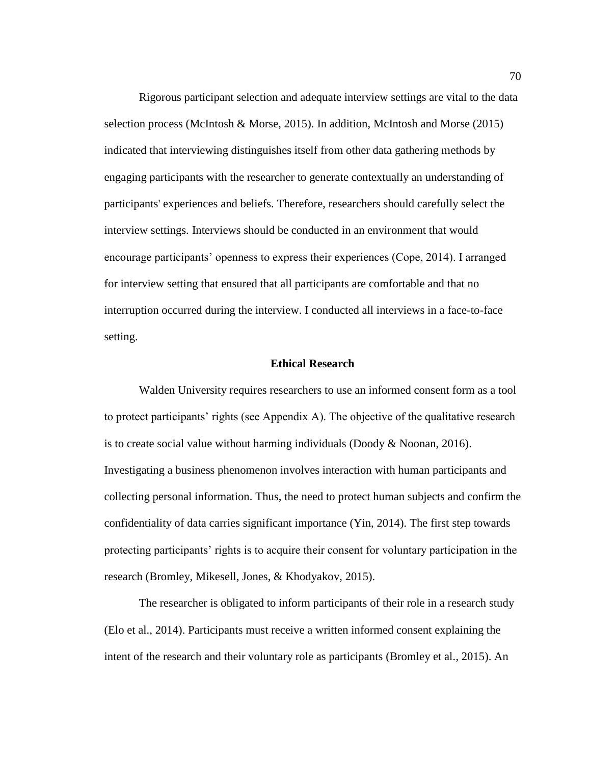Rigorous participant selection and adequate interview settings are vital to the data selection process (McIntosh & Morse, 2015). In addition, McIntosh and Morse (2015) indicated that interviewing distinguishes itself from other data gathering methods by engaging participants with the researcher to generate contextually an understanding of participants' experiences and beliefs. Therefore, researchers should carefully select the interview settings. Interviews should be conducted in an environment that would encourage participants' openness to express their experiences (Cope, 2014). I arranged for interview setting that ensured that all participants are comfortable and that no interruption occurred during the interview. I conducted all interviews in a face-to-face setting.

# **Ethical Research**

Walden University requires researchers to use an informed consent form as a tool to protect participants' rights (see Appendix A). The objective of the qualitative research is to create social value without harming individuals (Doody  $\&$  Noonan, 2016). Investigating a business phenomenon involves interaction with human participants and collecting personal information. Thus, the need to protect human subjects and confirm the confidentiality of data carries significant importance (Yin, 2014). The first step towards protecting participants' rights is to acquire their consent for voluntary participation in the research (Bromley, Mikesell, Jones, & Khodyakov, 2015).

The researcher is obligated to inform participants of their role in a research study (Elo et al., 2014). Participants must receive a written informed consent explaining the intent of the research and their voluntary role as participants (Bromley et al., 2015). An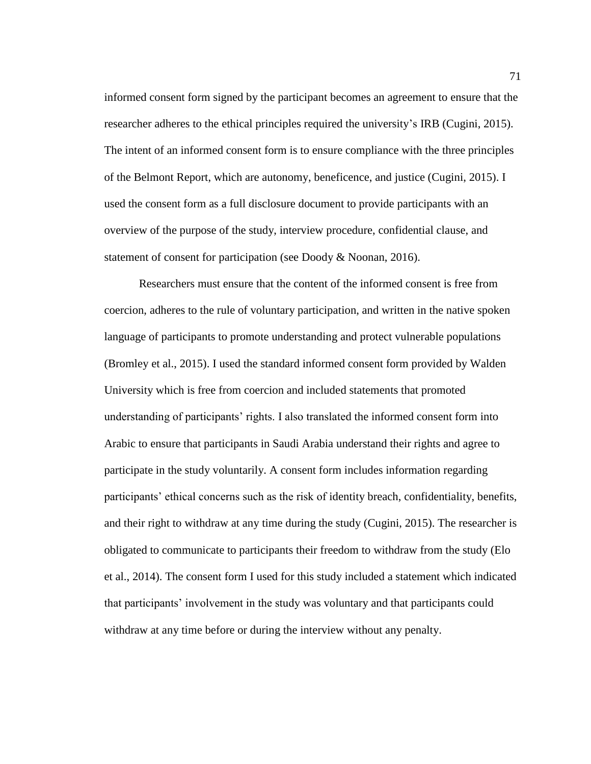informed consent form signed by the participant becomes an agreement to ensure that the researcher adheres to the ethical principles required the university's IRB (Cugini, 2015). The intent of an informed consent form is to ensure compliance with the three principles of the Belmont Report, which are autonomy, beneficence, and justice (Cugini, 2015). I used the consent form as a full disclosure document to provide participants with an overview of the purpose of the study, interview procedure, confidential clause, and statement of consent for participation (see Doody & Noonan, 2016).

Researchers must ensure that the content of the informed consent is free from coercion, adheres to the rule of voluntary participation, and written in the native spoken language of participants to promote understanding and protect vulnerable populations (Bromley et al., 2015). I used the standard informed consent form provided by Walden University which is free from coercion and included statements that promoted understanding of participants' rights. I also translated the informed consent form into Arabic to ensure that participants in Saudi Arabia understand their rights and agree to participate in the study voluntarily. A consent form includes information regarding participants' ethical concerns such as the risk of identity breach, confidentiality, benefits, and their right to withdraw at any time during the study (Cugini, 2015). The researcher is obligated to communicate to participants their freedom to withdraw from the study (Elo et al., 2014). The consent form I used for this study included a statement which indicated that participants' involvement in the study was voluntary and that participants could withdraw at any time before or during the interview without any penalty.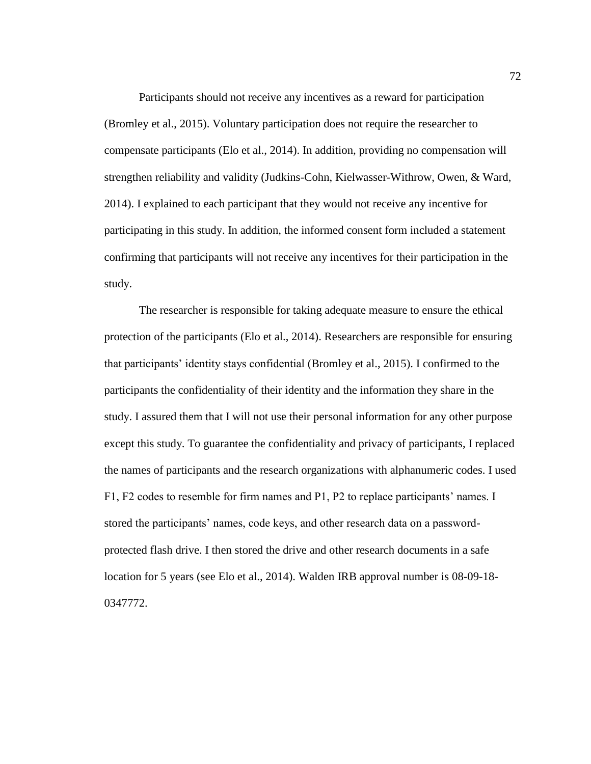Participants should not receive any incentives as a reward for participation (Bromley et al., 2015). Voluntary participation does not require the researcher to compensate participants (Elo et al., 2014). In addition, providing no compensation will strengthen reliability and validity (Judkins-Cohn, Kielwasser-Withrow, Owen, & Ward, 2014). I explained to each participant that they would not receive any incentive for participating in this study. In addition, the informed consent form included a statement confirming that participants will not receive any incentives for their participation in the study.

The researcher is responsible for taking adequate measure to ensure the ethical protection of the participants (Elo et al., 2014). Researchers are responsible for ensuring that participants' identity stays confidential (Bromley et al., 2015). I confirmed to the participants the confidentiality of their identity and the information they share in the study. I assured them that I will not use their personal information for any other purpose except this study. To guarantee the confidentiality and privacy of participants, I replaced the names of participants and the research organizations with alphanumeric codes. I used F1, F2 codes to resemble for firm names and P1, P2 to replace participants' names. I stored the participants' names, code keys, and other research data on a passwordprotected flash drive. I then stored the drive and other research documents in a safe location for 5 years (see Elo et al., 2014). Walden IRB approval number is 08-09-18- 0347772.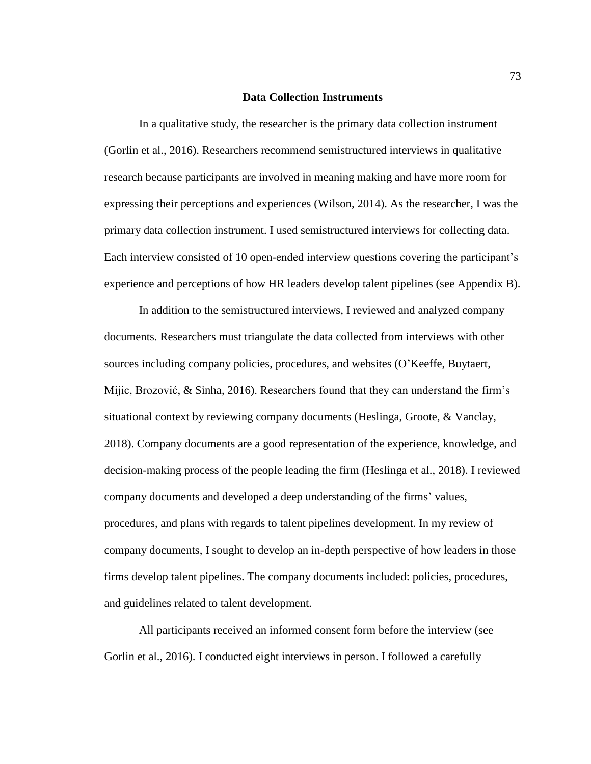# **Data Collection Instruments**

In a qualitative study, the researcher is the primary data collection instrument (Gorlin et al., 2016). Researchers recommend semistructured interviews in qualitative research because participants are involved in meaning making and have more room for expressing their perceptions and experiences (Wilson, 2014). As the researcher, I was the primary data collection instrument. I used semistructured interviews for collecting data. Each interview consisted of 10 open-ended interview questions covering the participant's experience and perceptions of how HR leaders develop talent pipelines (see Appendix B).

In addition to the semistructured interviews, I reviewed and analyzed company documents. Researchers must triangulate the data collected from interviews with other sources including company policies, procedures, and websites (O'Keeffe, Buytaert, Mijic, Brozović, & Sinha, 2016). Researchers found that they can understand the firm's situational context by reviewing company documents (Heslinga, Groote, & Vanclay, 2018). Company documents are a good representation of the experience, knowledge, and decision-making process of the people leading the firm (Heslinga et al., 2018). I reviewed company documents and developed a deep understanding of the firms' values, procedures, and plans with regards to talent pipelines development. In my review of company documents, I sought to develop an in-depth perspective of how leaders in those firms develop talent pipelines. The company documents included: policies, procedures, and guidelines related to talent development.

All participants received an informed consent form before the interview (see Gorlin et al., 2016). I conducted eight interviews in person. I followed a carefully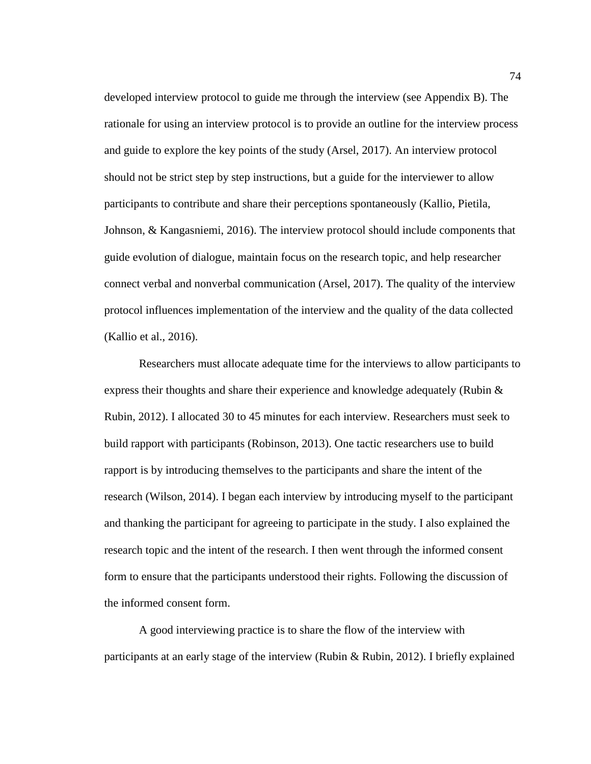developed interview protocol to guide me through the interview (see Appendix B). The rationale for using an interview protocol is to provide an outline for the interview process and guide to explore the key points of the study (Arsel, 2017). An interview protocol should not be strict step by step instructions, but a guide for the interviewer to allow participants to contribute and share their perceptions spontaneously (Kallio, Pietila, Johnson, & Kangasniemi, 2016). The interview protocol should include components that guide evolution of dialogue, maintain focus on the research topic, and help researcher connect verbal and nonverbal communication (Arsel, 2017). The quality of the interview protocol influences implementation of the interview and the quality of the data collected (Kallio et al., 2016).

Researchers must allocate adequate time for the interviews to allow participants to express their thoughts and share their experience and knowledge adequately (Rubin  $\&$ Rubin, 2012). I allocated 30 to 45 minutes for each interview. Researchers must seek to build rapport with participants (Robinson, 2013). One tactic researchers use to build rapport is by introducing themselves to the participants and share the intent of the research (Wilson, 2014). I began each interview by introducing myself to the participant and thanking the participant for agreeing to participate in the study. I also explained the research topic and the intent of the research. I then went through the informed consent form to ensure that the participants understood their rights. Following the discussion of the informed consent form.

A good interviewing practice is to share the flow of the interview with participants at an early stage of the interview (Rubin & Rubin, 2012). I briefly explained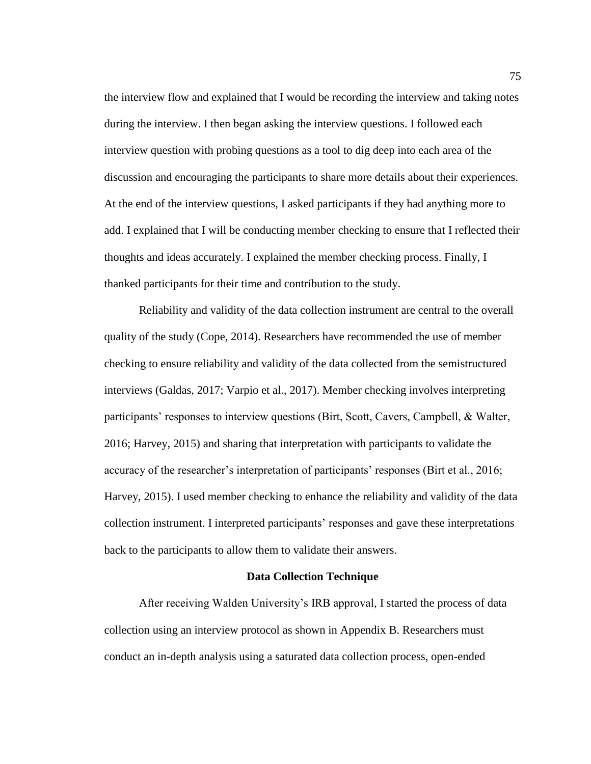the interview flow and explained that I would be recording the interview and taking notes during the interview. I then began asking the interview questions. I followed each interview question with probing questions as a tool to dig deep into each area of the discussion and encouraging the participants to share more details about their experiences. At the end of the interview questions, I asked participants if they had anything more to add. I explained that I will be conducting member checking to ensure that I reflected their thoughts and ideas accurately. I explained the member checking process. Finally, I thanked participants for their time and contribution to the study.

Reliability and validity of the data collection instrument are central to the overall quality of the study (Cope, 2014). Researchers have recommended the use of member checking to ensure reliability and validity of the data collected from the semistructured interviews (Galdas, 2017; Varpio et al., 2017). Member checking involves interpreting participants' responses to interview questions (Birt, Scott, Cavers, Campbell, & Walter, 2016; Harvey, 2015) and sharing that interpretation with participants to validate the accuracy of the researcher's interpretation of participants' responses (Birt et al., 2016; Harvey, 2015). I used member checking to enhance the reliability and validity of the data collection instrument. I interpreted participants' responses and gave these interpretations back to the participants to allow them to validate their answers.

#### **Data Collection Technique**

After receiving Walden University's IRB approval, I started the process of data collection using an interview protocol as shown in Appendix B. Researchers must conduct an in-depth analysis using a saturated data collection process, open-ended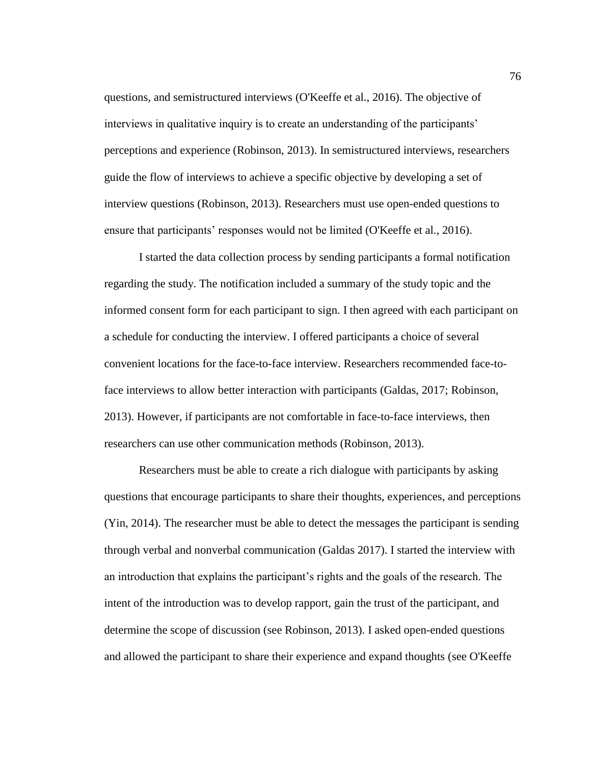questions, and semistructured interviews (O'Keeffe et al., 2016). The objective of interviews in qualitative inquiry is to create an understanding of the participants' perceptions and experience (Robinson, 2013). In semistructured interviews, researchers guide the flow of interviews to achieve a specific objective by developing a set of interview questions (Robinson, 2013). Researchers must use open-ended questions to ensure that participants' responses would not be limited (O'Keeffe et al., 2016).

I started the data collection process by sending participants a formal notification regarding the study. The notification included a summary of the study topic and the informed consent form for each participant to sign. I then agreed with each participant on a schedule for conducting the interview. I offered participants a choice of several convenient locations for the face-to-face interview. Researchers recommended face-toface interviews to allow better interaction with participants (Galdas, 2017; Robinson, 2013). However, if participants are not comfortable in face-to-face interviews, then researchers can use other communication methods (Robinson, 2013).

Researchers must be able to create a rich dialogue with participants by asking questions that encourage participants to share their thoughts, experiences, and perceptions (Yin, 2014). The researcher must be able to detect the messages the participant is sending through verbal and nonverbal communication (Galdas 2017). I started the interview with an introduction that explains the participant's rights and the goals of the research. The intent of the introduction was to develop rapport, gain the trust of the participant, and determine the scope of discussion (see Robinson, 2013). I asked open-ended questions and allowed the participant to share their experience and expand thoughts (see O'Keeffe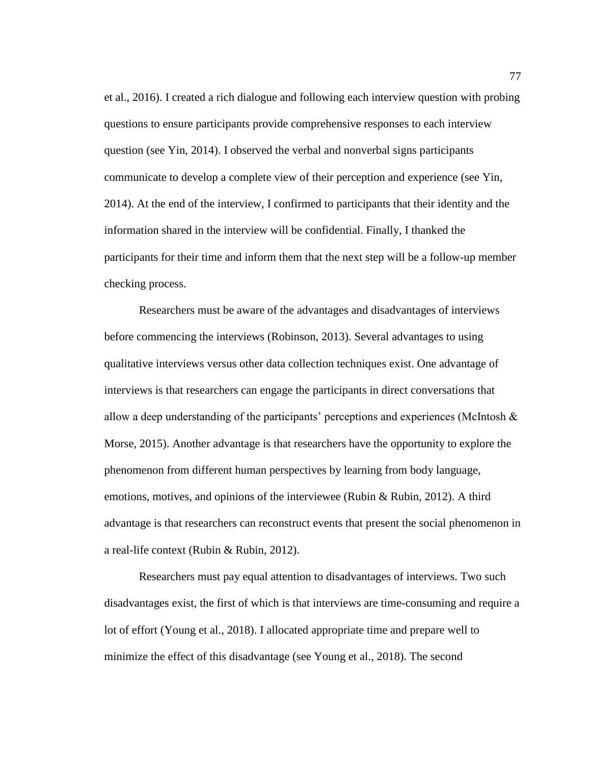et al., 2016). I created a rich dialogue and following each interview question with probing questions to ensure participants provide comprehensive responses to each interview question (see Yin, 2014). I observed the verbal and nonverbal signs participants communicate to develop a complete view of their perception and experience (see Yin, 2014). At the end of the interview, I confirmed to participants that their identity and the information shared in the interview will be confidential. Finally, I thanked the participants for their time and inform them that the next step will be a follow-up member checking process.

Researchers must be aware of the advantages and disadvantages of interviews before commencing the interviews (Robinson, 2013). Several advantages to using qualitative interviews versus other data collection techniques exist. One advantage of interviews is that researchers can engage the participants in direct conversations that allow a deep understanding of the participants' perceptions and experiences (McIntosh & Morse, 2015). Another advantage is that researchers have the opportunity to explore the phenomenon from different human perspectives by learning from body language, emotions, motives, and opinions of the interviewee (Rubin & Rubin, 2012). A third advantage is that researchers can reconstruct events that present the social phenomenon in a real-life context (Rubin & Rubin, 2012).

Researchers must pay equal attention to disadvantages of interviews. Two such disadvantages exist, the first of which is that interviews are time-consuming and require a lot of effort (Young et al., 2018). I allocated appropriate time and prepare well to minimize the effect of this disadvantage (see Young et al., 2018). The second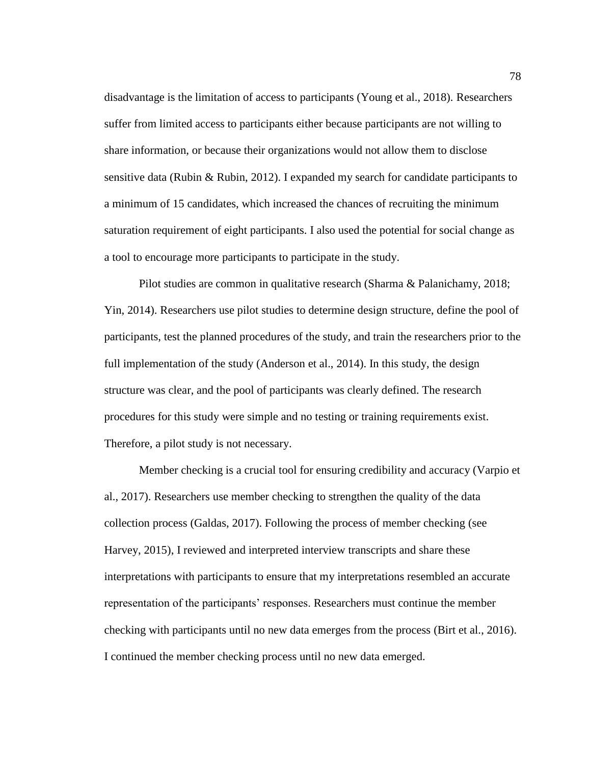disadvantage is the limitation of access to participants (Young et al., 2018). Researchers suffer from limited access to participants either because participants are not willing to share information, or because their organizations would not allow them to disclose sensitive data (Rubin & Rubin, 2012). I expanded my search for candidate participants to a minimum of 15 candidates, which increased the chances of recruiting the minimum saturation requirement of eight participants. I also used the potential for social change as a tool to encourage more participants to participate in the study.

Pilot studies are common in qualitative research (Sharma & Palanichamy, 2018; Yin, 2014). Researchers use pilot studies to determine design structure, define the pool of participants, test the planned procedures of the study, and train the researchers prior to the full implementation of the study (Anderson et al., 2014). In this study, the design structure was clear, and the pool of participants was clearly defined. The research procedures for this study were simple and no testing or training requirements exist. Therefore, a pilot study is not necessary.

Member checking is a crucial tool for ensuring credibility and accuracy (Varpio et al., 2017). Researchers use member checking to strengthen the quality of the data collection process (Galdas, 2017). Following the process of member checking (see Harvey, 2015), I reviewed and interpreted interview transcripts and share these interpretations with participants to ensure that my interpretations resembled an accurate representation of the participants' responses. Researchers must continue the member checking with participants until no new data emerges from the process (Birt et al., 2016). I continued the member checking process until no new data emerged.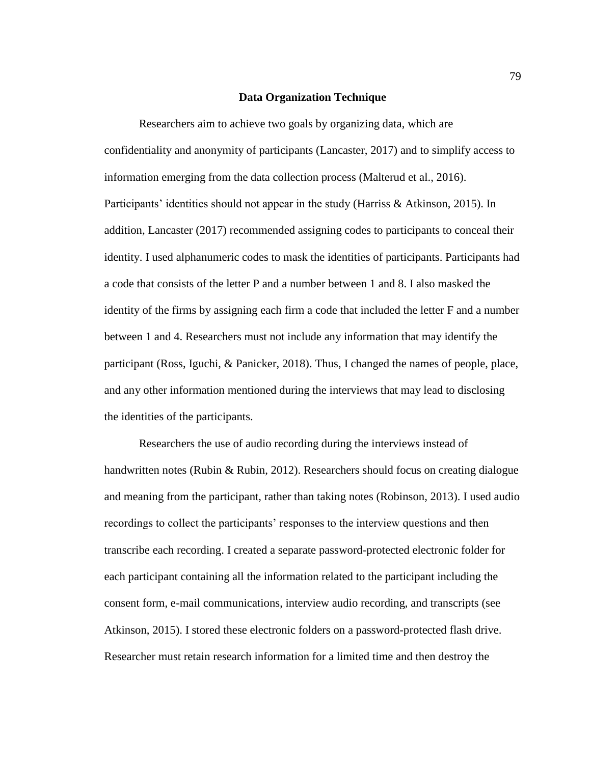### **Data Organization Technique**

Researchers aim to achieve two goals by organizing data, which are confidentiality and anonymity of participants (Lancaster, 2017) and to simplify access to information emerging from the data collection process (Malterud et al., 2016). Participants' identities should not appear in the study (Harriss & Atkinson, 2015). In addition, Lancaster (2017) recommended assigning codes to participants to conceal their identity. I used alphanumeric codes to mask the identities of participants. Participants had a code that consists of the letter P and a number between 1 and 8. I also masked the identity of the firms by assigning each firm a code that included the letter F and a number between 1 and 4. Researchers must not include any information that may identify the participant (Ross, Iguchi, & Panicker, 2018). Thus, I changed the names of people, place, and any other information mentioned during the interviews that may lead to disclosing the identities of the participants.

Researchers the use of audio recording during the interviews instead of handwritten notes (Rubin & Rubin, 2012). Researchers should focus on creating dialogue and meaning from the participant, rather than taking notes (Robinson, 2013). I used audio recordings to collect the participants' responses to the interview questions and then transcribe each recording. I created a separate password-protected electronic folder for each participant containing all the information related to the participant including the consent form, e-mail communications, interview audio recording, and transcripts (see Atkinson, 2015). I stored these electronic folders on a password-protected flash drive. Researcher must retain research information for a limited time and then destroy the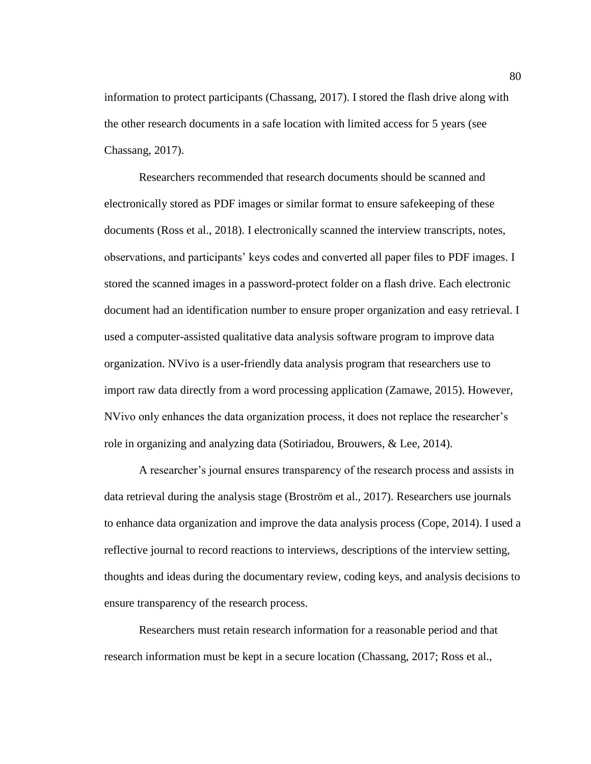information to protect participants (Chassang, 2017). I stored the flash drive along with the other research documents in a safe location with limited access for 5 years (see Chassang, 2017).

Researchers recommended that research documents should be scanned and electronically stored as PDF images or similar format to ensure safekeeping of these documents (Ross et al., 2018). I electronically scanned the interview transcripts, notes, observations, and participants' keys codes and converted all paper files to PDF images. I stored the scanned images in a password-protect folder on a flash drive. Each electronic document had an identification number to ensure proper organization and easy retrieval. I used a computer-assisted qualitative data analysis software program to improve data organization. NVivo is a user-friendly data analysis program that researchers use to import raw data directly from a word processing application (Zamawe, 2015). However, NVivo only enhances the data organization process, it does not replace the researcher's role in organizing and analyzing data (Sotiriadou, Brouwers, & Lee, 2014).

A researcher's journal ensures transparency of the research process and assists in data retrieval during the analysis stage (Broström et al., 2017). Researchers use journals to enhance data organization and improve the data analysis process (Cope, 2014). I used a reflective journal to record reactions to interviews, descriptions of the interview setting, thoughts and ideas during the documentary review, coding keys, and analysis decisions to ensure transparency of the research process.

Researchers must retain research information for a reasonable period and that research information must be kept in a secure location (Chassang, 2017; Ross et al.,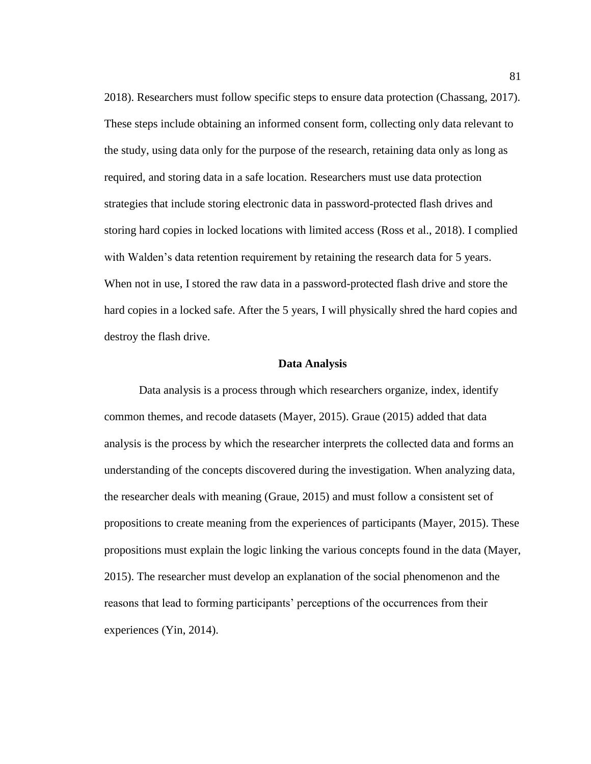2018). Researchers must follow specific steps to ensure data protection (Chassang, 2017). These steps include obtaining an informed consent form, collecting only data relevant to the study, using data only for the purpose of the research, retaining data only as long as required, and storing data in a safe location. Researchers must use data protection strategies that include storing electronic data in password-protected flash drives and storing hard copies in locked locations with limited access (Ross et al., 2018). I complied with Walden's data retention requirement by retaining the research data for 5 years. When not in use, I stored the raw data in a password-protected flash drive and store the hard copies in a locked safe. After the 5 years, I will physically shred the hard copies and destroy the flash drive.

#### **Data Analysis**

Data analysis is a process through which researchers organize, index, identify common themes, and recode datasets (Mayer, 2015). Graue (2015) added that data analysis is the process by which the researcher interprets the collected data and forms an understanding of the concepts discovered during the investigation. When analyzing data, the researcher deals with meaning (Graue, 2015) and must follow a consistent set of propositions to create meaning from the experiences of participants (Mayer, 2015). These propositions must explain the logic linking the various concepts found in the data (Mayer, 2015). The researcher must develop an explanation of the social phenomenon and the reasons that lead to forming participants' perceptions of the occurrences from their experiences (Yin, 2014).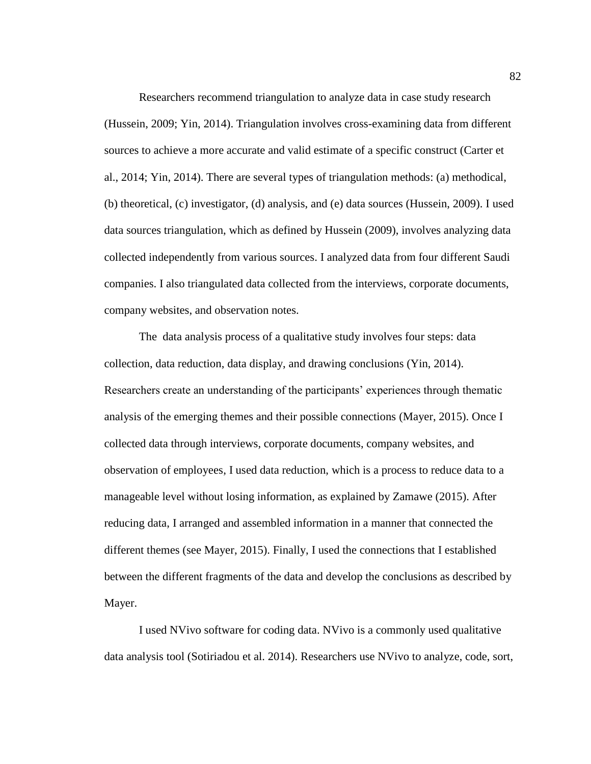Researchers recommend triangulation to analyze data in case study research (Hussein, 2009; Yin, 2014). Triangulation involves cross-examining data from different sources to achieve a more accurate and valid estimate of a specific construct (Carter et al., 2014; Yin, 2014). There are several types of triangulation methods: (a) methodical, (b) theoretical, (c) investigator, (d) analysis, and (e) data sources (Hussein, 2009). I used data sources triangulation, which as defined by Hussein (2009), involves analyzing data collected independently from various sources. I analyzed data from four different Saudi companies. I also triangulated data collected from the interviews, corporate documents, company websites, and observation notes.

The data analysis process of a qualitative study involves four steps: data collection, data reduction, data display, and drawing conclusions (Yin, 2014). Researchers create an understanding of the participants' experiences through thematic analysis of the emerging themes and their possible connections (Mayer, 2015). Once I collected data through interviews, corporate documents, company websites, and observation of employees, I used data reduction, which is a process to reduce data to a manageable level without losing information, as explained by Zamawe (2015). After reducing data, I arranged and assembled information in a manner that connected the different themes (see Mayer, 2015). Finally, I used the connections that I established between the different fragments of the data and develop the conclusions as described by Mayer.

I used NVivo software for coding data. NVivo is a commonly used qualitative data analysis tool (Sotiriadou et al. 2014). Researchers use NVivo to analyze, code, sort,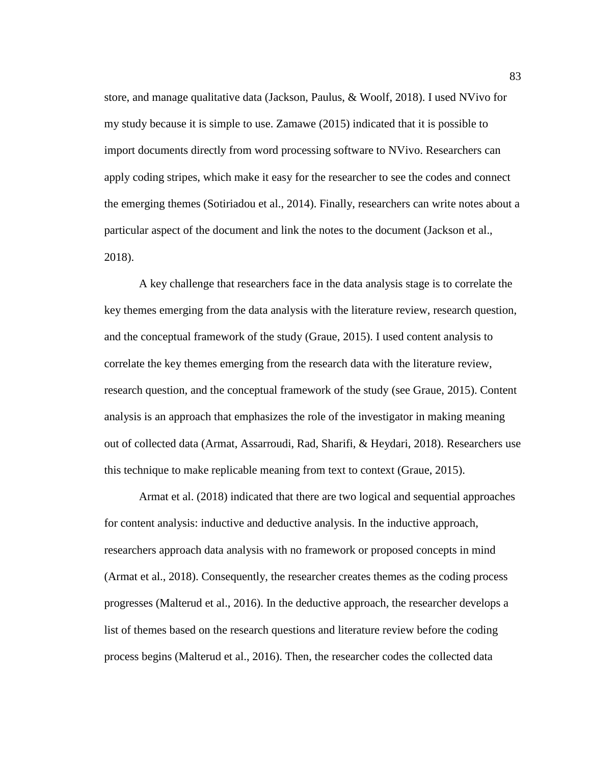store, and manage qualitative data (Jackson, Paulus, & Woolf, 2018). I used NVivo for my study because it is simple to use. Zamawe (2015) indicated that it is possible to import documents directly from word processing software to NVivo. Researchers can apply coding stripes, which make it easy for the researcher to see the codes and connect the emerging themes (Sotiriadou et al., 2014). Finally, researchers can write notes about a particular aspect of the document and link the notes to the document (Jackson et al., 2018).

A key challenge that researchers face in the data analysis stage is to correlate the key themes emerging from the data analysis with the literature review, research question, and the conceptual framework of the study (Graue, 2015). I used content analysis to correlate the key themes emerging from the research data with the literature review, research question, and the conceptual framework of the study (see Graue, 2015). Content analysis is an approach that emphasizes the role of the investigator in making meaning out of collected data (Armat, Assarroudi, Rad, Sharifi, & Heydari, 2018). Researchers use this technique to make replicable meaning from text to context (Graue, 2015).

Armat et al. (2018) indicated that there are two logical and sequential approaches for content analysis: inductive and deductive analysis. In the inductive approach, researchers approach data analysis with no framework or proposed concepts in mind (Armat et al., 2018). Consequently, the researcher creates themes as the coding process progresses (Malterud et al., 2016). In the deductive approach, the researcher develops a list of themes based on the research questions and literature review before the coding process begins (Malterud et al., 2016). Then, the researcher codes the collected data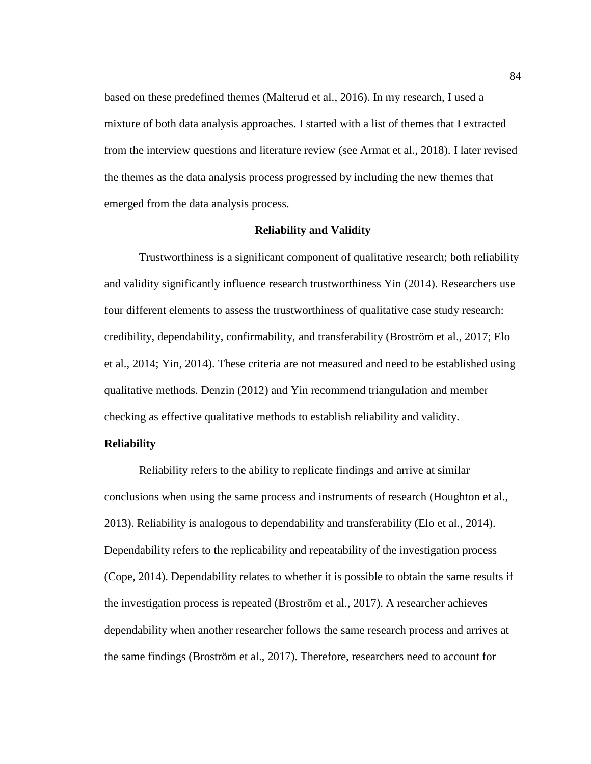based on these predefined themes (Malterud et al., 2016). In my research, I used a mixture of both data analysis approaches. I started with a list of themes that I extracted from the interview questions and literature review (see Armat et al., 2018). I later revised the themes as the data analysis process progressed by including the new themes that emerged from the data analysis process.

# **Reliability and Validity**

Trustworthiness is a significant component of qualitative research; both reliability and validity significantly influence research trustworthiness Yin (2014). Researchers use four different elements to assess the trustworthiness of qualitative case study research: credibility, dependability, confirmability, and transferability (Broström et al., 2017; Elo et al., 2014; Yin, 2014). These criteria are not measured and need to be established using qualitative methods. Denzin (2012) and Yin recommend triangulation and member checking as effective qualitative methods to establish reliability and validity.

### **Reliability**

Reliability refers to the ability to replicate findings and arrive at similar conclusions when using the same process and instruments of research (Houghton et al., 2013). Reliability is analogous to dependability and transferability (Elo et al., 2014). Dependability refers to the replicability and repeatability of the investigation process (Cope, 2014). Dependability relates to whether it is possible to obtain the same results if the investigation process is repeated (Broström et al., 2017). A researcher achieves dependability when another researcher follows the same research process and arrives at the same findings (Broström et al., 2017). Therefore, researchers need to account for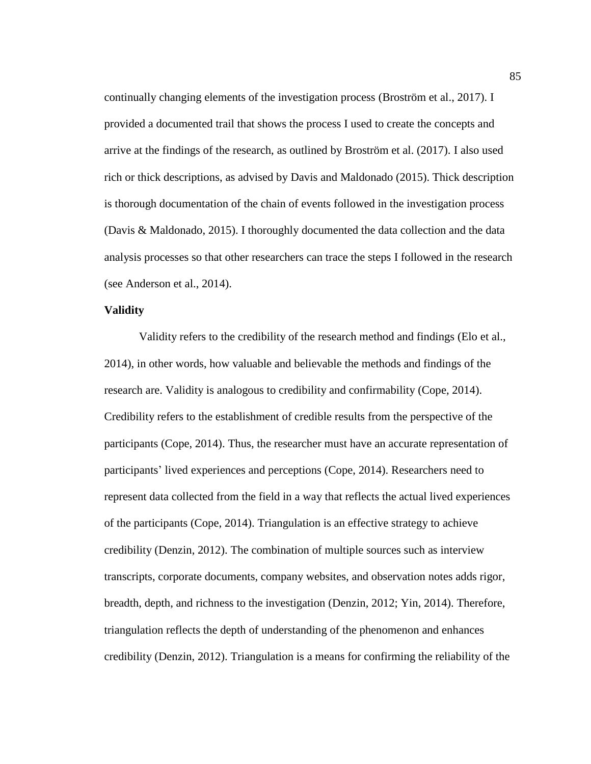continually changing elements of the investigation process (Broström et al., 2017). I provided a documented trail that shows the process I used to create the concepts and arrive at the findings of the research, as outlined by Broström et al. (2017). I also used rich or thick descriptions, as advised by Davis and Maldonado (2015). Thick description is thorough documentation of the chain of events followed in the investigation process (Davis & Maldonado, 2015). I thoroughly documented the data collection and the data analysis processes so that other researchers can trace the steps I followed in the research (see Anderson et al., 2014).

#### **Validity**

Validity refers to the credibility of the research method and findings (Elo et al., 2014), in other words, how valuable and believable the methods and findings of the research are. Validity is analogous to credibility and confirmability (Cope, 2014). Credibility refers to the establishment of credible results from the perspective of the participants (Cope, 2014). Thus, the researcher must have an accurate representation of participants' lived experiences and perceptions (Cope, 2014). Researchers need to represent data collected from the field in a way that reflects the actual lived experiences of the participants (Cope, 2014). Triangulation is an effective strategy to achieve credibility (Denzin, 2012). The combination of multiple sources such as interview transcripts, corporate documents, company websites, and observation notes adds rigor, breadth, depth, and richness to the investigation (Denzin, 2012; Yin, 2014). Therefore, triangulation reflects the depth of understanding of the phenomenon and enhances credibility (Denzin, 2012). Triangulation is a means for confirming the reliability of the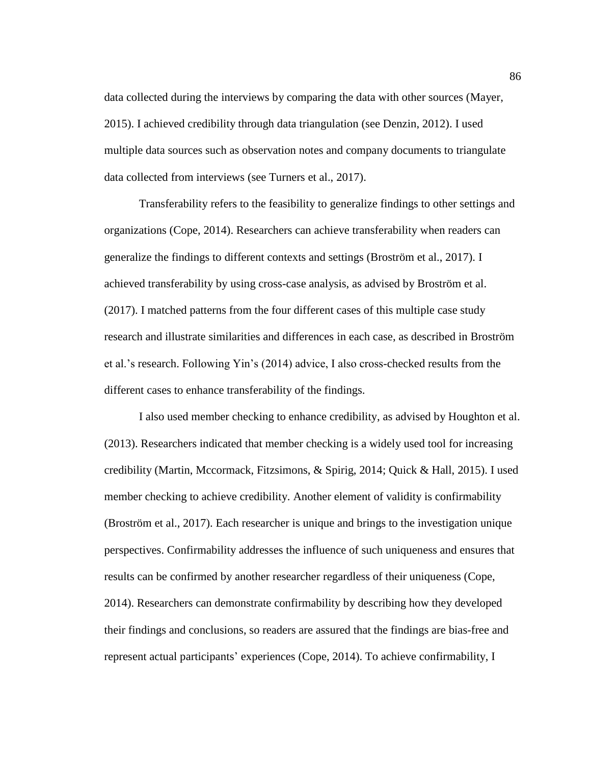data collected during the interviews by comparing the data with other sources (Mayer, 2015). I achieved credibility through data triangulation (see Denzin, 2012). I used multiple data sources such as observation notes and company documents to triangulate data collected from interviews (see Turners et al., 2017).

Transferability refers to the feasibility to generalize findings to other settings and organizations (Cope, 2014). Researchers can achieve transferability when readers can generalize the findings to different contexts and settings (Broström et al., 2017). I achieved transferability by using cross-case analysis, as advised by Broström et al. (2017). I matched patterns from the four different cases of this multiple case study research and illustrate similarities and differences in each case, as described in Broström et al.'s research. Following Yin's (2014) advice, I also cross-checked results from the different cases to enhance transferability of the findings.

I also used member checking to enhance credibility, as advised by Houghton et al. (2013). Researchers indicated that member checking is a widely used tool for increasing credibility (Martin, Mccormack, Fitzsimons, & Spirig, 2014; Quick & Hall, 2015). I used member checking to achieve credibility. Another element of validity is confirmability (Broström et al., 2017). Each researcher is unique and brings to the investigation unique perspectives. Confirmability addresses the influence of such uniqueness and ensures that results can be confirmed by another researcher regardless of their uniqueness (Cope, 2014). Researchers can demonstrate confirmability by describing how they developed their findings and conclusions, so readers are assured that the findings are bias-free and represent actual participants' experiences (Cope, 2014). To achieve confirmability, I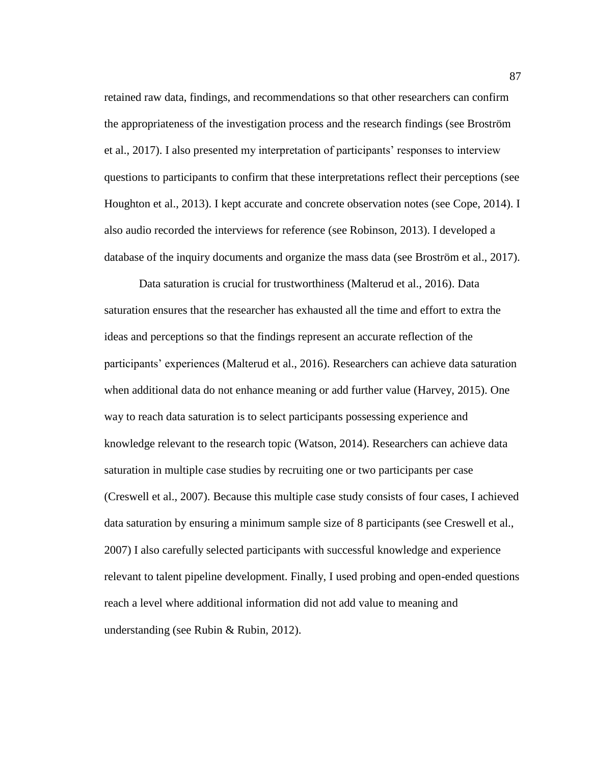retained raw data, findings, and recommendations so that other researchers can confirm the appropriateness of the investigation process and the research findings (see Broström et al., 2017). I also presented my interpretation of participants' responses to interview questions to participants to confirm that these interpretations reflect their perceptions (see Houghton et al., 2013). I kept accurate and concrete observation notes (see Cope, 2014). I also audio recorded the interviews for reference (see Robinson, 2013). I developed a database of the inquiry documents and organize the mass data (see Broström et al., 2017).

Data saturation is crucial for trustworthiness (Malterud et al., 2016). Data saturation ensures that the researcher has exhausted all the time and effort to extra the ideas and perceptions so that the findings represent an accurate reflection of the participants' experiences (Malterud et al., 2016). Researchers can achieve data saturation when additional data do not enhance meaning or add further value (Harvey, 2015). One way to reach data saturation is to select participants possessing experience and knowledge relevant to the research topic (Watson, 2014). Researchers can achieve data saturation in multiple case studies by recruiting one or two participants per case (Creswell et al., 2007). Because this multiple case study consists of four cases, I achieved data saturation by ensuring a minimum sample size of 8 participants (see Creswell et al., 2007) I also carefully selected participants with successful knowledge and experience relevant to talent pipeline development. Finally, I used probing and open-ended questions reach a level where additional information did not add value to meaning and understanding (see Rubin & Rubin, 2012).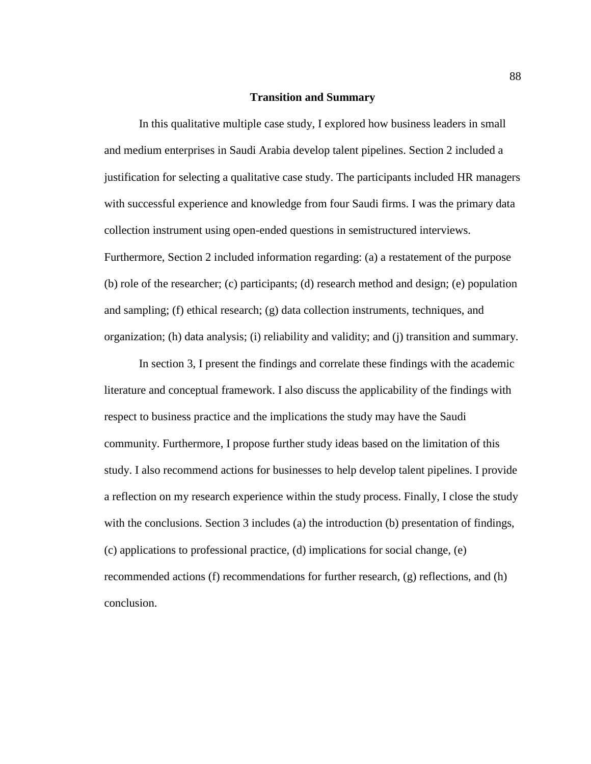# **Transition and Summary**

In this qualitative multiple case study, I explored how business leaders in small and medium enterprises in Saudi Arabia develop talent pipelines. Section 2 included a justification for selecting a qualitative case study. The participants included HR managers with successful experience and knowledge from four Saudi firms. I was the primary data collection instrument using open-ended questions in semistructured interviews. Furthermore, Section 2 included information regarding: (a) a restatement of the purpose (b) role of the researcher; (c) participants; (d) research method and design; (e) population and sampling; (f) ethical research; (g) data collection instruments, techniques, and organization; (h) data analysis; (i) reliability and validity; and (j) transition and summary.

In section 3, I present the findings and correlate these findings with the academic literature and conceptual framework. I also discuss the applicability of the findings with respect to business practice and the implications the study may have the Saudi community. Furthermore, I propose further study ideas based on the limitation of this study. I also recommend actions for businesses to help develop talent pipelines. I provide a reflection on my research experience within the study process. Finally, I close the study with the conclusions. Section 3 includes (a) the introduction (b) presentation of findings, (c) applications to professional practice, (d) implications for social change, (e) recommended actions (f) recommendations for further research, (g) reflections, and (h) conclusion.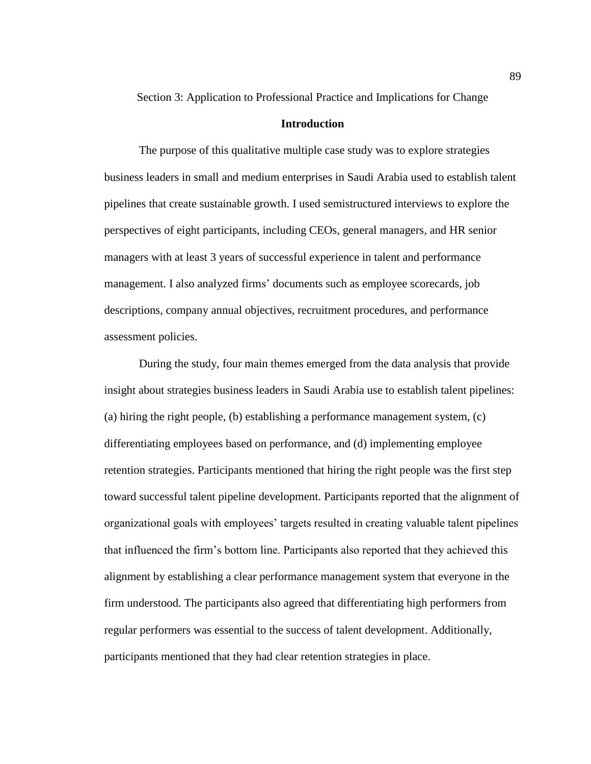Section 3: Application to Professional Practice and Implications for Change

# **Introduction**

The purpose of this qualitative multiple case study was to explore strategies business leaders in small and medium enterprises in Saudi Arabia used to establish talent pipelines that create sustainable growth. I used semistructured interviews to explore the perspectives of eight participants, including CEOs, general managers, and HR senior managers with at least 3 years of successful experience in talent and performance management. I also analyzed firms' documents such as employee scorecards, job descriptions, company annual objectives, recruitment procedures, and performance assessment policies.

During the study, four main themes emerged from the data analysis that provide insight about strategies business leaders in Saudi Arabia use to establish talent pipelines: (a) hiring the right people, (b) establishing a performance management system, (c) differentiating employees based on performance, and (d) implementing employee retention strategies. Participants mentioned that hiring the right people was the first step toward successful talent pipeline development. Participants reported that the alignment of organizational goals with employees' targets resulted in creating valuable talent pipelines that influenced the firm's bottom line. Participants also reported that they achieved this alignment by establishing a clear performance management system that everyone in the firm understood. The participants also agreed that differentiating high performers from regular performers was essential to the success of talent development. Additionally, participants mentioned that they had clear retention strategies in place.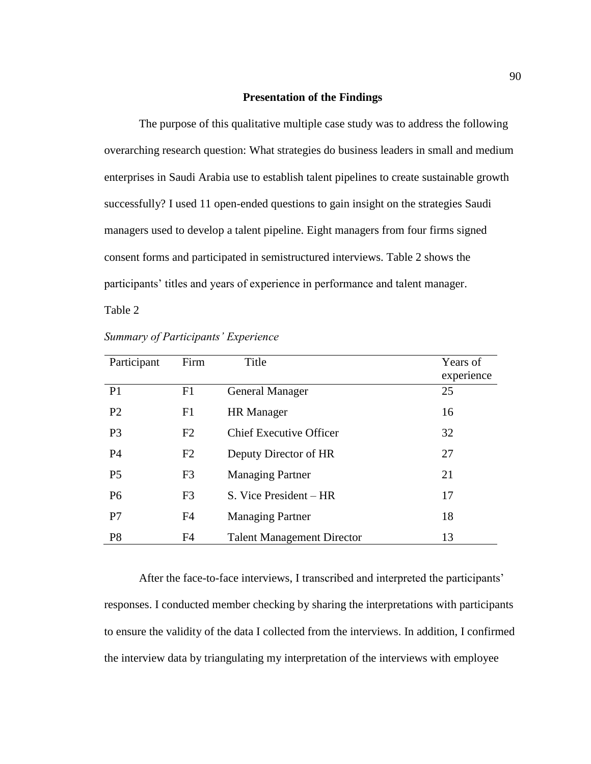# **Presentation of the Findings**

The purpose of this qualitative multiple case study was to address the following overarching research question: What strategies do business leaders in small and medium enterprises in Saudi Arabia use to establish talent pipelines to create sustainable growth successfully? I used 11 open-ended questions to gain insight on the strategies Saudi managers used to develop a talent pipeline. Eight managers from four firms signed consent forms and participated in semistructured interviews. Table 2 shows the participants' titles and years of experience in performance and talent manager.

Table 2

| Participant    | Firm           | Title                             | Years of<br>experience |
|----------------|----------------|-----------------------------------|------------------------|
| P <sub>1</sub> | F1             | <b>General Manager</b>            | 25                     |
| P <sub>2</sub> | F1             | <b>HR</b> Manager                 | 16                     |
| P <sub>3</sub> | F2             | <b>Chief Executive Officer</b>    | 32                     |
| P4             | F2             | Deputy Director of HR             | 27                     |
| P <sub>5</sub> | F <sub>3</sub> | <b>Managing Partner</b>           | 21                     |
| P <sub>6</sub> | F <sub>3</sub> | S. Vice President – HR            | 17                     |
| P7             | F <sub>4</sub> | <b>Managing Partner</b>           | 18                     |
| P <sub>8</sub> | F <sub>4</sub> | <b>Talent Management Director</b> | 13                     |

| <b>Summary of Participants' Experience</b> |
|--------------------------------------------|
|--------------------------------------------|

After the face-to-face interviews, I transcribed and interpreted the participants' responses. I conducted member checking by sharing the interpretations with participants to ensure the validity of the data I collected from the interviews. In addition, I confirmed the interview data by triangulating my interpretation of the interviews with employee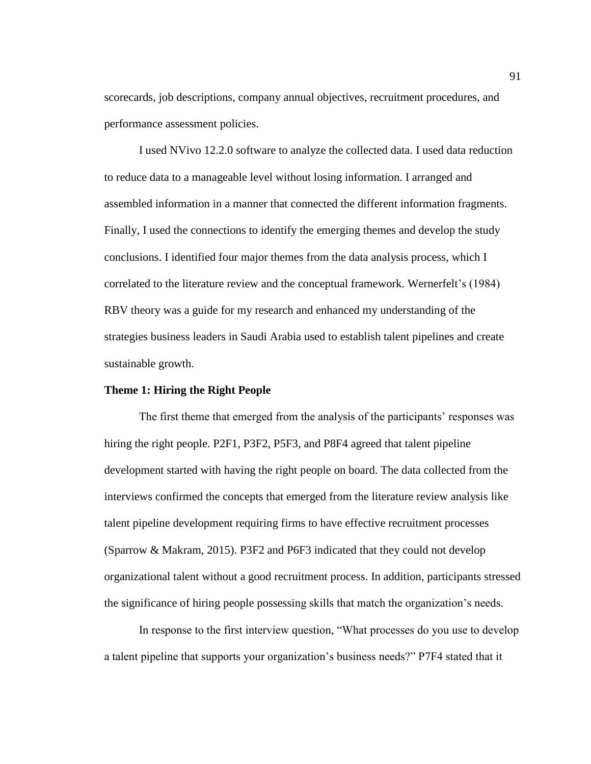scorecards, job descriptions, company annual objectives, recruitment procedures, and performance assessment policies.

I used NVivo 12.2.0 software to analyze the collected data. I used data reduction to reduce data to a manageable level without losing information. I arranged and assembled information in a manner that connected the different information fragments. Finally, I used the connections to identify the emerging themes and develop the study conclusions. I identified four major themes from the data analysis process, which I correlated to the literature review and the conceptual framework. Wernerfelt's (1984) RBV theory was a guide for my research and enhanced my understanding of the strategies business leaders in Saudi Arabia used to establish talent pipelines and create sustainable growth.

# **Theme 1: Hiring the Right People**

The first theme that emerged from the analysis of the participants' responses was hiring the right people. P2F1, P3F2, P5F3, and P8F4 agreed that talent pipeline development started with having the right people on board. The data collected from the interviews confirmed the concepts that emerged from the literature review analysis like talent pipeline development requiring firms to have effective recruitment processes (Sparrow & Makram, 2015). P3F2 and P6F3 indicated that they could not develop organizational talent without a good recruitment process. In addition, participants stressed the significance of hiring people possessing skills that match the organization's needs.

In response to the first interview question, "What processes do you use to develop a talent pipeline that supports your organization's business needs?" P7F4 stated that it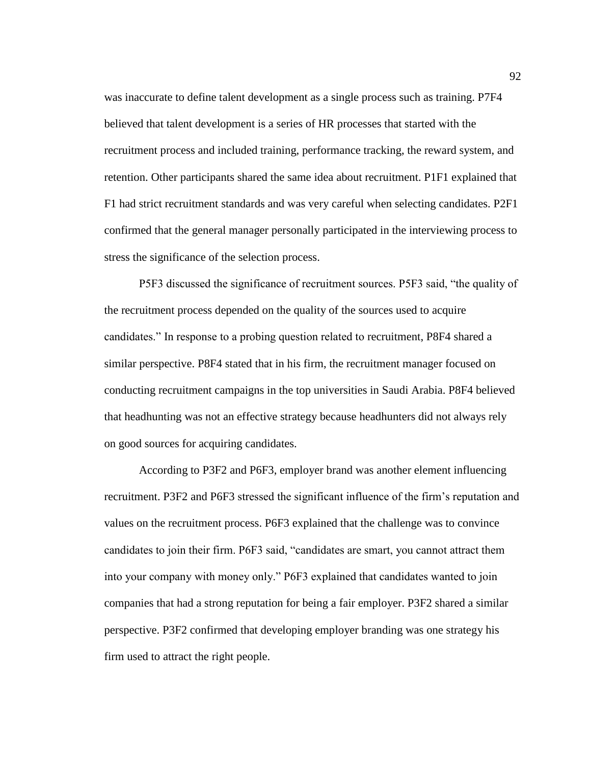was inaccurate to define talent development as a single process such as training. P7F4 believed that talent development is a series of HR processes that started with the recruitment process and included training, performance tracking, the reward system, and retention. Other participants shared the same idea about recruitment. P1F1 explained that F1 had strict recruitment standards and was very careful when selecting candidates. P2F1 confirmed that the general manager personally participated in the interviewing process to stress the significance of the selection process.

P5F3 discussed the significance of recruitment sources. P5F3 said, "the quality of the recruitment process depended on the quality of the sources used to acquire candidates." In response to a probing question related to recruitment, P8F4 shared a similar perspective. P8F4 stated that in his firm, the recruitment manager focused on conducting recruitment campaigns in the top universities in Saudi Arabia. P8F4 believed that headhunting was not an effective strategy because headhunters did not always rely on good sources for acquiring candidates.

According to P3F2 and P6F3, employer brand was another element influencing recruitment. P3F2 and P6F3 stressed the significant influence of the firm's reputation and values on the recruitment process. P6F3 explained that the challenge was to convince candidates to join their firm. P6F3 said, "candidates are smart, you cannot attract them into your company with money only." P6F3 explained that candidates wanted to join companies that had a strong reputation for being a fair employer. P3F2 shared a similar perspective. P3F2 confirmed that developing employer branding was one strategy his firm used to attract the right people.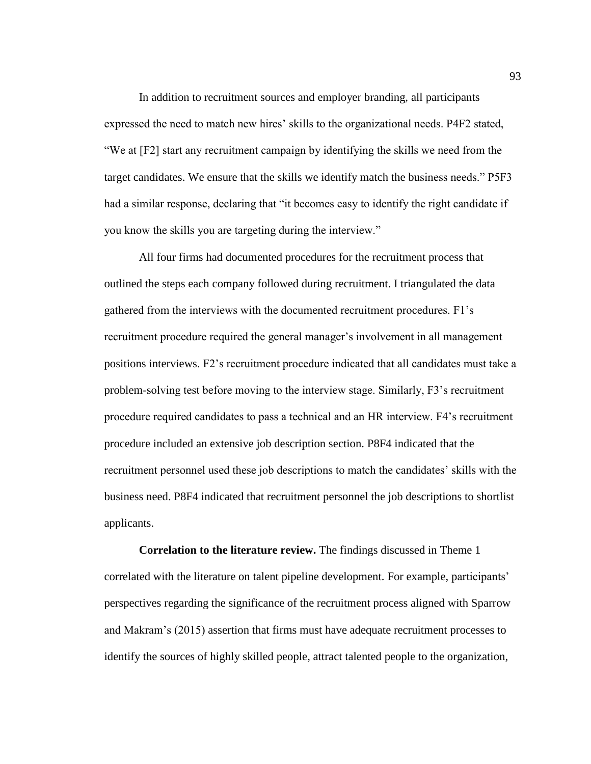In addition to recruitment sources and employer branding, all participants expressed the need to match new hires' skills to the organizational needs. P4F2 stated, "We at [F2] start any recruitment campaign by identifying the skills we need from the target candidates. We ensure that the skills we identify match the business needs." P5F3 had a similar response, declaring that "it becomes easy to identify the right candidate if you know the skills you are targeting during the interview."

All four firms had documented procedures for the recruitment process that outlined the steps each company followed during recruitment. I triangulated the data gathered from the interviews with the documented recruitment procedures. F1's recruitment procedure required the general manager's involvement in all management positions interviews. F2's recruitment procedure indicated that all candidates must take a problem-solving test before moving to the interview stage. Similarly, F3's recruitment procedure required candidates to pass a technical and an HR interview. F4's recruitment procedure included an extensive job description section. P8F4 indicated that the recruitment personnel used these job descriptions to match the candidates' skills with the business need. P8F4 indicated that recruitment personnel the job descriptions to shortlist applicants.

**Correlation to the literature review.** The findings discussed in Theme 1 correlated with the literature on talent pipeline development. For example, participants' perspectives regarding the significance of the recruitment process aligned with Sparrow and Makram's (2015) assertion that firms must have adequate recruitment processes to identify the sources of highly skilled people, attract talented people to the organization,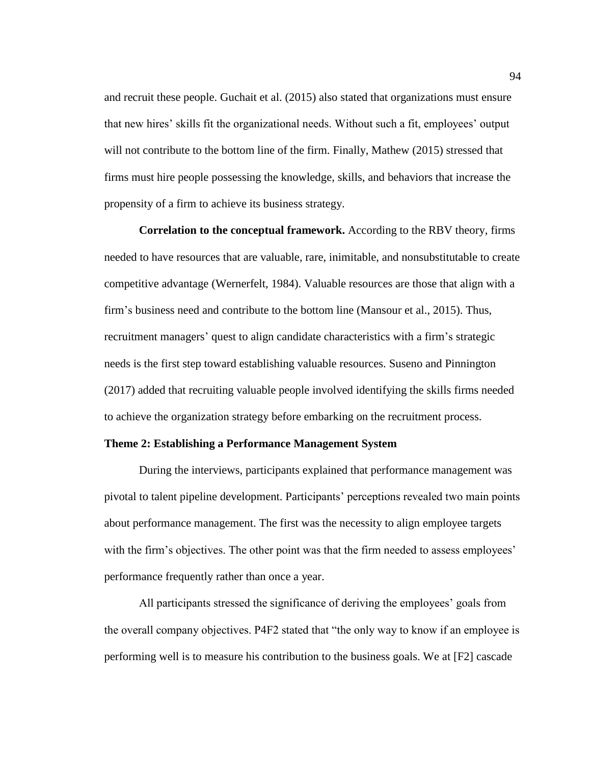and recruit these people. Guchait et al. (2015) also stated that organizations must ensure that new hires' skills fit the organizational needs. Without such a fit, employees' output will not contribute to the bottom line of the firm. Finally, Mathew (2015) stressed that firms must hire people possessing the knowledge, skills, and behaviors that increase the propensity of a firm to achieve its business strategy.

**Correlation to the conceptual framework.** According to the RBV theory, firms needed to have resources that are valuable, rare, inimitable, and nonsubstitutable to create competitive advantage (Wernerfelt, 1984). Valuable resources are those that align with a firm's business need and contribute to the bottom line (Mansour et al., 2015). Thus, recruitment managers' quest to align candidate characteristics with a firm's strategic needs is the first step toward establishing valuable resources. Suseno and Pinnington (2017) added that recruiting valuable people involved identifying the skills firms needed to achieve the organization strategy before embarking on the recruitment process.

### **Theme 2: Establishing a Performance Management System**

During the interviews, participants explained that performance management was pivotal to talent pipeline development. Participants' perceptions revealed two main points about performance management. The first was the necessity to align employee targets with the firm's objectives. The other point was that the firm needed to assess employees' performance frequently rather than once a year.

All participants stressed the significance of deriving the employees' goals from the overall company objectives. P4F2 stated that "the only way to know if an employee is performing well is to measure his contribution to the business goals. We at [F2] cascade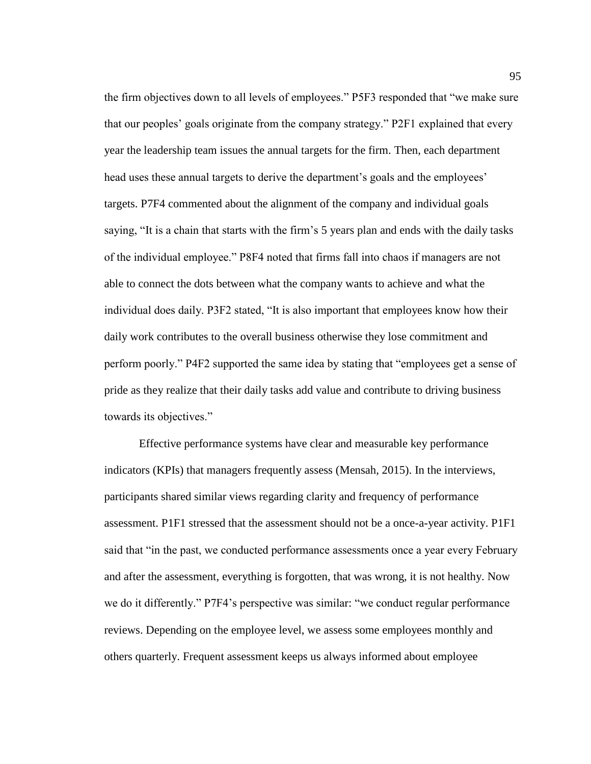the firm objectives down to all levels of employees." P5F3 responded that "we make sure that our peoples' goals originate from the company strategy." P2F1 explained that every year the leadership team issues the annual targets for the firm. Then, each department head uses these annual targets to derive the department's goals and the employees' targets. P7F4 commented about the alignment of the company and individual goals saying, "It is a chain that starts with the firm's 5 years plan and ends with the daily tasks of the individual employee." P8F4 noted that firms fall into chaos if managers are not able to connect the dots between what the company wants to achieve and what the individual does daily. P3F2 stated, "It is also important that employees know how their daily work contributes to the overall business otherwise they lose commitment and perform poorly." P4F2 supported the same idea by stating that "employees get a sense of pride as they realize that their daily tasks add value and contribute to driving business towards its objectives."

Effective performance systems have clear and measurable key performance indicators (KPIs) that managers frequently assess (Mensah, 2015). In the interviews, participants shared similar views regarding clarity and frequency of performance assessment. P1F1 stressed that the assessment should not be a once-a-year activity. P1F1 said that "in the past, we conducted performance assessments once a year every February and after the assessment, everything is forgotten, that was wrong, it is not healthy. Now we do it differently." P7F4's perspective was similar: "we conduct regular performance reviews. Depending on the employee level, we assess some employees monthly and others quarterly. Frequent assessment keeps us always informed about employee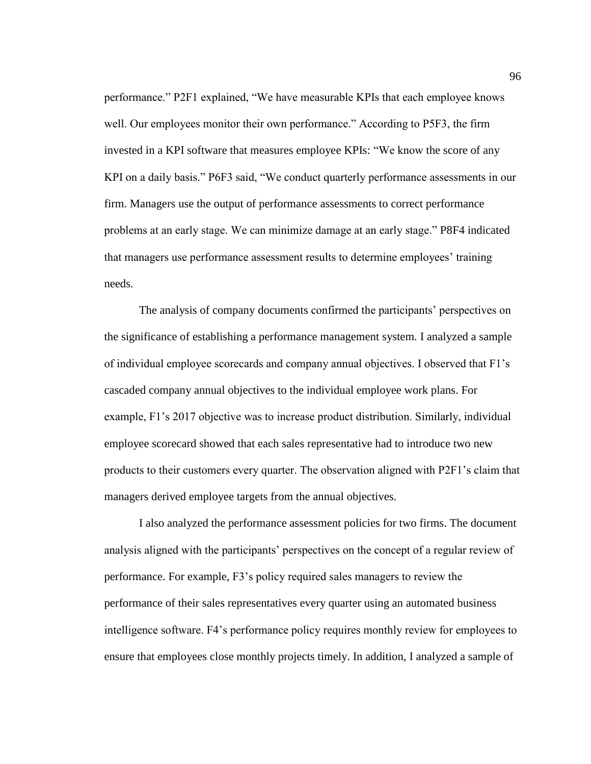performance." P2F1 explained, "We have measurable KPIs that each employee knows well. Our employees monitor their own performance." According to P5F3, the firm invested in a KPI software that measures employee KPIs: "We know the score of any KPI on a daily basis." P6F3 said, "We conduct quarterly performance assessments in our firm. Managers use the output of performance assessments to correct performance problems at an early stage. We can minimize damage at an early stage." P8F4 indicated that managers use performance assessment results to determine employees' training needs.

The analysis of company documents confirmed the participants' perspectives on the significance of establishing a performance management system. I analyzed a sample of individual employee scorecards and company annual objectives. I observed that F1's cascaded company annual objectives to the individual employee work plans. For example, F1's 2017 objective was to increase product distribution. Similarly, individual employee scorecard showed that each sales representative had to introduce two new products to their customers every quarter. The observation aligned with P2F1's claim that managers derived employee targets from the annual objectives.

I also analyzed the performance assessment policies for two firms. The document analysis aligned with the participants' perspectives on the concept of a regular review of performance. For example, F3's policy required sales managers to review the performance of their sales representatives every quarter using an automated business intelligence software. F4's performance policy requires monthly review for employees to ensure that employees close monthly projects timely. In addition, I analyzed a sample of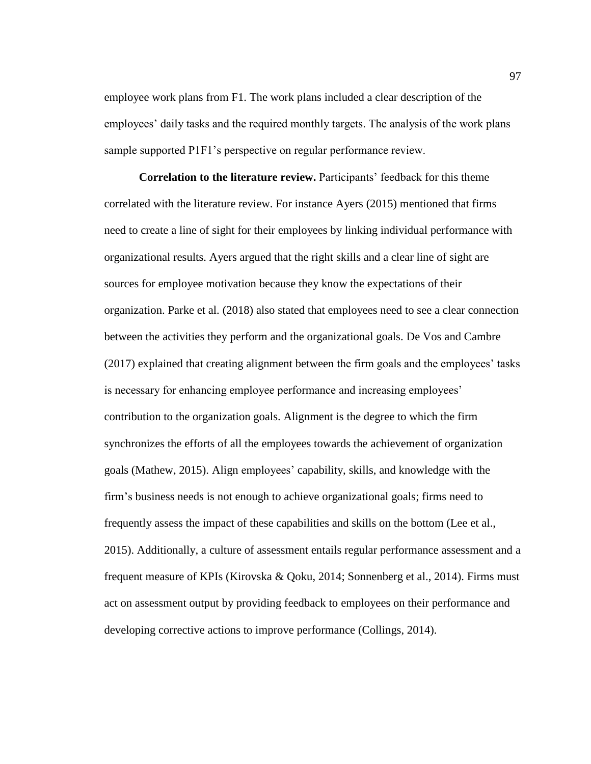employee work plans from F1. The work plans included a clear description of the employees' daily tasks and the required monthly targets. The analysis of the work plans sample supported P1F1's perspective on regular performance review.

**Correlation to the literature review.** Participants' feedback for this theme correlated with the literature review. For instance Ayers (2015) mentioned that firms need to create a line of sight for their employees by linking individual performance with organizational results. Ayers argued that the right skills and a clear line of sight are sources for employee motivation because they know the expectations of their organization. Parke et al. (2018) also stated that employees need to see a clear connection between the activities they perform and the organizational goals. De Vos and Cambre (2017) explained that creating alignment between the firm goals and the employees' tasks is necessary for enhancing employee performance and increasing employees' contribution to the organization goals. Alignment is the degree to which the firm synchronizes the efforts of all the employees towards the achievement of organization goals (Mathew, 2015). Align employees' capability, skills, and knowledge with the firm's business needs is not enough to achieve organizational goals; firms need to frequently assess the impact of these capabilities and skills on the bottom (Lee et al., 2015). Additionally, a culture of assessment entails regular performance assessment and a frequent measure of KPIs (Kirovska & Qoku, 2014; Sonnenberg et al., 2014). Firms must act on assessment output by providing feedback to employees on their performance and developing corrective actions to improve performance (Collings, 2014).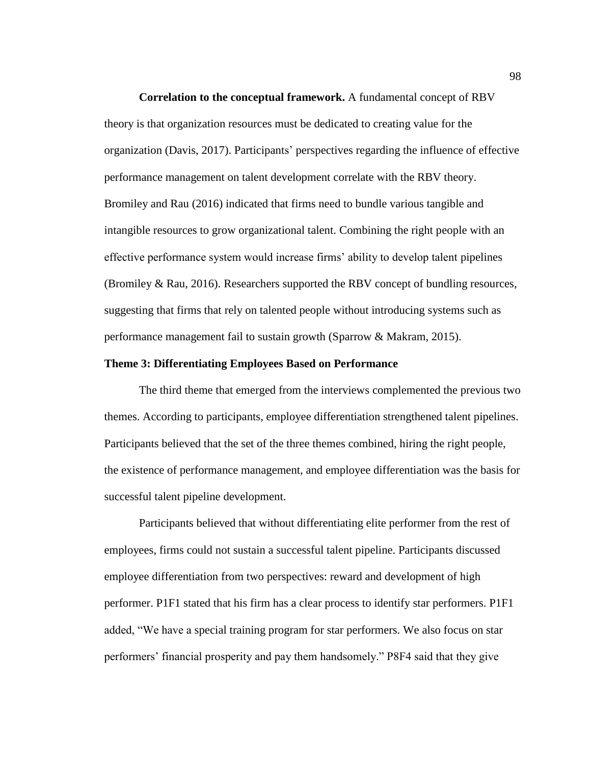**Correlation to the conceptual framework.** A fundamental concept of RBV theory is that organization resources must be dedicated to creating value for the organization (Davis, 2017). Participants' perspectives regarding the influence of effective performance management on talent development correlate with the RBV theory. Bromiley and Rau (2016) indicated that firms need to bundle various tangible and intangible resources to grow organizational talent. Combining the right people with an effective performance system would increase firms' ability to develop talent pipelines (Bromiley & Rau, 2016). Researchers supported the RBV concept of bundling resources, suggesting that firms that rely on talented people without introducing systems such as performance management fail to sustain growth (Sparrow & Makram, 2015).

## **Theme 3: Differentiating Employees Based on Performance**

The third theme that emerged from the interviews complemented the previous two themes. According to participants, employee differentiation strengthened talent pipelines. Participants believed that the set of the three themes combined, hiring the right people, the existence of performance management, and employee differentiation was the basis for successful talent pipeline development.

Participants believed that without differentiating elite performer from the rest of employees, firms could not sustain a successful talent pipeline. Participants discussed employee differentiation from two perspectives: reward and development of high performer. P1F1 stated that his firm has a clear process to identify star performers. P1F1 added, "We have a special training program for star performers. We also focus on star performers' financial prosperity and pay them handsomely." P8F4 said that they give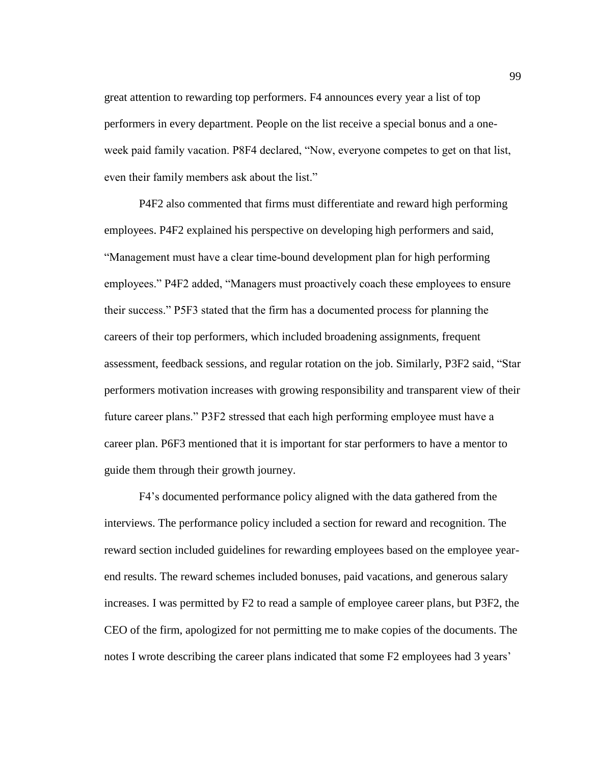great attention to rewarding top performers. F4 announces every year a list of top performers in every department. People on the list receive a special bonus and a oneweek paid family vacation. P8F4 declared, "Now, everyone competes to get on that list, even their family members ask about the list."

P4F2 also commented that firms must differentiate and reward high performing employees. P4F2 explained his perspective on developing high performers and said, "Management must have a clear time-bound development plan for high performing employees." P4F2 added, "Managers must proactively coach these employees to ensure their success." P5F3 stated that the firm has a documented process for planning the careers of their top performers, which included broadening assignments, frequent assessment, feedback sessions, and regular rotation on the job. Similarly, P3F2 said, "Star performers motivation increases with growing responsibility and transparent view of their future career plans." P3F2 stressed that each high performing employee must have a career plan. P6F3 mentioned that it is important for star performers to have a mentor to guide them through their growth journey.

F4's documented performance policy aligned with the data gathered from the interviews. The performance policy included a section for reward and recognition. The reward section included guidelines for rewarding employees based on the employee yearend results. The reward schemes included bonuses, paid vacations, and generous salary increases. I was permitted by F2 to read a sample of employee career plans, but P3F2, the CEO of the firm, apologized for not permitting me to make copies of the documents. The notes I wrote describing the career plans indicated that some F2 employees had 3 years'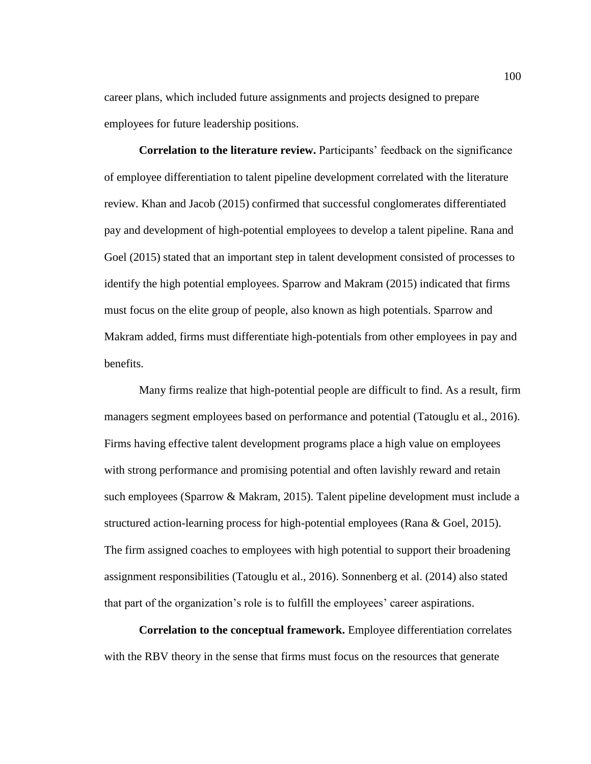career plans, which included future assignments and projects designed to prepare employees for future leadership positions.

**Correlation to the literature review.** Participants' feedback on the significance of employee differentiation to talent pipeline development correlated with the literature review. Khan and Jacob (2015) confirmed that successful conglomerates differentiated pay and development of high-potential employees to develop a talent pipeline. Rana and Goel (2015) stated that an important step in talent development consisted of processes to identify the high potential employees. Sparrow and Makram (2015) indicated that firms must focus on the elite group of people, also known as high potentials. Sparrow and Makram added, firms must differentiate high-potentials from other employees in pay and benefits.

Many firms realize that high-potential people are difficult to find. As a result, firm managers segment employees based on performance and potential (Tatouglu et al., 2016). Firms having effective talent development programs place a high value on employees with strong performance and promising potential and often lavishly reward and retain such employees (Sparrow & Makram, 2015). Talent pipeline development must include a structured action-learning process for high-potential employees (Rana & Goel, 2015). The firm assigned coaches to employees with high potential to support their broadening assignment responsibilities (Tatouglu et al., 2016). Sonnenberg et al. (2014) also stated that part of the organization's role is to fulfill the employees' career aspirations.

**Correlation to the conceptual framework.** Employee differentiation correlates with the RBV theory in the sense that firms must focus on the resources that generate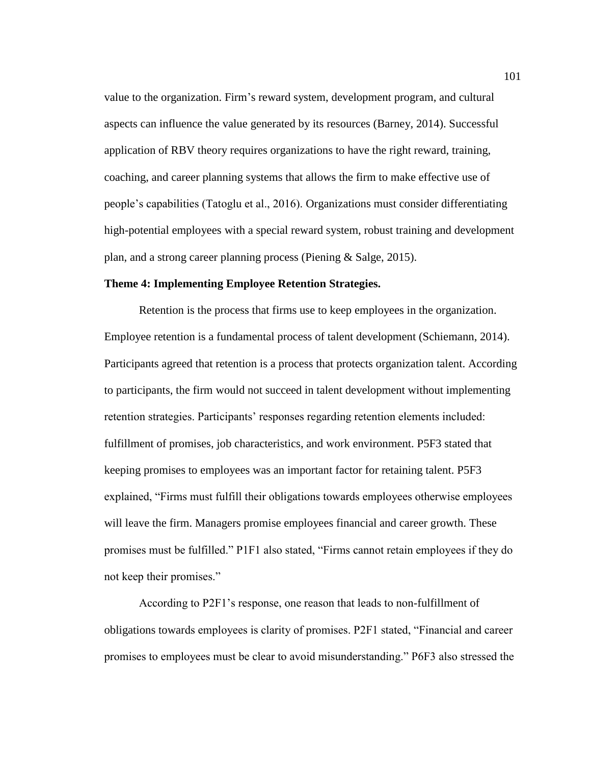value to the organization. Firm's reward system, development program, and cultural aspects can influence the value generated by its resources (Barney, 2014). Successful application of RBV theory requires organizations to have the right reward, training, coaching, and career planning systems that allows the firm to make effective use of people's capabilities (Tatoglu et al., 2016). Organizations must consider differentiating high-potential employees with a special reward system, robust training and development plan, and a strong career planning process (Piening & Salge, 2015).

## **Theme 4: Implementing Employee Retention Strategies.**

Retention is the process that firms use to keep employees in the organization. Employee retention is a fundamental process of talent development (Schiemann, 2014). Participants agreed that retention is a process that protects organization talent. According to participants, the firm would not succeed in talent development without implementing retention strategies. Participants' responses regarding retention elements included: fulfillment of promises, job characteristics, and work environment. P5F3 stated that keeping promises to employees was an important factor for retaining talent. P5F3 explained, "Firms must fulfill their obligations towards employees otherwise employees will leave the firm. Managers promise employees financial and career growth. These promises must be fulfilled." P1F1 also stated, "Firms cannot retain employees if they do not keep their promises."

According to P2F1's response, one reason that leads to non-fulfillment of obligations towards employees is clarity of promises. P2F1 stated, "Financial and career promises to employees must be clear to avoid misunderstanding." P6F3 also stressed the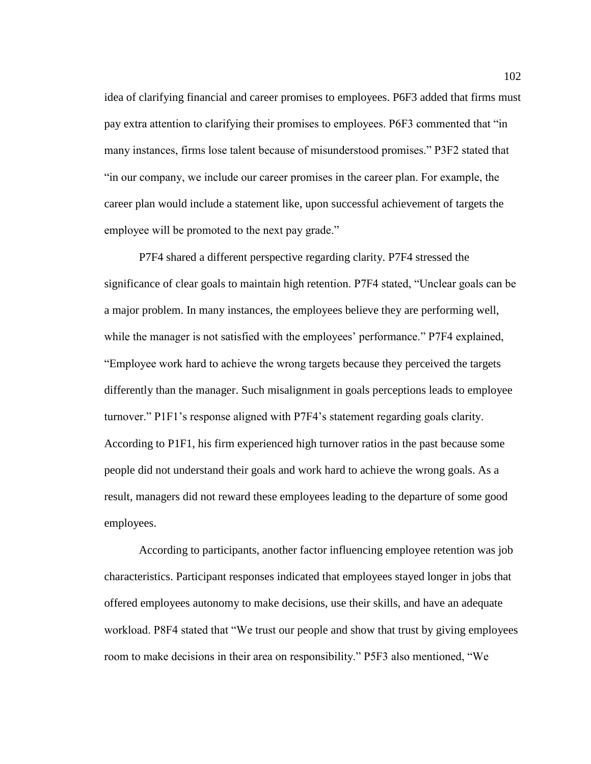idea of clarifying financial and career promises to employees. P6F3 added that firms must pay extra attention to clarifying their promises to employees. P6F3 commented that "in many instances, firms lose talent because of misunderstood promises." P3F2 stated that "in our company, we include our career promises in the career plan. For example, the career plan would include a statement like, upon successful achievement of targets the employee will be promoted to the next pay grade."

P7F4 shared a different perspective regarding clarity. P7F4 stressed the significance of clear goals to maintain high retention. P7F4 stated, "Unclear goals can be a major problem. In many instances, the employees believe they are performing well, while the manager is not satisfied with the employees' performance." P7F4 explained, "Employee work hard to achieve the wrong targets because they perceived the targets differently than the manager. Such misalignment in goals perceptions leads to employee turnover." P1F1's response aligned with P7F4's statement regarding goals clarity. According to P1F1, his firm experienced high turnover ratios in the past because some people did not understand their goals and work hard to achieve the wrong goals. As a result, managers did not reward these employees leading to the departure of some good employees.

According to participants, another factor influencing employee retention was job characteristics. Participant responses indicated that employees stayed longer in jobs that offered employees autonomy to make decisions, use their skills, and have an adequate workload. P8F4 stated that "We trust our people and show that trust by giving employees room to make decisions in their area on responsibility." P5F3 also mentioned, "We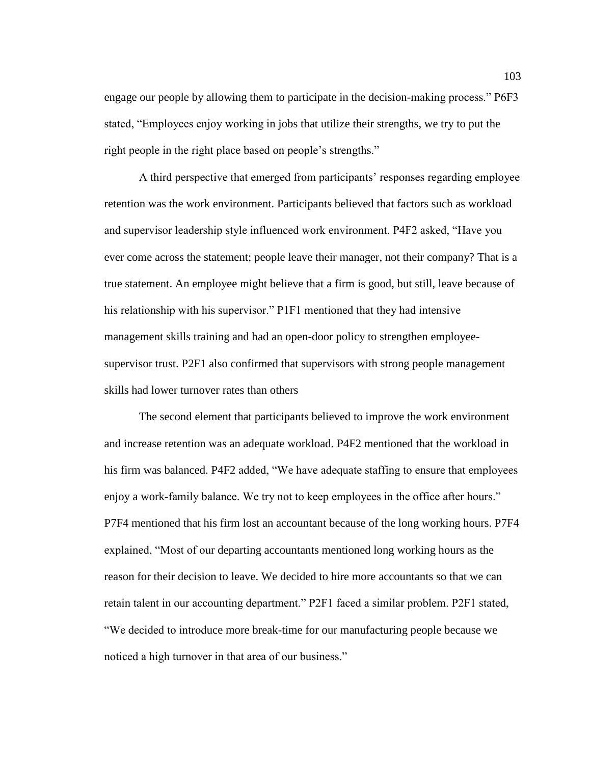engage our people by allowing them to participate in the decision-making process." P6F3 stated, "Employees enjoy working in jobs that utilize their strengths, we try to put the right people in the right place based on people's strengths."

A third perspective that emerged from participants' responses regarding employee retention was the work environment. Participants believed that factors such as workload and supervisor leadership style influenced work environment. P4F2 asked, "Have you ever come across the statement; people leave their manager, not their company? That is a true statement. An employee might believe that a firm is good, but still, leave because of his relationship with his supervisor." P1F1 mentioned that they had intensive management skills training and had an open-door policy to strengthen employeesupervisor trust. P2F1 also confirmed that supervisors with strong people management skills had lower turnover rates than others

The second element that participants believed to improve the work environment and increase retention was an adequate workload. P4F2 mentioned that the workload in his firm was balanced. P4F2 added, "We have adequate staffing to ensure that employees enjoy a work-family balance. We try not to keep employees in the office after hours." P7F4 mentioned that his firm lost an accountant because of the long working hours. P7F4 explained, "Most of our departing accountants mentioned long working hours as the reason for their decision to leave. We decided to hire more accountants so that we can retain talent in our accounting department." P2F1 faced a similar problem. P2F1 stated, "We decided to introduce more break-time for our manufacturing people because we noticed a high turnover in that area of our business."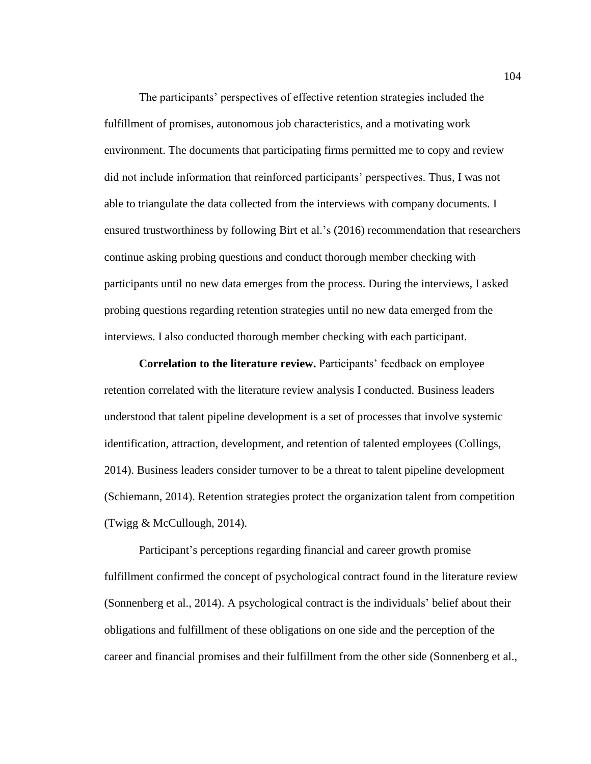The participants' perspectives of effective retention strategies included the fulfillment of promises, autonomous job characteristics, and a motivating work environment. The documents that participating firms permitted me to copy and review did not include information that reinforced participants' perspectives. Thus, I was not able to triangulate the data collected from the interviews with company documents. I ensured trustworthiness by following Birt et al.'s (2016) recommendation that researchers continue asking probing questions and conduct thorough member checking with participants until no new data emerges from the process. During the interviews, I asked probing questions regarding retention strategies until no new data emerged from the interviews. I also conducted thorough member checking with each participant.

**Correlation to the literature review.** Participants' feedback on employee retention correlated with the literature review analysis I conducted. Business leaders understood that talent pipeline development is a set of processes that involve systemic identification, attraction, development, and retention of talented employees (Collings, 2014). Business leaders consider turnover to be a threat to talent pipeline development (Schiemann, 2014). Retention strategies protect the organization talent from competition (Twigg & McCullough, 2014).

Participant's perceptions regarding financial and career growth promise fulfillment confirmed the concept of psychological contract found in the literature review (Sonnenberg et al., 2014). A psychological contract is the individuals' belief about their obligations and fulfillment of these obligations on one side and the perception of the career and financial promises and their fulfillment from the other side (Sonnenberg et al.,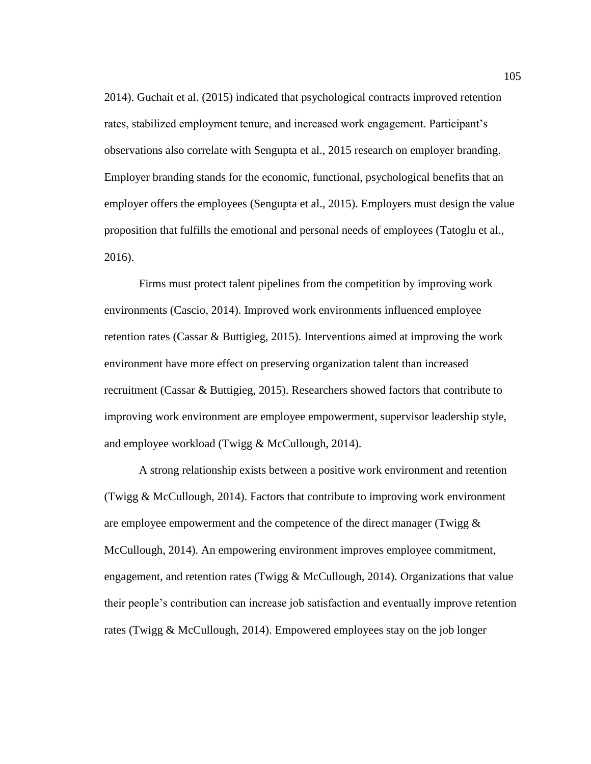2014). Guchait et al. (2015) indicated that psychological contracts improved retention rates, stabilized employment tenure, and increased work engagement. Participant's observations also correlate with Sengupta et al., 2015 research on employer branding. Employer branding stands for the economic, functional, psychological benefits that an employer offers the employees (Sengupta et al., 2015). Employers must design the value proposition that fulfills the emotional and personal needs of employees (Tatoglu et al., 2016).

Firms must protect talent pipelines from the competition by improving work environments (Cascio, 2014). Improved work environments influenced employee retention rates (Cassar & Buttigieg, 2015). Interventions aimed at improving the work environment have more effect on preserving organization talent than increased recruitment (Cassar & Buttigieg, 2015). Researchers showed factors that contribute to improving work environment are employee empowerment, supervisor leadership style, and employee workload (Twigg & McCullough, 2014).

A strong relationship exists between a positive work environment and retention (Twigg & McCullough, 2014). Factors that contribute to improving work environment are employee empowerment and the competence of the direct manager (Twigg  $\&$ McCullough, 2014). An empowering environment improves employee commitment, engagement, and retention rates (Twigg & McCullough, 2014). Organizations that value their people's contribution can increase job satisfaction and eventually improve retention rates (Twigg & McCullough, 2014). Empowered employees stay on the job longer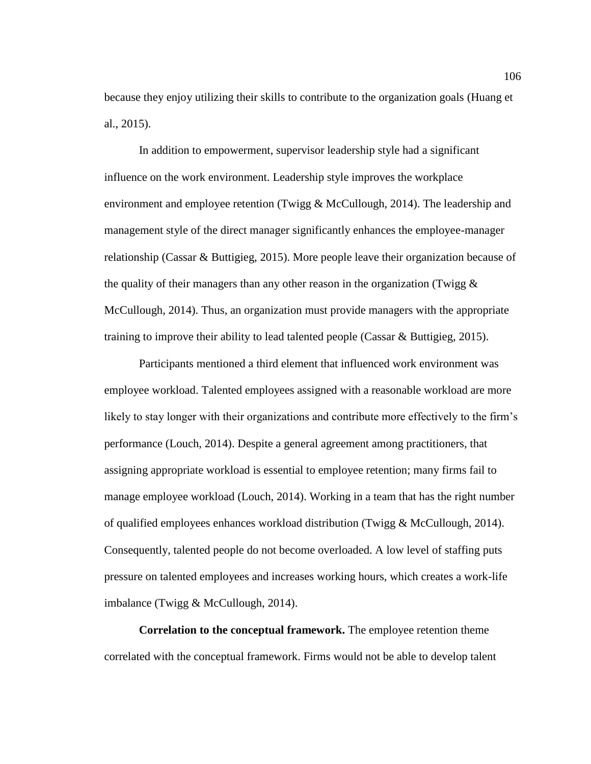because they enjoy utilizing their skills to contribute to the organization goals (Huang et al., 2015).

In addition to empowerment, supervisor leadership style had a significant influence on the work environment. Leadership style improves the workplace environment and employee retention (Twigg & McCullough, 2014). The leadership and management style of the direct manager significantly enhances the employee-manager relationship (Cassar & Buttigieg, 2015). More people leave their organization because of the quality of their managers than any other reason in the organization (Twigg  $\&$ McCullough, 2014). Thus, an organization must provide managers with the appropriate training to improve their ability to lead talented people (Cassar & Buttigieg, 2015).

Participants mentioned a third element that influenced work environment was employee workload. Talented employees assigned with a reasonable workload are more likely to stay longer with their organizations and contribute more effectively to the firm's performance (Louch, 2014). Despite a general agreement among practitioners, that assigning appropriate workload is essential to employee retention; many firms fail to manage employee workload (Louch, 2014). Working in a team that has the right number of qualified employees enhances workload distribution (Twigg  $&$  McCullough, 2014). Consequently, talented people do not become overloaded. A low level of staffing puts pressure on talented employees and increases working hours, which creates a work-life imbalance (Twigg & McCullough, 2014).

**Correlation to the conceptual framework.** The employee retention theme correlated with the conceptual framework. Firms would not be able to develop talent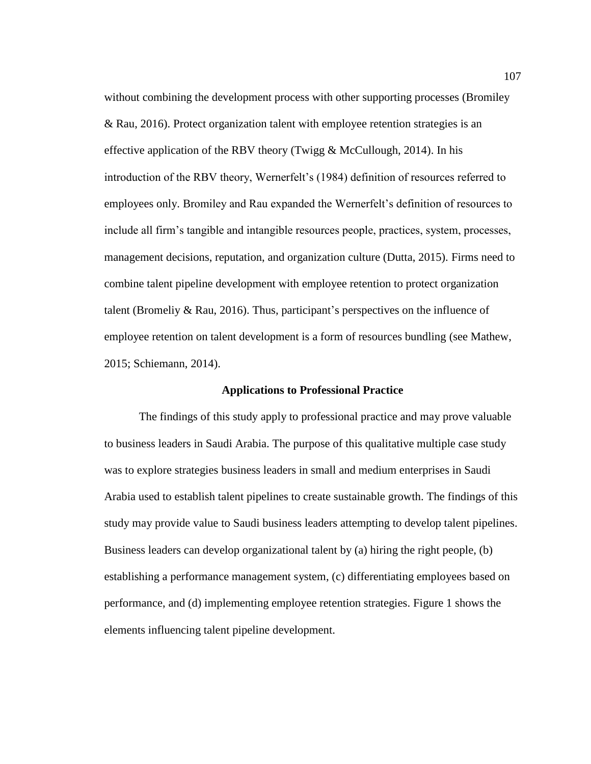without combining the development process with other supporting processes (Bromiley & Rau, 2016). Protect organization talent with employee retention strategies is an effective application of the RBV theory (Twigg  $&$  McCullough, 2014). In his introduction of the RBV theory, Wernerfelt's (1984) definition of resources referred to employees only. Bromiley and Rau expanded the Wernerfelt's definition of resources to include all firm's tangible and intangible resources people, practices, system, processes, management decisions, reputation, and organization culture (Dutta, 2015). Firms need to combine talent pipeline development with employee retention to protect organization talent (Bromeliy & Rau, 2016). Thus, participant's perspectives on the influence of employee retention on talent development is a form of resources bundling (see Mathew, 2015; Schiemann, 2014).

## **Applications to Professional Practice**

The findings of this study apply to professional practice and may prove valuable to business leaders in Saudi Arabia. The purpose of this qualitative multiple case study was to explore strategies business leaders in small and medium enterprises in Saudi Arabia used to establish talent pipelines to create sustainable growth. The findings of this study may provide value to Saudi business leaders attempting to develop talent pipelines. Business leaders can develop organizational talent by (a) hiring the right people, (b) establishing a performance management system, (c) differentiating employees based on performance, and (d) implementing employee retention strategies. Figure 1 shows the elements influencing talent pipeline development.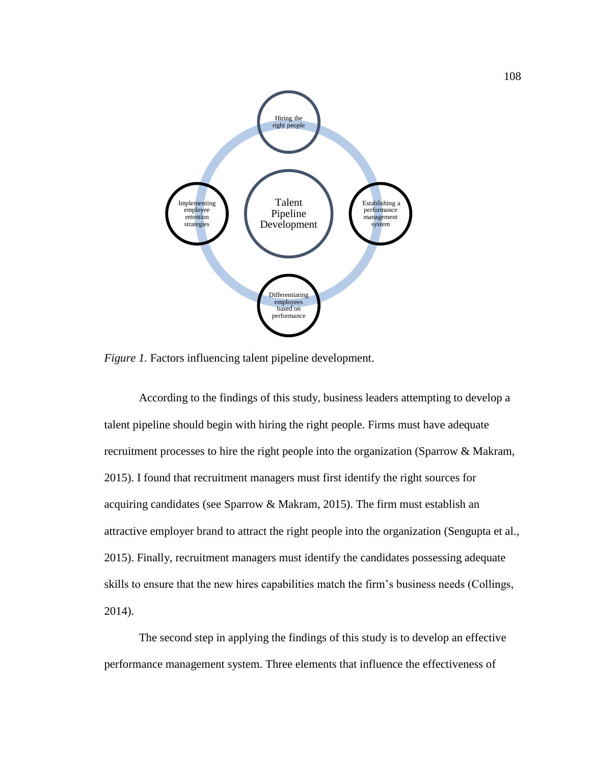

*Figure 1.* Factors influencing talent pipeline development.

According to the findings of this study, business leaders attempting to develop a talent pipeline should begin with hiring the right people. Firms must have adequate recruitment processes to hire the right people into the organization (Sparrow & Makram, 2015). I found that recruitment managers must first identify the right sources for acquiring candidates (see Sparrow & Makram, 2015). The firm must establish an attractive employer brand to attract the right people into the organization (Sengupta et al., 2015). Finally, recruitment managers must identify the candidates possessing adequate skills to ensure that the new hires capabilities match the firm's business needs (Collings, 2014).

The second step in applying the findings of this study is to develop an effective performance management system. Three elements that influence the effectiveness of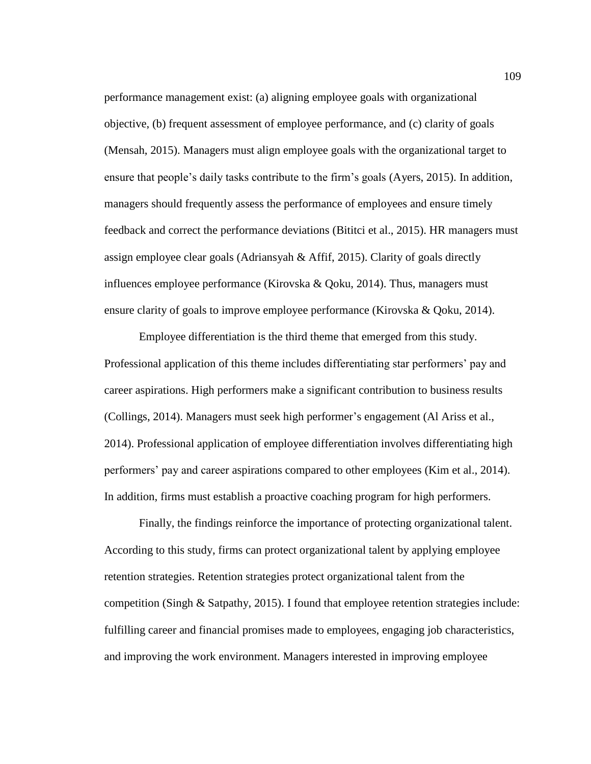performance management exist: (a) aligning employee goals with organizational objective, (b) frequent assessment of employee performance, and (c) clarity of goals (Mensah, 2015). Managers must align employee goals with the organizational target to ensure that people's daily tasks contribute to the firm's goals (Ayers, 2015). In addition, managers should frequently assess the performance of employees and ensure timely feedback and correct the performance deviations (Bititci et al., 2015). HR managers must assign employee clear goals (Adriansyah & Affif, 2015). Clarity of goals directly influences employee performance (Kirovska & Qoku, 2014). Thus, managers must ensure clarity of goals to improve employee performance (Kirovska & Qoku, 2014).

Employee differentiation is the third theme that emerged from this study. Professional application of this theme includes differentiating star performers' pay and career aspirations. High performers make a significant contribution to business results (Collings, 2014). Managers must seek high performer's engagement (Al Ariss et al., 2014). Professional application of employee differentiation involves differentiating high performers' pay and career aspirations compared to other employees (Kim et al., 2014). In addition, firms must establish a proactive coaching program for high performers.

Finally, the findings reinforce the importance of protecting organizational talent. According to this study, firms can protect organizational talent by applying employee retention strategies. Retention strategies protect organizational talent from the competition (Singh & Satpathy, 2015). I found that employee retention strategies include: fulfilling career and financial promises made to employees, engaging job characteristics, and improving the work environment. Managers interested in improving employee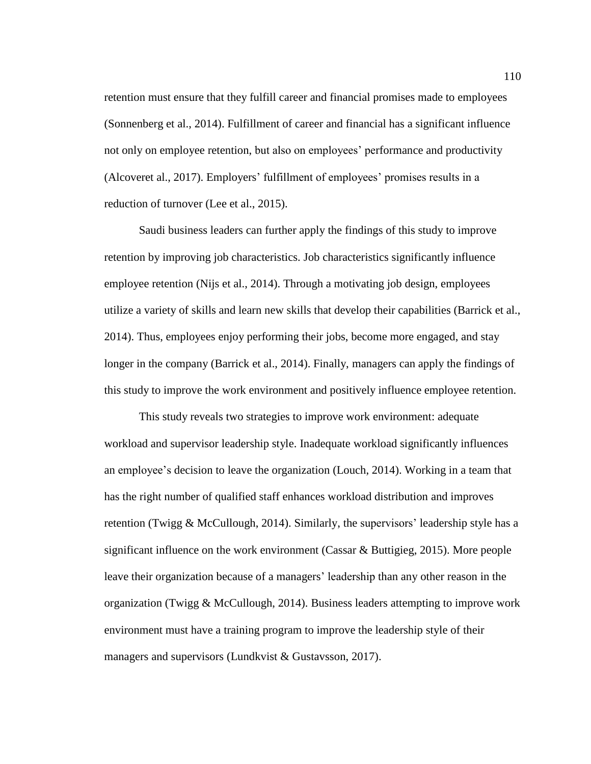retention must ensure that they fulfill career and financial promises made to employees (Sonnenberg et al., 2014). Fulfillment of career and financial has a significant influence not only on employee retention, but also on employees' performance and productivity (Alcoveret al., 2017). Employers' fulfillment of employees' promises results in a reduction of turnover (Lee et al., 2015).

Saudi business leaders can further apply the findings of this study to improve retention by improving job characteristics. Job characteristics significantly influence employee retention (Nijs et al., 2014). Through a motivating job design, employees utilize a variety of skills and learn new skills that develop their capabilities (Barrick et al., 2014). Thus, employees enjoy performing their jobs, become more engaged, and stay longer in the company (Barrick et al., 2014). Finally, managers can apply the findings of this study to improve the work environment and positively influence employee retention.

This study reveals two strategies to improve work environment: adequate workload and supervisor leadership style. Inadequate workload significantly influences an employee's decision to leave the organization (Louch, 2014). Working in a team that has the right number of qualified staff enhances workload distribution and improves retention (Twigg  $&$  McCullough, 2014). Similarly, the supervisors' leadership style has a significant influence on the work environment (Cassar & Buttigieg, 2015). More people leave their organization because of a managers' leadership than any other reason in the organization (Twigg & McCullough, 2014). Business leaders attempting to improve work environment must have a training program to improve the leadership style of their managers and supervisors (Lundkvist & Gustavsson, 2017).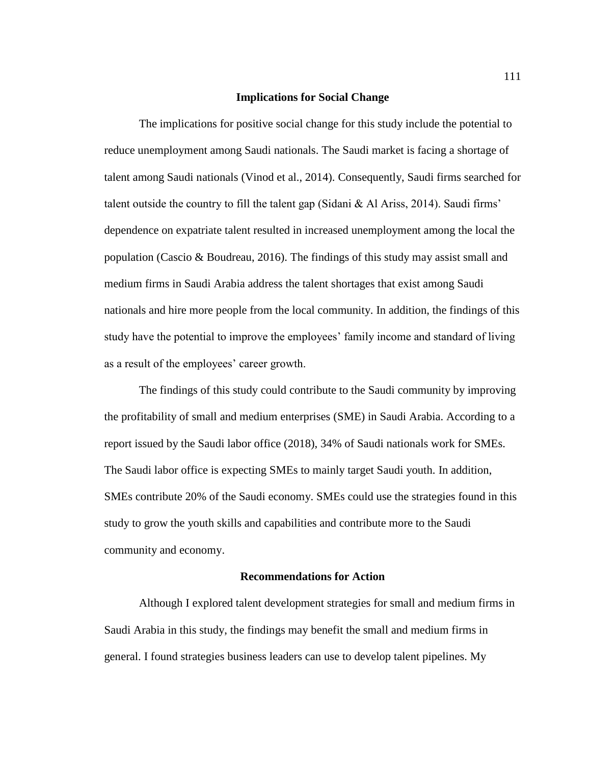## **Implications for Social Change**

The implications for positive social change for this study include the potential to reduce unemployment among Saudi nationals. The Saudi market is facing a shortage of talent among Saudi nationals (Vinod et al., 2014). Consequently, Saudi firms searched for talent outside the country to fill the talent gap (Sidani & Al Ariss, 2014). Saudi firms' dependence on expatriate talent resulted in increased unemployment among the local the population (Cascio & Boudreau, 2016). The findings of this study may assist small and medium firms in Saudi Arabia address the talent shortages that exist among Saudi nationals and hire more people from the local community. In addition, the findings of this study have the potential to improve the employees' family income and standard of living as a result of the employees' career growth.

The findings of this study could contribute to the Saudi community by improving the profitability of small and medium enterprises (SME) in Saudi Arabia. According to a report issued by the Saudi labor office (2018), 34% of Saudi nationals work for SMEs. The Saudi labor office is expecting SMEs to mainly target Saudi youth. In addition, SMEs contribute 20% of the Saudi economy. SMEs could use the strategies found in this study to grow the youth skills and capabilities and contribute more to the Saudi community and economy.

## **Recommendations for Action**

Although I explored talent development strategies for small and medium firms in Saudi Arabia in this study, the findings may benefit the small and medium firms in general. I found strategies business leaders can use to develop talent pipelines. My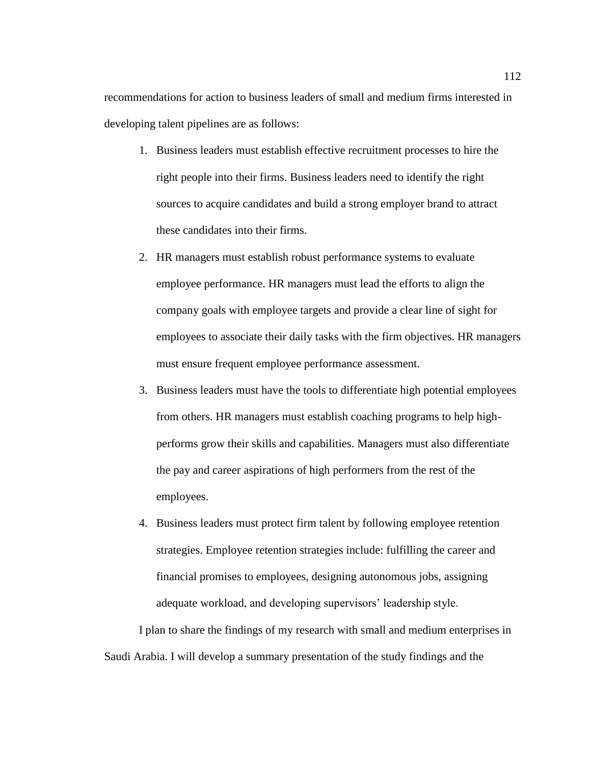recommendations for action to business leaders of small and medium firms interested in developing talent pipelines are as follows:

- 1. Business leaders must establish effective recruitment processes to hire the right people into their firms. Business leaders need to identify the right sources to acquire candidates and build a strong employer brand to attract these candidates into their firms.
- 2. HR managers must establish robust performance systems to evaluate employee performance. HR managers must lead the efforts to align the company goals with employee targets and provide a clear line of sight for employees to associate their daily tasks with the firm objectives. HR managers must ensure frequent employee performance assessment.
- 3. Business leaders must have the tools to differentiate high potential employees from others. HR managers must establish coaching programs to help highperforms grow their skills and capabilities. Managers must also differentiate the pay and career aspirations of high performers from the rest of the employees.
- 4. Business leaders must protect firm talent by following employee retention strategies. Employee retention strategies include: fulfilling the career and financial promises to employees, designing autonomous jobs, assigning adequate workload, and developing supervisors' leadership style.

I plan to share the findings of my research with small and medium enterprises in Saudi Arabia. I will develop a summary presentation of the study findings and the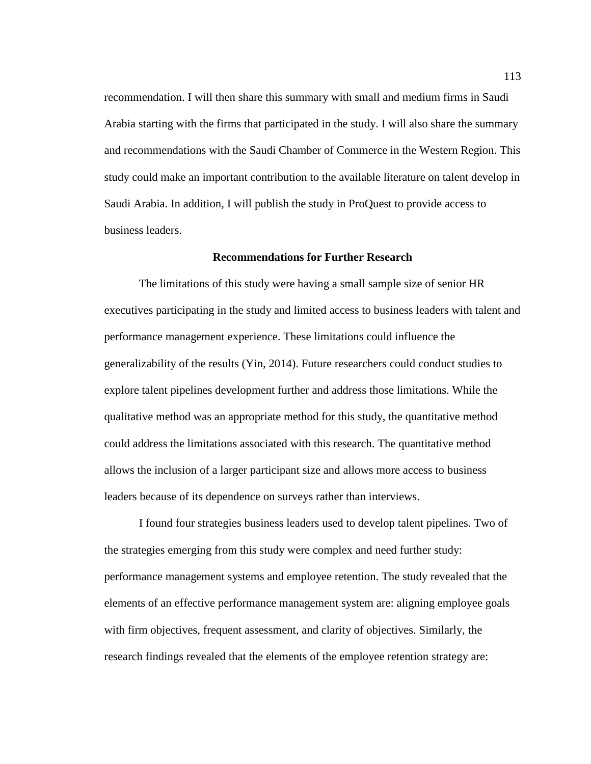recommendation. I will then share this summary with small and medium firms in Saudi Arabia starting with the firms that participated in the study. I will also share the summary and recommendations with the Saudi Chamber of Commerce in the Western Region. This study could make an important contribution to the available literature on talent develop in Saudi Arabia. In addition, I will publish the study in ProQuest to provide access to business leaders.

## **Recommendations for Further Research**

The limitations of this study were having a small sample size of senior HR executives participating in the study and limited access to business leaders with talent and performance management experience. These limitations could influence the generalizability of the results (Yin, 2014). Future researchers could conduct studies to explore talent pipelines development further and address those limitations. While the qualitative method was an appropriate method for this study, the quantitative method could address the limitations associated with this research. The quantitative method allows the inclusion of a larger participant size and allows more access to business leaders because of its dependence on surveys rather than interviews.

I found four strategies business leaders used to develop talent pipelines. Two of the strategies emerging from this study were complex and need further study: performance management systems and employee retention. The study revealed that the elements of an effective performance management system are: aligning employee goals with firm objectives, frequent assessment, and clarity of objectives. Similarly, the research findings revealed that the elements of the employee retention strategy are: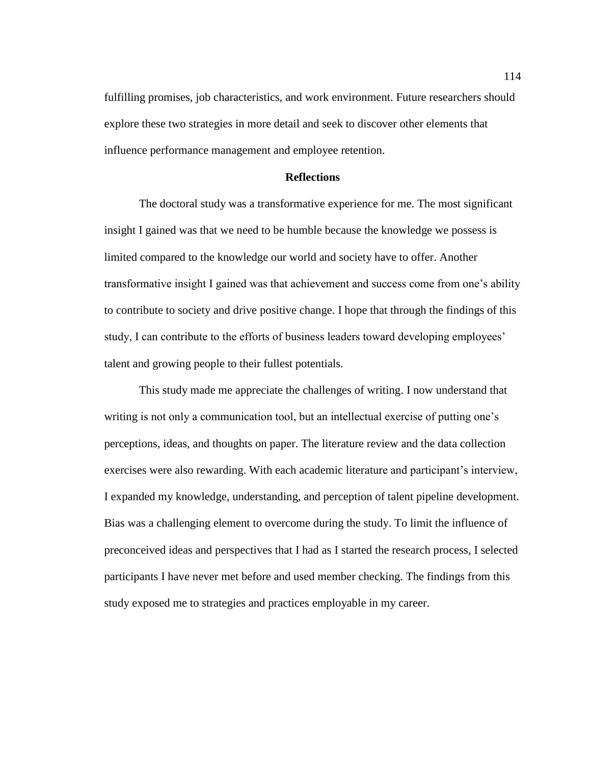fulfilling promises, job characteristics, and work environment. Future researchers should explore these two strategies in more detail and seek to discover other elements that influence performance management and employee retention.

# **Reflections**

The doctoral study was a transformative experience for me. The most significant insight I gained was that we need to be humble because the knowledge we possess is limited compared to the knowledge our world and society have to offer. Another transformative insight I gained was that achievement and success come from one's ability to contribute to society and drive positive change. I hope that through the findings of this study, I can contribute to the efforts of business leaders toward developing employees' talent and growing people to their fullest potentials.

This study made me appreciate the challenges of writing. I now understand that writing is not only a communication tool, but an intellectual exercise of putting one's perceptions, ideas, and thoughts on paper. The literature review and the data collection exercises were also rewarding. With each academic literature and participant's interview, I expanded my knowledge, understanding, and perception of talent pipeline development. Bias was a challenging element to overcome during the study. To limit the influence of preconceived ideas and perspectives that I had as I started the research process, I selected participants I have never met before and used member checking. The findings from this study exposed me to strategies and practices employable in my career.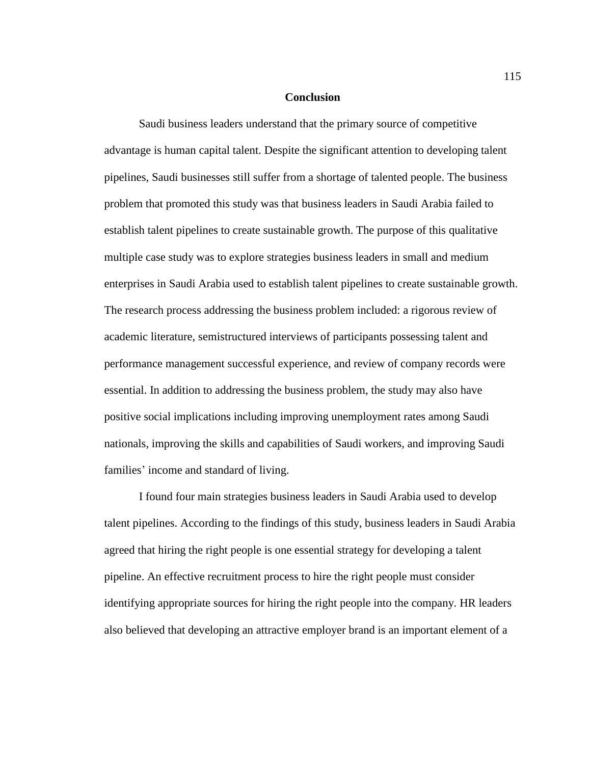## **Conclusion**

Saudi business leaders understand that the primary source of competitive advantage is human capital talent. Despite the significant attention to developing talent pipelines, Saudi businesses still suffer from a shortage of talented people. The business problem that promoted this study was that business leaders in Saudi Arabia failed to establish talent pipelines to create sustainable growth. The purpose of this qualitative multiple case study was to explore strategies business leaders in small and medium enterprises in Saudi Arabia used to establish talent pipelines to create sustainable growth. The research process addressing the business problem included: a rigorous review of academic literature, semistructured interviews of participants possessing talent and performance management successful experience, and review of company records were essential. In addition to addressing the business problem, the study may also have positive social implications including improving unemployment rates among Saudi nationals, improving the skills and capabilities of Saudi workers, and improving Saudi families' income and standard of living.

I found four main strategies business leaders in Saudi Arabia used to develop talent pipelines. According to the findings of this study, business leaders in Saudi Arabia agreed that hiring the right people is one essential strategy for developing a talent pipeline. An effective recruitment process to hire the right people must consider identifying appropriate sources for hiring the right people into the company. HR leaders also believed that developing an attractive employer brand is an important element of a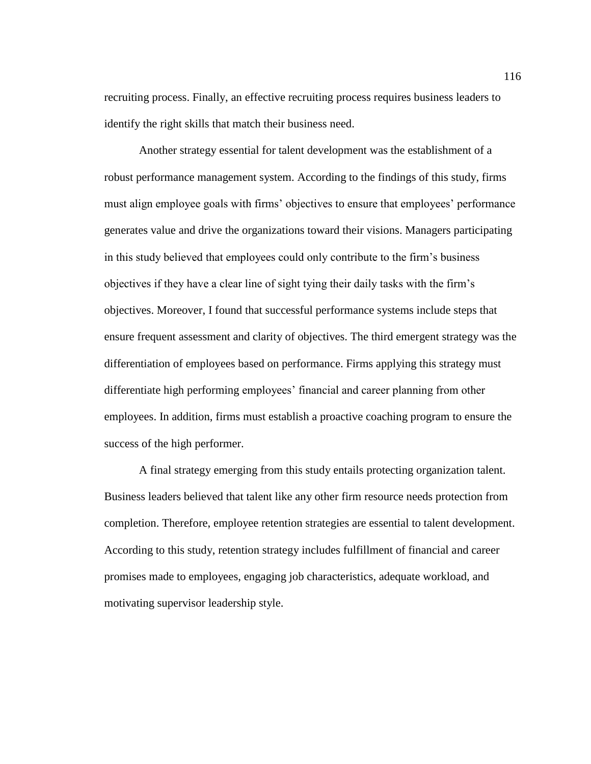recruiting process. Finally, an effective recruiting process requires business leaders to identify the right skills that match their business need.

Another strategy essential for talent development was the establishment of a robust performance management system. According to the findings of this study, firms must align employee goals with firms' objectives to ensure that employees' performance generates value and drive the organizations toward their visions. Managers participating in this study believed that employees could only contribute to the firm's business objectives if they have a clear line of sight tying their daily tasks with the firm's objectives. Moreover, I found that successful performance systems include steps that ensure frequent assessment and clarity of objectives. The third emergent strategy was the differentiation of employees based on performance. Firms applying this strategy must differentiate high performing employees' financial and career planning from other employees. In addition, firms must establish a proactive coaching program to ensure the success of the high performer.

A final strategy emerging from this study entails protecting organization talent. Business leaders believed that talent like any other firm resource needs protection from completion. Therefore, employee retention strategies are essential to talent development. According to this study, retention strategy includes fulfillment of financial and career promises made to employees, engaging job characteristics, adequate workload, and motivating supervisor leadership style.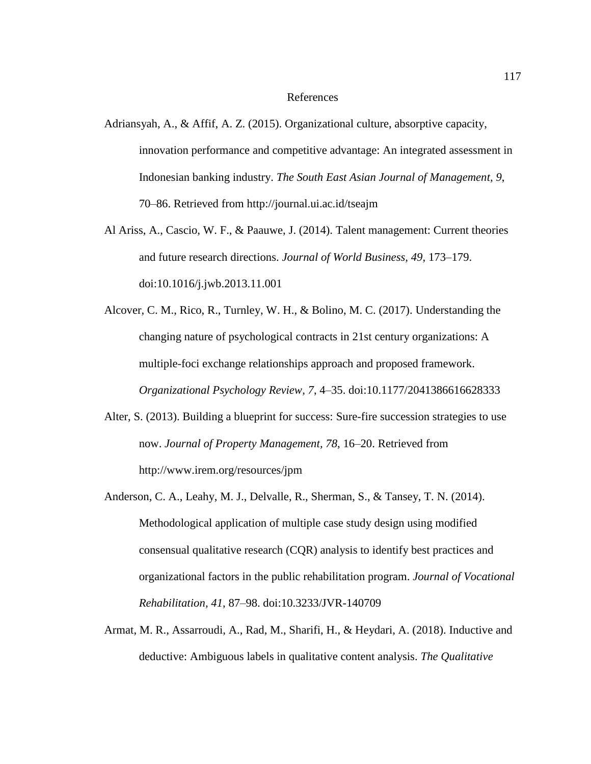## References

- Adriansyah, A., & Affif, A. Z. (2015). Organizational culture, absorptive capacity, innovation performance and competitive advantage: An integrated assessment in Indonesian banking industry. *The South East Asian Journal of Management, 9*, 70–86. Retrieved from http://journal.ui.ac.id/tseajm
- Al Ariss, A., Cascio, W. F., & Paauwe, J. (2014). Talent management: Current theories and future research directions. *Journal of World Business, 49*, 173–179. doi:10.1016/j.jwb.2013.11.001
- Alcover, C. M., Rico, R., Turnley, W. H., & Bolino, M. C. (2017). Understanding the changing nature of psychological contracts in 21st century organizations: A multiple-foci exchange relationships approach and proposed framework. *Organizational Psychology Review, 7*, 4–35. doi:10.1177/2041386616628333
- Alter, S. (2013). Building a blueprint for success: Sure-fire succession strategies to use now. *Journal of Property Management, 78*, 16–20. Retrieved from http://www.irem.org/resources/jpm
- Anderson, C. A., Leahy, M. J., Delvalle, R., Sherman, S., & Tansey, T. N. (2014). Methodological application of multiple case study design using modified consensual qualitative research (CQR) analysis to identify best practices and organizational factors in the public rehabilitation program. *Journal of Vocational Rehabilitation, 41*, 87–98. doi:10.3233/JVR-140709
- Armat, M. R., Assarroudi, A., Rad, M., Sharifi, H., & Heydari, A. (2018). Inductive and deductive: Ambiguous labels in qualitative content analysis. *The Qualitative*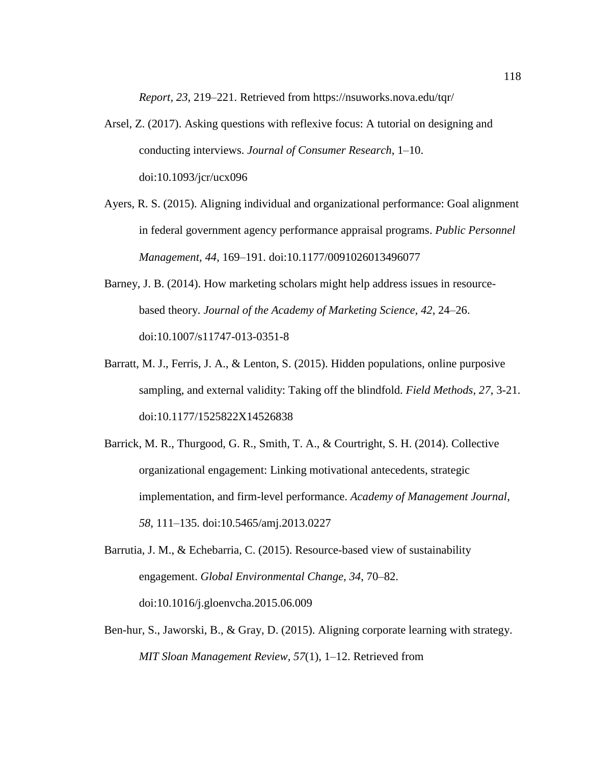*Report, 23*, 219–221. Retrieved from https://nsuworks.nova.edu/tqr/

- Arsel, Z. (2017). Asking questions with reflexive focus: A tutorial on designing and conducting interviews. *Journal of Consumer Research*, 1–10. doi:10.1093/jcr/ucx096
- Ayers, R. S. (2015). Aligning individual and organizational performance: Goal alignment in federal government agency performance appraisal programs. *Public Personnel Management, 44*, 169–191. doi:10.1177/0091026013496077
- Barney, J. B. (2014). How marketing scholars might help address issues in resourcebased theory. *Journal of the Academy of Marketing Science, 42*, 24–26. doi:10.1007/s11747-013-0351-8
- Barratt, M. J., Ferris, J. A., & Lenton, S. (2015). Hidden populations, online purposive sampling, and external validity: Taking off the blindfold. *Field Methods, 27*, 3-21. doi:10.1177/1525822X14526838
- Barrick, M. R., Thurgood, G. R., Smith, T. A., & Courtright, S. H. (2014). Collective organizational engagement: Linking motivational antecedents, strategic implementation, and firm-level performance. *Academy of Management Journal, 58*, 111–135. doi:10.5465/amj.2013.0227
- Barrutia, J. M., & Echebarria, C. (2015). Resource-based view of sustainability engagement. *Global Environmental Change, 34*, 70–82. doi:10.1016/j.gloenvcha.2015.06.009
- Ben-hur, S., Jaworski, B., & Gray, D. (2015). Aligning corporate learning with strategy. *MIT Sloan Management Review, 57*(1), 1–12. Retrieved from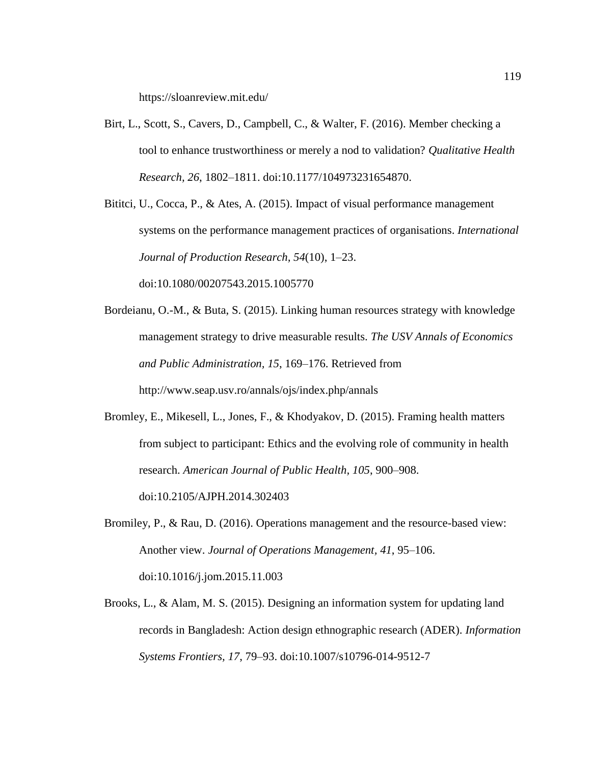https://sloanreview.mit.edu/

- Birt, L., Scott, S., Cavers, D., Campbell, C., & Walter, F. (2016). Member checking a tool to enhance trustworthiness or merely a nod to validation? *Qualitative Health Research, 26*, 1802–1811. doi:10.1177/104973231654870.
- Bititci, U., Cocca, P., & Ates, A. (2015). Impact of visual performance management systems on the performance management practices of organisations. *International Journal of Production Research, 54*(10), 1–23. doi:10.1080/00207543.2015.1005770
- Bordeianu, O.-M., & Buta, S. (2015). Linking human resources strategy with knowledge management strategy to drive measurable results. *The USV Annals of Economics and Public Administration, 15*, 169–176. Retrieved from http://www.seap.usv.ro/annals/ojs/index.php/annals
- Bromley, E., Mikesell, L., Jones, F., & Khodyakov, D. (2015). Framing health matters from subject to participant: Ethics and the evolving role of community in health research. *American Journal of Public Health, 105*, 900–908.

doi:10.2105/AJPH.2014.302403

- Bromiley, P., & Rau, D. (2016). Operations management and the resource-based view: Another view. *Journal of Operations Management, 41*, 95–106. doi:10.1016/j.jom.2015.11.003
- Brooks, L., & Alam, M. S. (2015). Designing an information system for updating land records in Bangladesh: Action design ethnographic research (ADER). *Information Systems Frontiers, 17*, 79–93. doi:10.1007/s10796-014-9512-7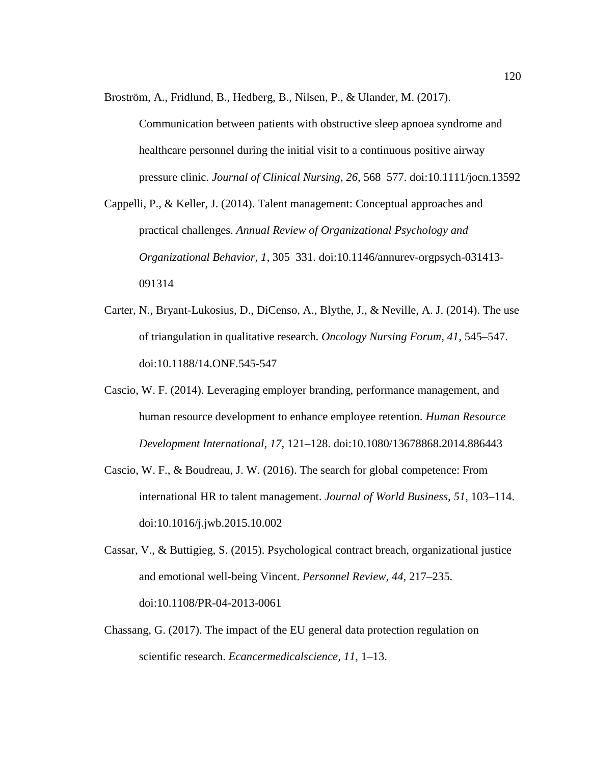Broström, A., Fridlund, B., Hedberg, B., Nilsen, P., & Ulander, M. (2017).

Communication between patients with obstructive sleep apnoea syndrome and healthcare personnel during the initial visit to a continuous positive airway pressure clinic. *Journal of Clinical Nursing, 26*, 568–577. doi:10.1111/jocn.13592

Cappelli, P., & Keller, J. (2014). Talent management: Conceptual approaches and practical challenges. *Annual Review of Organizational Psychology and Organizational Behavior, 1*, 305–331. doi:10.1146/annurev-orgpsych-031413- 091314

- Carter, N., Bryant-Lukosius, D., DiCenso, A., Blythe, J., & Neville, A. J. (2014). The use of triangulation in qualitative research. *Oncology Nursing Forum, 41*, 545–547. doi:10.1188/14.ONF.545-547
- Cascio, W. F. (2014). Leveraging employer branding, performance management, and human resource development to enhance employee retention. *Human Resource Development International, 17*, 121–128. doi:10.1080/13678868.2014.886443
- Cascio, W. F., & Boudreau, J. W. (2016). The search for global competence: From international HR to talent management. *Journal of World Business, 51*, 103–114. doi:10.1016/j.jwb.2015.10.002
- Cassar, V., & Buttigieg, S. (2015). Psychological contract breach, organizational justice and emotional well-being Vincent. *Personnel Review, 44*, 217–235. doi:10.1108/PR-04-2013-0061
- Chassang, G. (2017). The impact of the EU general data protection regulation on scientific research. *Ecancermedicalscience, 11*, 1–13.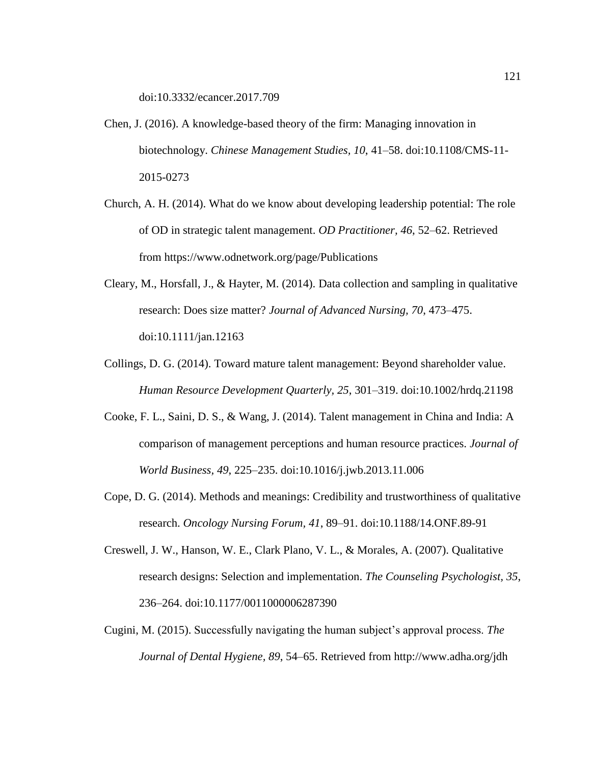doi:10.3332/ecancer.2017.709

- Chen, J. (2016). A knowledge-based theory of the firm: Managing innovation in biotechnology. *Chinese Management Studies, 10*, 41–58. doi:10.1108/CMS-11- 2015-0273
- Church, A. H. (2014). What do we know about developing leadership potential: The role of OD in strategic talent management. *OD Practitioner, 46*, 52–62. Retrieved from https://www.odnetwork.org/page/Publications
- Cleary, M., Horsfall, J., & Hayter, M. (2014). Data collection and sampling in qualitative research: Does size matter? *Journal of Advanced Nursing, 70*, 473–475. doi:10.1111/jan.12163
- Collings, D. G. (2014). Toward mature talent management: Beyond shareholder value. *Human Resource Development Quarterly, 25*, 301–319. doi:10.1002/hrdq.21198
- Cooke, F. L., Saini, D. S., & Wang, J. (2014). Talent management in China and India: A comparison of management perceptions and human resource practices. *Journal of World Business, 49*, 225–235. doi:10.1016/j.jwb.2013.11.006
- Cope, D. G. (2014). Methods and meanings: Credibility and trustworthiness of qualitative research. *Oncology Nursing Forum, 41*, 89–91. doi:10.1188/14.ONF.89-91
- Creswell, J. W., Hanson, W. E., Clark Plano, V. L., & Morales, A. (2007). Qualitative research designs: Selection and implementation. *The Counseling Psychologist, 35*, 236–264. doi:10.1177/0011000006287390
- Cugini, M. (2015). Successfully navigating the human subject's approval process. *The Journal of Dental Hygiene, 89*, 54–65. Retrieved from http://www.adha.org/jdh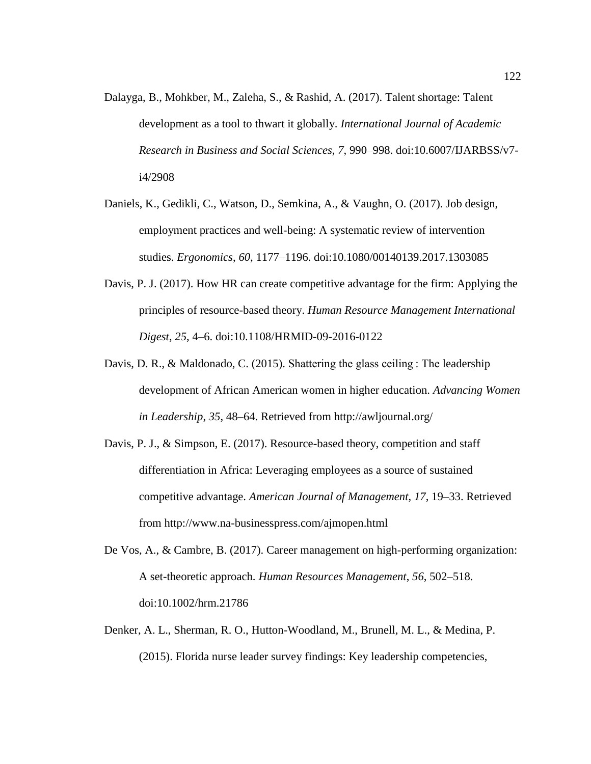- Dalayga, B., Mohkber, M., Zaleha, S., & Rashid, A. (2017). Talent shortage: Talent development as a tool to thwart it globally. *International Journal of Academic Research in Business and Social Sciences*, *7*, 990–998. doi:10.6007/IJARBSS/v7 i4/2908
- Daniels, K., Gedikli, C., Watson, D., Semkina, A., & Vaughn, O. (2017). Job design, employment practices and well-being: A systematic review of intervention studies. *Ergonomics*, *60*, 1177–1196. doi:10.1080/00140139.2017.1303085
- Davis, P. J. (2017). How HR can create competitive advantage for the firm: Applying the principles of resource-based theory. *Human Resource Management International Digest*, *25*, 4–6. doi:10.1108/HRMID-09-2016-0122
- Davis, D. R., & Maldonado, C. (2015). Shattering the glass ceiling : The leadership development of African American women in higher education. *Advancing Women in Leadership*, *35*, 48–64. Retrieved from http://awljournal.org/
- Davis, P. J., & Simpson, E. (2017). Resource-based theory, competition and staff differentiation in Africa: Leveraging employees as a source of sustained competitive advantage. *American Journal of Management*, *17*, 19–33. Retrieved from http://www.na-businesspress.com/ajmopen.html
- De Vos, A., & Cambre, B. (2017). Career management on high-performing organization: A set-theoretic approach. *Human Resources Management*, *56*, 502–518. doi:10.1002/hrm.21786
- Denker, A. L., Sherman, R. O., Hutton-Woodland, M., Brunell, M. L., & Medina, P. (2015). Florida nurse leader survey findings: Key leadership competencies,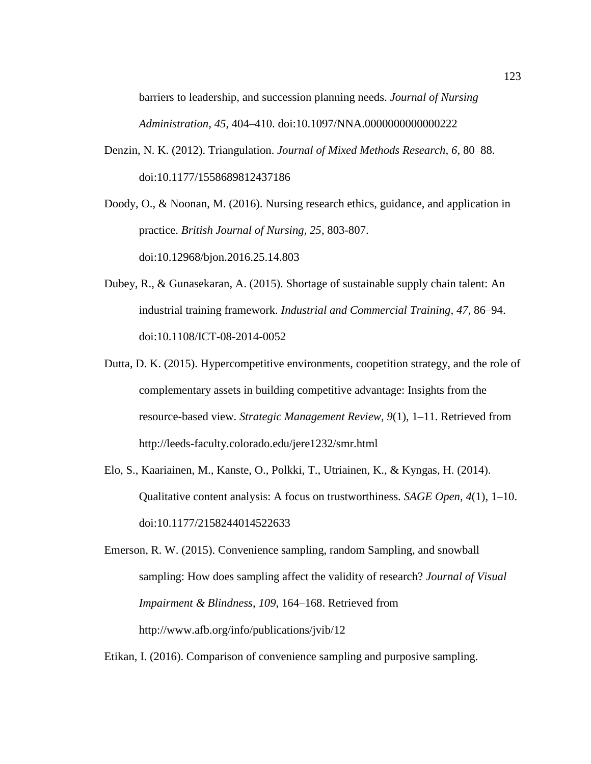barriers to leadership, and succession planning needs. *Journal of Nursing Administration*, *45*, 404–410. doi:10.1097/NNA.0000000000000222

Denzin, N. K. (2012). Triangulation. *Journal of Mixed Methods Research*, *6*, 80–88. doi:10.1177/1558689812437186

Doody, O., & Noonan, M. (2016). Nursing research ethics, guidance, and application in practice. *British Journal of Nursing, 25*, 803-807. doi:10.12968/bjon.2016.25.14.803

- Dubey, R., & Gunasekaran, A. (2015). Shortage of sustainable supply chain talent: An industrial training framework. *Industrial and Commercial Training*, *47*, 86–94. doi:10.1108/ICT-08-2014-0052
- Dutta, D. K. (2015). Hypercompetitive environments, coopetition strategy, and the role of complementary assets in building competitive advantage: Insights from the resource-based view. *Strategic Management Review*, *9*(1), 1–11. Retrieved from http://leeds-faculty.colorado.edu/jere1232/smr.html
- Elo, S., Kaariainen, M., Kanste, O., Polkki, T., Utriainen, K., & Kyngas, H. (2014). Qualitative content analysis: A focus on trustworthiness. *SAGE Open*, *4*(1), 1–10. doi:10.1177/2158244014522633

Emerson, R. W. (2015). Convenience sampling, random Sampling, and snowball sampling: How does sampling affect the validity of research? *Journal of Visual Impairment & Blindness*, *109*, 164–168. Retrieved from http://www.afb.org/info/publications/jvib/12

Etikan, I. (2016). Comparison of convenience sampling and purposive sampling.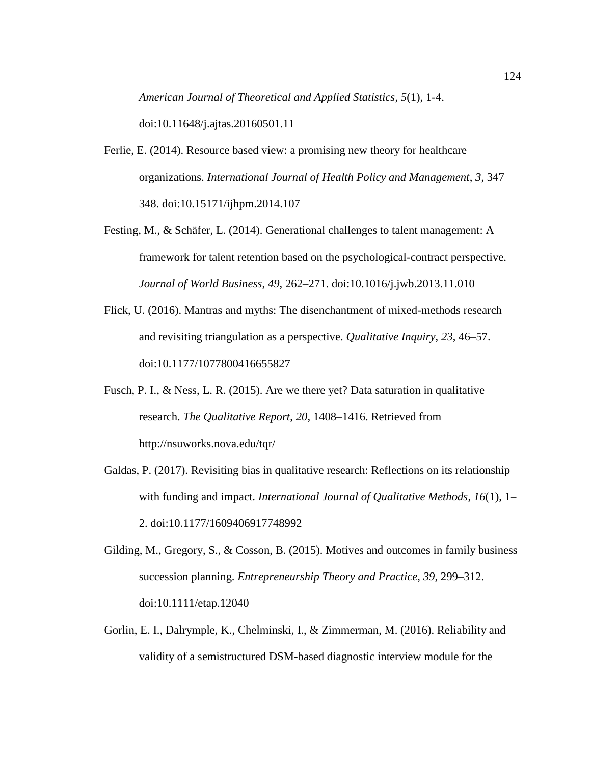*American Journal of Theoretical and Applied Statistics*, *5*(1), 1-4.

doi:10.11648/j.ajtas.20160501.11

- Ferlie, E. (2014). Resource based view: a promising new theory for healthcare organizations. *International Journal of Health Policy and Management*, *3*, 347– 348. doi:10.15171/ijhpm.2014.107
- Festing, M., & Schäfer, L. (2014). Generational challenges to talent management: A framework for talent retention based on the psychological-contract perspective. *Journal of World Business*, *49*, 262–271. doi:10.1016/j.jwb.2013.11.010
- Flick, U. (2016). Mantras and myths: The disenchantment of mixed-methods research and revisiting triangulation as a perspective. *Qualitative Inquiry*, *23*, 46–57. doi:10.1177/1077800416655827
- Fusch, P. I., & Ness, L. R. (2015). Are we there yet? Data saturation in qualitative research. *The Qualitative Report*, *20*, 1408–1416. Retrieved from http://nsuworks.nova.edu/tqr/
- Galdas, P. (2017). Revisiting bias in qualitative research: Reflections on its relationship with funding and impact. *International Journal of Qualitative Methods*, *16*(1), 1– 2. doi:10.1177/1609406917748992
- Gilding, M., Gregory, S., & Cosson, B. (2015). Motives and outcomes in family business succession planning. *Entrepreneurship Theory and Practice*, *39*, 299–312. doi:10.1111/etap.12040
- Gorlin, E. I., Dalrymple, K., Chelminski, I., & Zimmerman, M. (2016). Reliability and validity of a semistructured DSM-based diagnostic interview module for the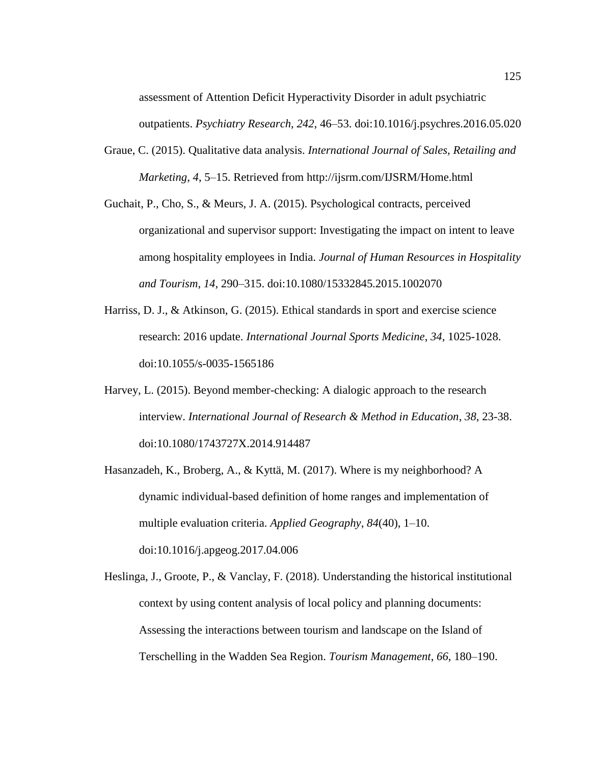assessment of Attention Deficit Hyperactivity Disorder in adult psychiatric

outpatients. *Psychiatry Research*, *242*, 46–53. doi:10.1016/j.psychres.2016.05.020

- Graue, C. (2015). Qualitative data analysis. *International Journal of Sales, Retailing and Marketing*, *4*, 5–15. Retrieved from http://ijsrm.com/IJSRM/Home.html
- Guchait, P., Cho, S., & Meurs, J. A. (2015). Psychological contracts, perceived organizational and supervisor support: Investigating the impact on intent to leave among hospitality employees in India. *Journal of Human Resources in Hospitality and Tourism*, *14*, 290–315. doi:10.1080/15332845.2015.1002070
- Harriss, D. J., & Atkinson, G. (2015). Ethical standards in sport and exercise science research: 2016 update. *International Journal Sports Medicine*, *34*, 1025-1028. doi:10.1055/s-0035-1565186
- Harvey, L. (2015). Beyond member-checking: A dialogic approach to the research interview. *International Journal of Research & Method in Education*, *38*, 23-38. doi:10.1080/1743727X.2014.914487
- Hasanzadeh, K., Broberg, A., & Kyttä, M. (2017). Where is my neighborhood? A dynamic individual-based definition of home ranges and implementation of multiple evaluation criteria. *Applied Geography*, *84*(40), 1–10. doi:10.1016/j.apgeog.2017.04.006

Heslinga, J., Groote, P., & Vanclay, F. (2018). Understanding the historical institutional context by using content analysis of local policy and planning documents: Assessing the interactions between tourism and landscape on the Island of Terschelling in the Wadden Sea Region. *Tourism Management*, *66*, 180–190.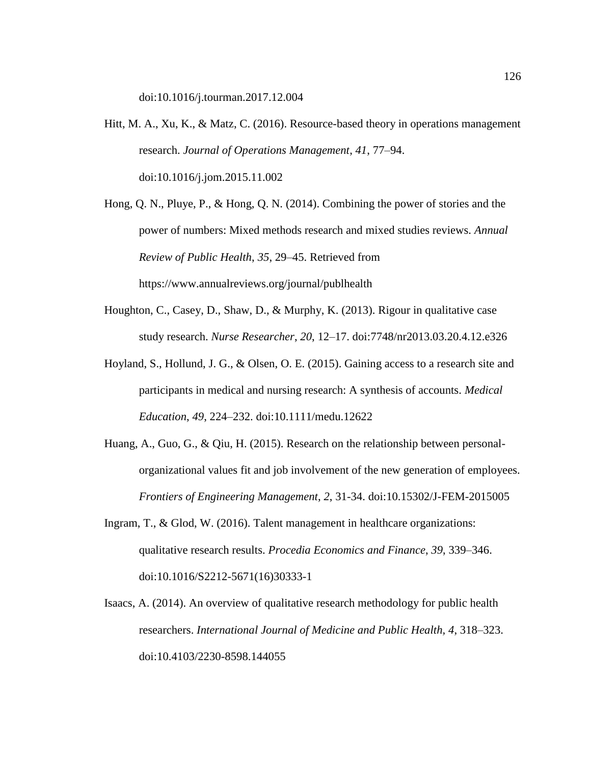doi:10.1016/j.tourman.2017.12.004

- Hitt, M. A., Xu, K., & Matz, C. (2016). Resource-based theory in operations management research. *Journal of Operations Management*, *41*, 77–94. doi:10.1016/j.jom.2015.11.002
- Hong, Q. N., Pluye, P., & Hong, Q. N. (2014). Combining the power of stories and the power of numbers: Mixed methods research and mixed studies reviews. *Annual Review of Public Health*, *35*, 29–45. Retrieved from https://www.annualreviews.org/journal/publhealth
- Houghton, C., Casey, D., Shaw, D., & Murphy, K. (2013). Rigour in qualitative case study research. *Nurse Researcher*, *20*, 12–17. doi:7748/nr2013.03.20.4.12.e326
- Hoyland, S., Hollund, J. G., & Olsen, O. E. (2015). Gaining access to a research site and participants in medical and nursing research: A synthesis of accounts. *Medical Education*, *49*, 224–232. doi:10.1111/medu.12622
- Huang, A., Guo, G., & Qiu, H. (2015). Research on the relationship between personalorganizational values fit and job involvement of the new generation of employees. *Frontiers of Engineering Management*, *2*, 31-34. doi:10.15302/J-FEM-2015005
- Ingram, T., & Glod, W. (2016). Talent management in healthcare organizations: qualitative research results. *Procedia Economics and Finance*, *39*, 339–346. doi:10.1016/S2212-5671(16)30333-1
- Isaacs, A. (2014). An overview of qualitative research methodology for public health researchers. *International Journal of Medicine and Public Health, 4*, 318–323. doi:10.4103/2230-8598.144055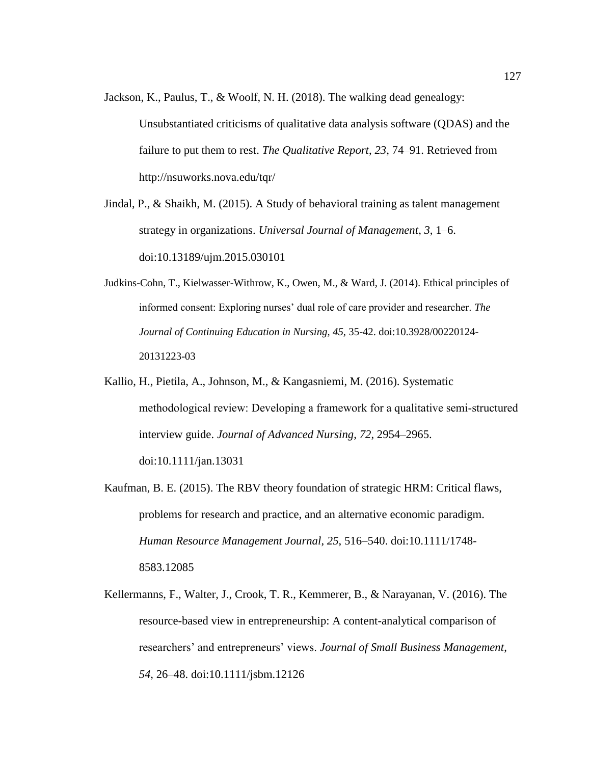- Jackson, K., Paulus, T., & Woolf, N. H. (2018). The walking dead genealogy: Unsubstantiated criticisms of qualitative data analysis software (QDAS) and the failure to put them to rest. *The Qualitative Report*, *23*, 74–91. Retrieved from http://nsuworks.nova.edu/tqr/
- Jindal, P., & Shaikh, M. (2015). A Study of behavioral training as talent management strategy in organizations. *Universal Journal of Management*, *3*, 1–6. doi:10.13189/ujm.2015.030101
- Judkins-Cohn, T., Kielwasser-Withrow, K., Owen, M., & Ward, J. (2014). Ethical principles of informed consent: Exploring nurses' dual role of care provider and researcher. *The Journal of Continuing Education in Nursing, 45*, 35-42. doi:10.3928/00220124- 20131223-03
- Kallio, H., Pietila, A., Johnson, M., & Kangasniemi, M. (2016). Systematic methodological review: Developing a framework for a qualitative semi‐structured interview guide. *Journal of Advanced Nursing*, *72*, 2954–2965. doi:10.1111/jan.13031
- Kaufman, B. E. (2015). The RBV theory foundation of strategic HRM: Critical flaws, problems for research and practice, and an alternative economic paradigm. *Human Resource Management Journal*, *25*, 516–540. doi:10.1111/1748- 8583.12085
- Kellermanns, F., Walter, J., Crook, T. R., Kemmerer, B., & Narayanan, V. (2016). The resource-based view in entrepreneurship: A content-analytical comparison of researchers' and entrepreneurs' views. *Journal of Small Business Management*, *54*, 26–48. doi:10.1111/jsbm.12126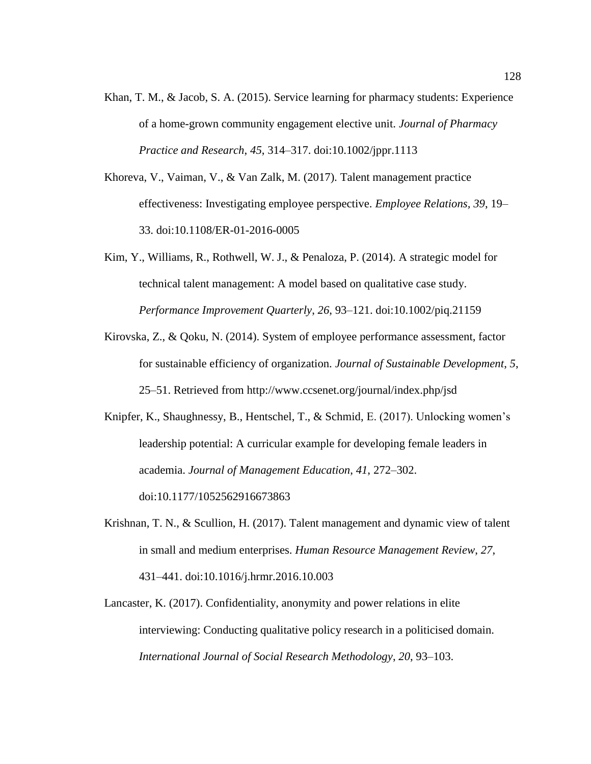- Khan, T. M., & Jacob, S. A. (2015). Service learning for pharmacy students: Experience of a home-grown community engagement elective unit. *Journal of Pharmacy Practice and Research*, *45*, 314–317. doi:10.1002/jppr.1113
- Khoreva, V., Vaiman, V., & Van Zalk, M. (2017). Talent management practice effectiveness: Investigating employee perspective. *Employee Relations, 39*, 19– 33. doi:10.1108/ER-01-2016-0005
- Kim, Y., Williams, R., Rothwell, W. J., & Penaloza, P. (2014). A strategic model for technical talent management: A model based on qualitative case study. *Performance Improvement Quarterly*, *26*, 93–121. doi:10.1002/piq.21159
- Kirovska, Z., & Qoku, N. (2014). System of employee performance assessment, factor for sustainable efficiency of organization. *Journal of Sustainable Development*, *5*, 25–51. Retrieved from http://www.ccsenet.org/journal/index.php/jsd
- Knipfer, K., Shaughnessy, B., Hentschel, T., & Schmid, E. (2017). Unlocking women's leadership potential: A curricular example for developing female leaders in academia. *Journal of Management Education*, *41*, 272–302. doi:10.1177/1052562916673863
- Krishnan, T. N., & Scullion, H. (2017). Talent management and dynamic view of talent in small and medium enterprises. *Human Resource Management Review*, *27*, 431–441. doi:10.1016/j.hrmr.2016.10.003
- Lancaster, K. (2017). Confidentiality, anonymity and power relations in elite interviewing: Conducting qualitative policy research in a politicised domain. *International Journal of Social Research Methodology*, *20*, 93–103.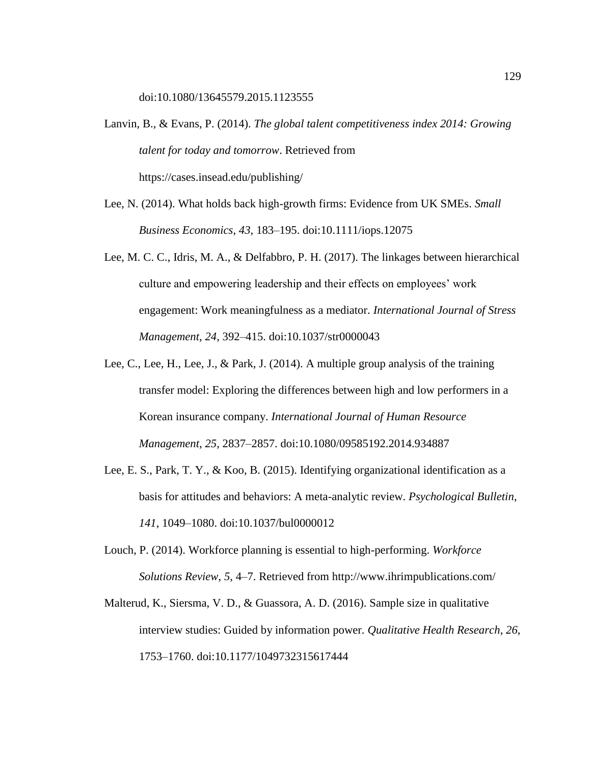doi:10.1080/13645579.2015.1123555

- Lanvin, B., & Evans, P. (2014). *The global talent competitiveness index 2014: Growing talent for today and tomorrow*. Retrieved from https://cases.insead.edu/publishing/
- Lee, N. (2014). What holds back high-growth firms: Evidence from UK SMEs. *Small Business Economics*, *43*, 183–195. doi:10.1111/iops.12075
- Lee, M. C. C., Idris, M. A., & Delfabbro, P. H. (2017). The linkages between hierarchical culture and empowering leadership and their effects on employees' work engagement: Work meaningfulness as a mediator. *International Journal of Stress Management*, *24*, 392–415. doi:10.1037/str0000043
- Lee, C., Lee, H., Lee, J., & Park, J. (2014). A multiple group analysis of the training transfer model: Exploring the differences between high and low performers in a Korean insurance company. *International Journal of Human Resource Management*, *25*, 2837–2857. doi:10.1080/09585192.2014.934887
- Lee, E. S., Park, T. Y., & Koo, B. (2015). Identifying organizational identification as a basis for attitudes and behaviors: A meta-analytic review. *Psychological Bulletin*, *141*, 1049–1080. doi:10.1037/bul0000012
- Louch, P. (2014). Workforce planning is essential to high-performing. *Workforce Solutions Review*, *5*, 4–7. Retrieved from http://www.ihrimpublications.com/
- Malterud, K., Siersma, V. D., & Guassora, A. D. (2016). Sample size in qualitative interview studies: Guided by information power. *Qualitative Health Research*, *26*, 1753–1760. doi:10.1177/1049732315617444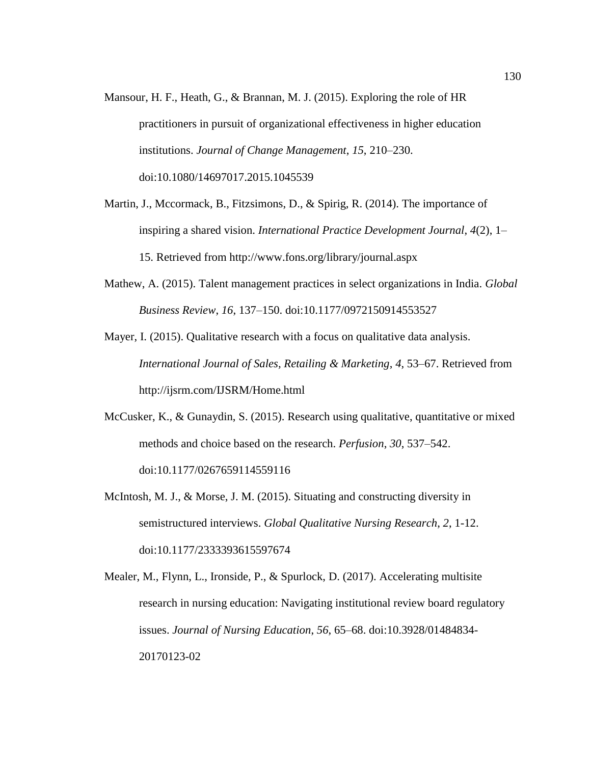Mansour, H. F., Heath, G., & Brannan, M. J. (2015). Exploring the role of HR practitioners in pursuit of organizational effectiveness in higher education institutions. *Journal of Change Management*, *15*, 210–230. doi:10.1080/14697017.2015.1045539

Martin, J., Mccormack, B., Fitzsimons, D., & Spirig, R. (2014). The importance of inspiring a shared vision. *International Practice Development Journal*, *4*(2), 1– 15. Retrieved from http://www.fons.org/library/journal.aspx

Mathew, A. (2015). Talent management practices in select organizations in India. *Global Business Review*, *16*, 137–150. doi:10.1177/0972150914553527

Mayer, I. (2015). Qualitative research with a focus on qualitative data analysis. *International Journal of Sales, Retailing & Marketing*, *4*, 53–67. Retrieved from http://ijsrm.com/IJSRM/Home.html

- McCusker, K., & Gunaydin, S. (2015). Research using qualitative, quantitative or mixed methods and choice based on the research. *Perfusion*, *30*, 537–542. doi:10.1177/0267659114559116
- McIntosh, M. J., & Morse, J. M. (2015). Situating and constructing diversity in semistructured interviews. *Global Qualitative Nursing Research*, *2*, 1-12. doi:10.1177/2333393615597674

Mealer, M., Flynn, L., Ironside, P., & Spurlock, D. (2017). Accelerating multisite research in nursing education: Navigating institutional review board regulatory issues. *Journal of Nursing Education*, *56*, 65–68. doi:10.3928/01484834- 20170123-02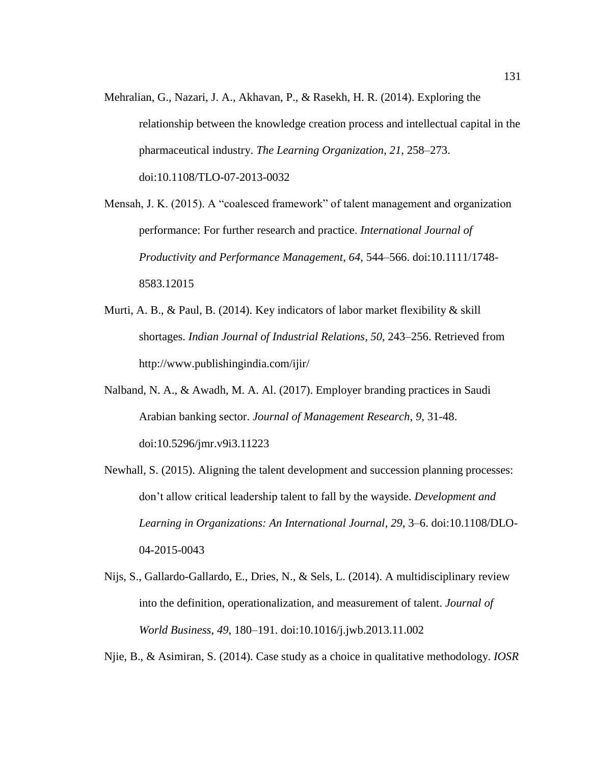Mehralian, G., Nazari, J. A., Akhavan, P., & Rasekh, H. R. (2014). Exploring the relationship between the knowledge creation process and intellectual capital in the pharmaceutical industry. *The Learning Organization*, *21*, 258–273. doi:10.1108/TLO-07-2013-0032

Mensah, J. K. (2015). A "coalesced framework" of talent management and organization performance: For further research and practice. *International Journal of Productivity and Performance Management*, *64*, 544–566. doi:10.1111/1748- 8583.12015

- Murti, A. B., & Paul, B. (2014). Key indicators of labor market flexibility & skill shortages. *Indian Journal of Industrial Relations*, *50*, 243–256. Retrieved from http://www.publishingindia.com/ijir/
- Nalband, N. A., & Awadh, M. A. Al. (2017). Employer branding practices in Saudi Arabian banking sector. *Journal of Management Research*, *9*, 31-48. doi:10.5296/jmr.v9i3.11223
- Newhall, S. (2015). Aligning the talent development and succession planning processes: don't allow critical leadership talent to fall by the wayside. *Development and Learning in Organizations: An International Journal*, *29*, 3–6. doi:10.1108/DLO-04-2015-0043
- Nijs, S., Gallardo-Gallardo, E., Dries, N., & Sels, L. (2014). A multidisciplinary review into the definition, operationalization, and measurement of talent. *Journal of World Business*, *49*, 180–191. doi:10.1016/j.jwb.2013.11.002

Njie, B., & Asimiran, S. (2014). Case study as a choice in qualitative methodology. *IOSR*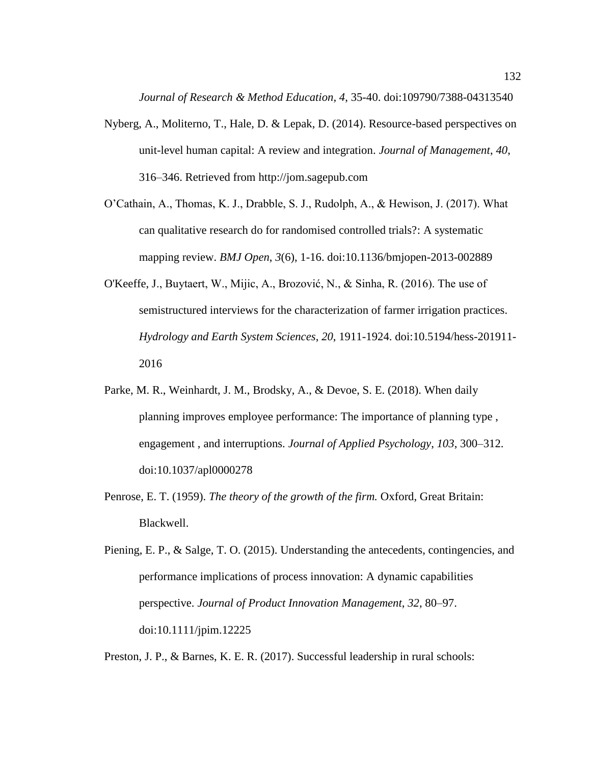*Journal of Research & Method Education, 4*, 35-40. doi:109790/7388-04313540

- Nyberg, A., Moliterno, T., Hale, D. & Lepak, D. (2014). Resource-based perspectives on unit-level human capital: A review and integration. *Journal of Management*, *40*, 316–346. Retrieved from http://jom.sagepub.com
- O'Cathain, A., Thomas, K. J., Drabble, S. J., Rudolph, A., & Hewison, J. (2017). What can qualitative research do for randomised controlled trials?: A systematic mapping review. *BMJ Open*, *3*(6), 1-16. doi:10.1136/bmjopen-2013-002889
- O'Keeffe, J., Buytaert, W., Mijic, A., Brozović, N., & Sinha, R. (2016). The use of semistructured interviews for the characterization of farmer irrigation practices. *Hydrology and Earth System Sciences*, *20*, 1911-1924. doi:10.5194/hess-201911- 2016
- Parke, M. R., Weinhardt, J. M., Brodsky, A., & Devoe, S. E. (2018). When daily planning improves employee performance: The importance of planning type , engagement , and interruptions. *Journal of Applied Psychology*, *103*, 300–312. doi:10.1037/apl0000278
- Penrose, E. T. (1959). *The theory of the growth of the firm.* Oxford, Great Britain: Blackwell.

Preston, J. P., & Barnes, K. E. R. (2017). Successful leadership in rural schools:

Piening, E. P., & Salge, T. O. (2015). Understanding the antecedents, contingencies, and performance implications of process innovation: A dynamic capabilities perspective. *Journal of Product Innovation Management*, *32*, 80–97. doi:10.1111/jpim.12225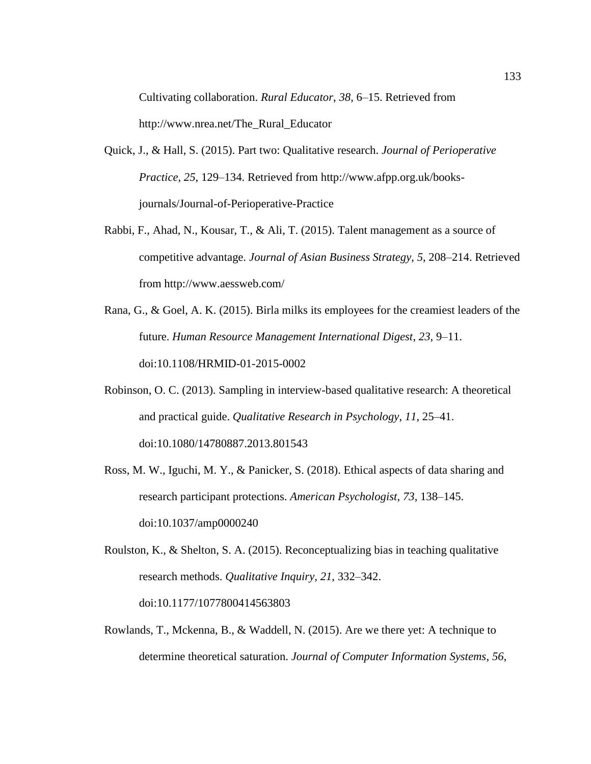Cultivating collaboration. *Rural Educator*, *38*, 6–15. Retrieved from http://www.nrea.net/The\_Rural\_Educator

- Quick, J., & Hall, S. (2015). Part two: Qualitative research. *Journal of Perioperative Practice, 25*, 129–134. Retrieved from http://www.afpp.org.uk/booksjournals/Journal-of-Perioperative-Practice
- Rabbi, F., Ahad, N., Kousar, T., & Ali, T. (2015). Talent management as a source of competitive advantage. *Journal of Asian Business Strategy*, *5*, 208–214. Retrieved from http://www.aessweb.com/
- Rana, G., & Goel, A. K. (2015). Birla milks its employees for the creamiest leaders of the future. *Human Resource Management International Digest*, *23*, 9–11. doi:10.1108/HRMID-01-2015-0002
- Robinson, O. C. (2013). Sampling in interview-based qualitative research: A theoretical and practical guide. *Qualitative Research in Psychology*, *11*, 25–41. doi:10.1080/14780887.2013.801543
- Ross, M. W., Iguchi, M. Y., & Panicker, S. (2018). Ethical aspects of data sharing and research participant protections. *American Psychologist*, *73*, 138–145. doi:10.1037/amp0000240
- Roulston, K., & Shelton, S. A. (2015). Reconceptualizing bias in teaching qualitative research methods. *Qualitative Inquiry*, *21*, 332–342. doi:10.1177/1077800414563803
- Rowlands, T., Mckenna, B., & Waddell, N. (2015). Are we there yet: A technique to determine theoretical saturation. *Journal of Computer Information Systems*, *56*,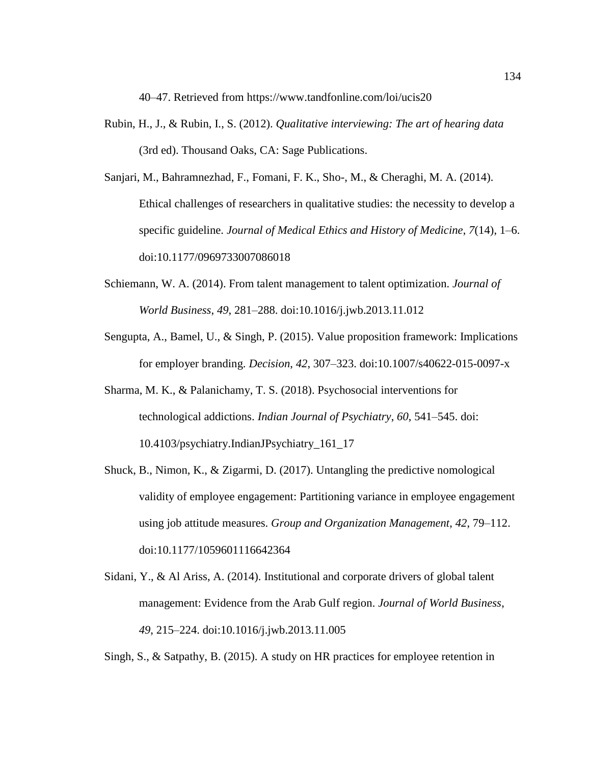40–47. Retrieved from https://www.tandfonline.com/loi/ucis20

- Rubin, H., J., & Rubin, I., S. (2012). *Qualitative interviewing: The art of hearing data* (3rd ed). Thousand Oaks, CA: Sage Publications.
- Sanjari, M., Bahramnezhad, F., Fomani, F. K., Sho-, M., & Cheraghi, M. A. (2014). Ethical challenges of researchers in qualitative studies: the necessity to develop a specific guideline. *Journal of Medical Ethics and History of Medicine*, *7*(14), 1–6. doi:10.1177/0969733007086018
- Schiemann, W. A. (2014). From talent management to talent optimization. *Journal of World Business*, *49*, 281–288. doi:10.1016/j.jwb.2013.11.012
- Sengupta, A., Bamel, U., & Singh, P. (2015). Value proposition framework: Implications for employer branding. *Decision*, *42*, 307–323. doi:10.1007/s40622-015-0097-x
- Sharma, M. K., & Palanichamy, T. S. (2018). Psychosocial interventions for technological addictions. *Indian Journal of Psychiatry*, *60*, 541–545. doi: 10.4103/psychiatry.IndianJPsychiatry\_161\_17
- Shuck, B., Nimon, K., & Zigarmi, D. (2017). Untangling the predictive nomological validity of employee engagement: Partitioning variance in employee engagement using job attitude measures. *Group and Organization Management*, *42*, 79–112. doi:10.1177/1059601116642364
- Sidani, Y., & Al Ariss, A. (2014). Institutional and corporate drivers of global talent management: Evidence from the Arab Gulf region. *Journal of World Business*, *49*, 215–224. doi:10.1016/j.jwb.2013.11.005
- Singh, S., & Satpathy, B. (2015). A study on HR practices for employee retention in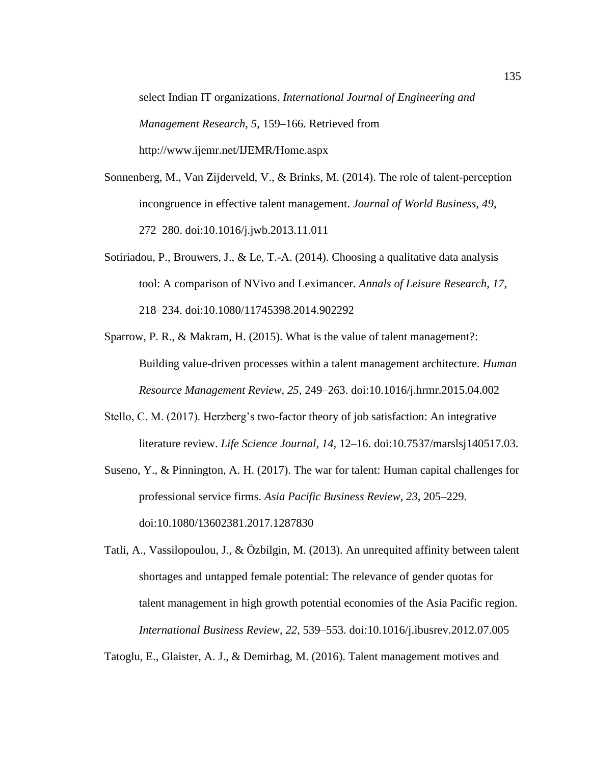select Indian IT organizations. *International Journal of Engineering and Management Research*, *5*, 159–166. Retrieved from http://www.ijemr.net/IJEMR/Home.aspx

- Sonnenberg, M., Van Zijderveld, V., & Brinks, M. (2014). The role of talent-perception incongruence in effective talent management. *Journal of World Business*, *49*, 272–280. doi:10.1016/j.jwb.2013.11.011
- Sotiriadou, P., Brouwers, J., & Le, T.-A.  $(2014)$ . Choosing a qualitative data analysis tool: A comparison of NVivo and Leximancer. *Annals of Leisure Research*, *17*, 218–234. doi:10.1080/11745398.2014.902292
- Sparrow, P. R., & Makram, H. (2015). What is the value of talent management?: Building value-driven processes within a talent management architecture. *Human Resource Management Review, 25*, 249–263. doi:10.1016/j.hrmr.2015.04.002
- Stello, C. M. (2017). Herzberg's two-factor theory of job satisfaction: An integrative literature review. *Life Science Journal*, *14*, 12–16. doi:10.7537/marslsj140517.03.
- Suseno, Y., & Pinnington, A. H. (2017). The war for talent: Human capital challenges for professional service firms. *Asia Pacific Business Review*, *23*, 205–229. doi:10.1080/13602381.2017.1287830
- Tatli, A., Vassilopoulou, J., & Özbilgin, M. (2013). An unrequited affinity between talent shortages and untapped female potential: The relevance of gender quotas for talent management in high growth potential economies of the Asia Pacific region. *International Business Review*, *22*, 539–553. doi:10.1016/j.ibusrev.2012.07.005

Tatoglu, E., Glaister, A. J., & Demirbag, M. (2016). Talent management motives and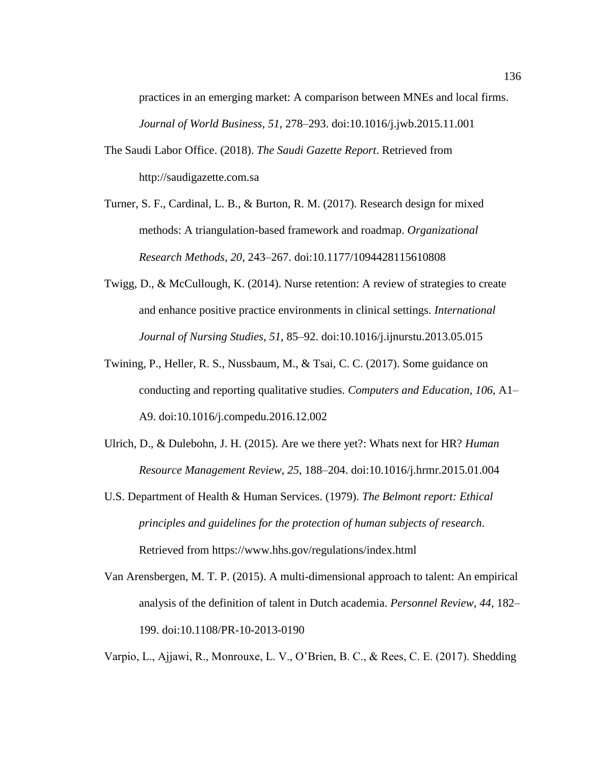practices in an emerging market: A comparison between MNEs and local firms. *Journal of World Business*, *51*, 278–293. doi:10.1016/j.jwb.2015.11.001

- The Saudi Labor Office. (2018). *The Saudi Gazette Report*. Retrieved from http://saudigazette.com.sa
- Turner, S. F., Cardinal, L. B., & Burton, R. M. (2017). Research design for mixed methods: A triangulation-based framework and roadmap. *Organizational Research Methods*, *20*, 243–267. doi:10.1177/1094428115610808
- Twigg, D., & McCullough, K. (2014). Nurse retention: A review of strategies to create and enhance positive practice environments in clinical settings. *International Journal of Nursing Studies*, *51*, 85–92. doi:10.1016/j.ijnurstu.2013.05.015
- Twining, P., Heller, R. S., Nussbaum, M., & Tsai, C. C. (2017). Some guidance on conducting and reporting qualitative studies. *Computers and Education*, *106*, A1– A9. doi:10.1016/j.compedu.2016.12.002
- Ulrich, D., & Dulebohn, J. H. (2015). Are we there yet?: Whats next for HR? *Human Resource Management Review*, *25*, 188–204. doi:10.1016/j.hrmr.2015.01.004
- U.S. Department of Health & Human Services. (1979). *The Belmont report: Ethical principles and guidelines for the protection of human subjects of research*. Retrieved from https://www.hhs.gov/regulations/index.html
- Van Arensbergen, M. T. P. (2015). A multi-dimensional approach to talent: An empirical analysis of the definition of talent in Dutch academia. *Personnel Review*, *44*, 182– 199. doi:10.1108/PR-10-2013-0190

Varpio, L., Ajjawi, R., Monrouxe, L. V., O'Brien, B. C., & Rees, C. E. (2017). Shedding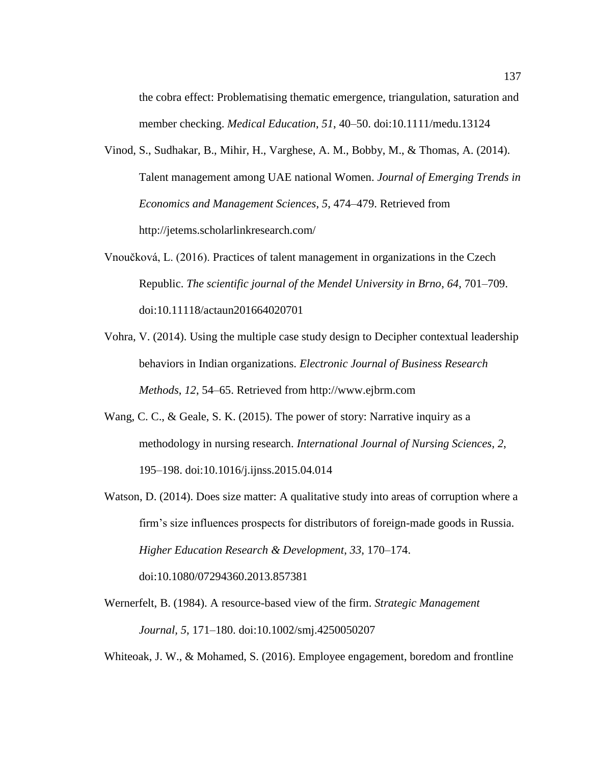the cobra effect: Problematising thematic emergence, triangulation, saturation and member checking. *Medical Education*, *51*, 40–50. doi:10.1111/medu.13124

- Vinod, S., Sudhakar, B., Mihir, H., Varghese, A. M., Bobby, M., & Thomas, A. (2014). Talent management among UAE national Women. *Journal of Emerging Trends in Economics and Management Sciences*, *5*, 474–479. Retrieved from http://jetems.scholarlinkresearch.com/
- Vnoučková, L. (2016). Practices of talent management in organizations in the Czech Republic. *The scientific journal of the Mendel University in Brno*, *64*, 701–709. doi:10.11118/actaun201664020701
- Vohra, V. (2014). Using the multiple case study design to Decipher contextual leadership behaviors in Indian organizations. *Electronic Journal of Business Research Methods*, *12*, 54–65. Retrieved from http://www.ejbrm.com
- Wang, C. C., & Geale, S. K. (2015). The power of story: Narrative inquiry as a methodology in nursing research. *International Journal of Nursing Sciences*, *2*, 195–198. doi:10.1016/j.ijnss.2015.04.014
- Watson, D. (2014). Does size matter: A qualitative study into areas of corruption where a firm's size influences prospects for distributors of foreign-made goods in Russia. *Higher Education Research & Development*, *33*, 170–174. doi:10.1080/07294360.2013.857381
- Wernerfelt, B. (1984). A resource-based view of the firm. *Strategic Management Journal, 5*, 171–180. doi:10.1002/smj.4250050207

Whiteoak, J. W., & Mohamed, S. (2016). Employee engagement, boredom and frontline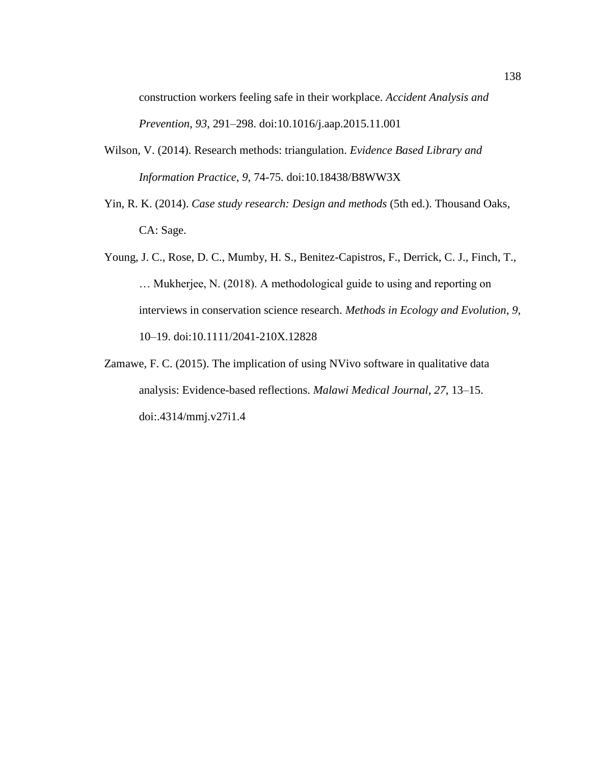construction workers feeling safe in their workplace. *Accident Analysis and Prevention*, *93*, 291–298. doi:10.1016/j.aap.2015.11.001

- Wilson, V. (2014). Research methods: triangulation. *Evidence Based Library and Information Practice*, *9*, 74-75. doi:10.18438/B8WW3X
- Yin, R. K. (2014). *Case study research: Design and methods* (5th ed.). Thousand Oaks, CA: Sage.
- Young, J. C., Rose, D. C., Mumby, H. S., Benitez-Capistros, F., Derrick, C. J., Finch, T., … Mukherjee, N. (2018). A methodological guide to using and reporting on interviews in conservation science research. *Methods in Ecology and Evolution*, *9*, 10–19. doi:10.1111/2041-210X.12828
- Zamawe, F. C. (2015). The implication of using NVivo software in qualitative data analysis: Evidence-based reflections. *Malawi Medical Journal*, *27*, 13–15. doi:.4314/mmj.v27i1.4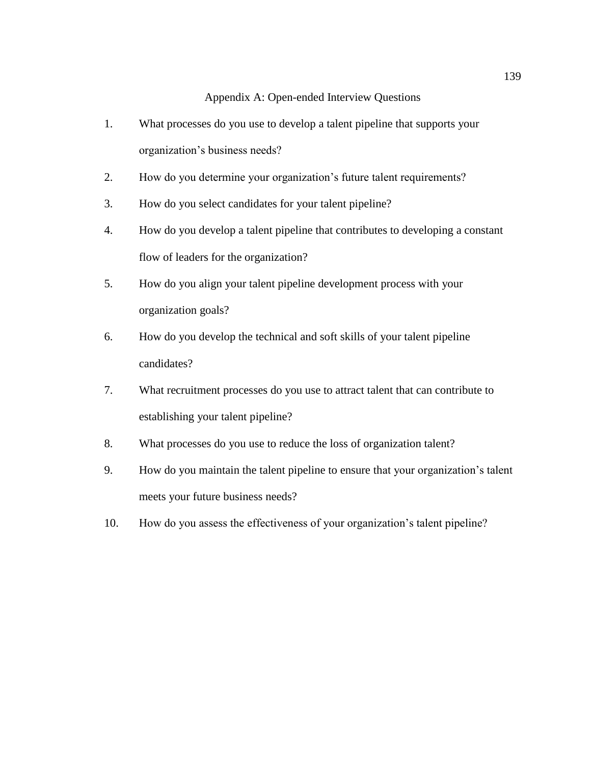## Appendix A: Open-ended Interview Questions

- 1. What processes do you use to develop a talent pipeline that supports your organization's business needs?
- 2. How do you determine your organization's future talent requirements?
- 3. How do you select candidates for your talent pipeline?
- 4. How do you develop a talent pipeline that contributes to developing a constant flow of leaders for the organization?
- 5. How do you align your talent pipeline development process with your organization goals?
- 6. How do you develop the technical and soft skills of your talent pipeline candidates?
- 7. What recruitment processes do you use to attract talent that can contribute to establishing your talent pipeline?
- 8. What processes do you use to reduce the loss of organization talent?
- 9. How do you maintain the talent pipeline to ensure that your organization's talent meets your future business needs?
- 10. How do you assess the effectiveness of your organization's talent pipeline?